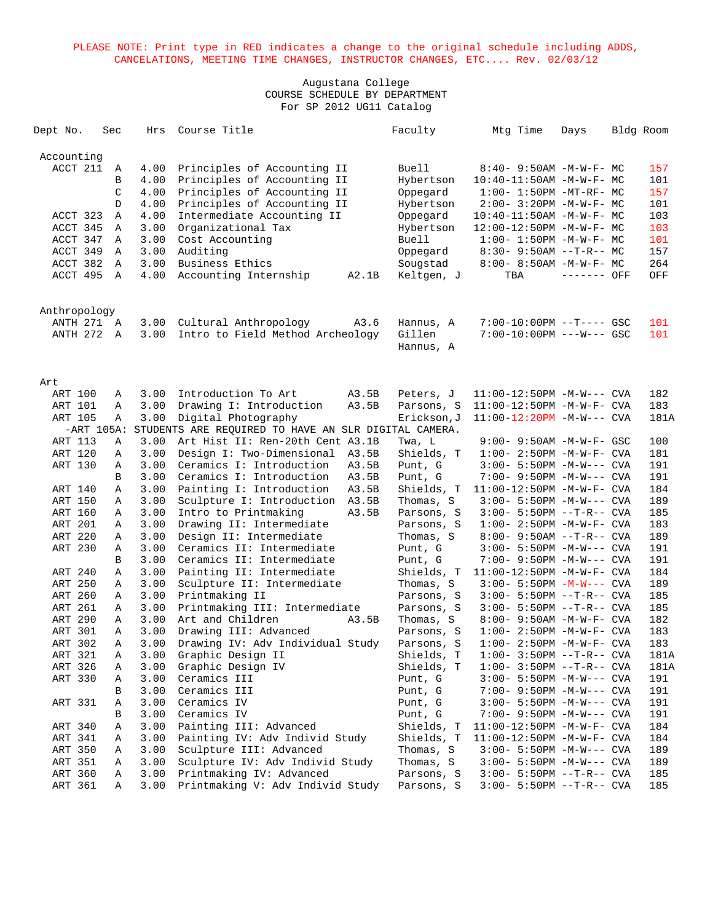| Dept No.     |              | Sec | Hrs  | Course Title                                         | Faculty      | Mtg Time                         | Days        | Bldg Room |
|--------------|--------------|-----|------|------------------------------------------------------|--------------|----------------------------------|-------------|-----------|
| Accounting   |              |     |      |                                                      |              |                                  |             |           |
| ACCT 211     |              | A   | 4.00 | Principles of Accounting II                          | Buell        | $8:40 - 9:50AM - M - W - F - MC$ |             | 157       |
|              |              | B   | 4.00 | Principles of Accounting II                          | Hybertson    | $10:40 - 11:50AM$ -M-W-F- MC     |             | 101       |
|              |              | C   | 4.00 | Principles of Accounting II                          | Oppegard     | $1:00-1:50PM -MT-RF-MC$          |             | 157       |
|              |              | D   | 4.00 | Principles of Accounting II                          | Hybertson    | 2:00- 3:20PM -M-W-F- MC          |             | 101       |
| ACCT 323     |              | Α   | 4.00 | Intermediate Accounting II                           | Oppegard     | $10:40 - 11:50AM$ -M-W-F- MC     |             | 103       |
| ACCT 345     |              | Α   | 3.00 | Organizational Tax                                   | Hybertson    | 12:00-12:50PM -M-W-F- MC         |             | 103       |
| ACCT 347     |              | Α   | 3.00 | Cost Accounting                                      | <b>Buell</b> | $1:00-1:50PM -M-W-F-MC$          |             | 101       |
| ACCT 349     |              | Α   | 3.00 | Auditing                                             | Oppegard     | $8:30 - 9:50AM -T-R-- MC$        |             | 157       |
| ACCT 382     |              | A   | 3.00 | Business Ethics                                      | Sougstad     | 8:00- 8:50AM -M-W-F- MC          |             | 264       |
| ACCT 495     |              | A   | 4.00 | Accounting Internship<br>A2.1B                       | Keltgen, J   | TBA                              | ------- OFF | OFF       |
| Anthropology |              |     |      |                                                      |              |                                  |             |           |
| ANTH 271 A   |              |     | 3.00 | Cultural Anthropology<br>A3.6                        | Hannus, A    | 7:00-10:00PM --T---- GSC         |             | 101       |
| ANTH 272 A   |              |     | 3.00 | Intro to Field Method Archeology                     | Gillen       | $7:00-10:00PM$ ---W--- GSC       |             | 101       |
|              |              |     |      |                                                      | Hannus, A    |                                  |             |           |
|              |              |     |      |                                                      |              |                                  |             |           |
| Art          |              |     |      |                                                      |              |                                  |             |           |
| ART 100      |              | Α   | 3.00 | Introduction To Art<br>A3.5B                         | Peters, J    | $11:00-12:50PM -M-W---$ CVA      |             | 182       |
| ART 101      |              | Α   | 3.00 | Drawing I: Introduction<br>A3.5B                     | Parsons, S   | 11:00-12:50PM -M-W-F- CVA        |             | 183       |
| ART 105      |              | Α   | 3.00 | Digital Photography                                  | Erickson, J  | $11:00-12:20PM -M-W---$ CVA      |             | 181A      |
|              | $-ART$ 105A: |     |      | STUDENTS ARE REQUIRED TO HAVE AN SLR DIGITAL CAMERA. |              |                                  |             |           |
| ART 113      |              | Α   | 3.00 | Art Hist II: Ren-20th Cent A3.1B                     | Twa, L       | 9:00- 9:50AM -M-W-F- GSC         |             | 100       |
| ART 120      |              | Α   | 3.00 | Design I: Two-Dimensional<br>A3.5B                   | Shields, T   | $1:00 - 2:50PM -M-W-F - CVA$     |             | 181       |
| ART 130      |              | Α   | 3.00 | Ceramics I: Introduction<br>A3.5B                    | Punt, G      | $3:00 - 5:50PM -M-W---$ CVA      |             | 191       |
|              |              | B   | 3.00 | Ceramics I: Introduction<br>A3.5B                    | Punt, G      | 7:00- 9:50PM -M-W--- CVA         |             | 191       |
| ART 140      |              | Α   | 3.00 | Painting I: Introduction<br>A3.5B                    | Shields, T   | $11:00-12:50PM -M-W-F-CVA$       |             | 184       |
| ART 150      |              | Α   | 3.00 | Sculpture I: Introduction<br>A3.5B                   | Thomas, S    | $3:00 - 5:50PM -M-W---$ CVA      |             | 189       |
| ART 160      |              | Α   | 3.00 | Intro to Printmaking<br>A3.5B                        | Parsons, S   | $3:00 - 5:50PM -T-R--CVA$        |             | 185       |
| ART 201      |              | Α   | 3.00 | Drawing II: Intermediate                             | Parsons, S   | $1:00-2:50PM -M-W-F-CVA$         |             | 183       |
| ART 220      |              | Α   | 3.00 | Design II: Intermediate                              | Thomas, S    | $8:00 - 9:50AM -T-R--CVA$        |             | 189       |
| ART 230      |              | Α   | 3.00 | Ceramics II: Intermediate                            | Punt, G      | $3:00 - 5:50PM -M-W---$ CVA      |             | 191       |
|              |              | B   | 3.00 | Ceramics II: Intermediate                            | Punt, G      | 7:00- 9:50PM -M-W--- CVA         |             | 191       |
| ART 240      |              | Α   | 3.00 | Painting II: Intermediate                            | Shields, T   | $11:00-12:50PM -M-W-F-CVA$       |             | 184       |
| ART 250      |              | Α   | 3.00 | Sculpture II: Intermediate                           | Thomas, S    | $3:00 - 5:50PM - M-W---$ CVA     |             | 189       |
| ART 260      |              | Α   | 3.00 | Printmaking II                                       | Parsons, S   | $3:00 - 5:50PM -T-R--CVA$        |             | 185       |
| ART 261      |              | Α   | 3.00 | Printmaking III: Intermediate                        | Parsons, S   | $3:00 - 5:50PM -T-R--CVA$        |             | 185       |
| ART 290      |              | Α   | 3.00 | Art and Children<br>A3.5B                            | Thomas, S    | 8:00- 9:50AM -M-W-F- CVA         |             | 182       |
| ART 301      |              | Α   | 3.00 | Drawing III: Advanced                                | Parsons, S   | $1:00-2:50PM -M-W-F-CVA$         |             | 183       |
| ART 302      |              | Α   | 3.00 | Drawing IV: Adv Individual Study                     | Parsons, S   | $1:00-2:50PM -M-W-F-CVA$         |             | 183       |
| ART 321      |              | А   | 3.00 | Graphic Design II                                    | Shields, T   | $1:00-3:50PM -T-R--CVA$          |             | 181A      |
| ART 326      |              | Α   | 3.00 | Graphic Design IV                                    | Shields, T   | $1:00-3:50PM -T-R--CVA$          |             | 181A      |
| ART 330      |              | Α   | 3.00 | Ceramics III                                         | Punt, G      | $3:00 - 5:50PM -M-W---$ CVA      |             | 191       |
|              |              | В   | 3.00 | Ceramics III                                         | Punt, G      | 7:00- 9:50PM -M-W--- CVA         |             | 191       |
| ART 331      |              | А   | 3.00 | Ceramics IV                                          | Punt, G      | $3:00 - 5:50PM -M-W---$ CVA      |             | 191       |
|              |              | В   | 3.00 | Ceramics IV                                          | Punt, G      | 7:00- 9:50PM -M-W--- CVA         |             | 191       |
| ART 340      |              | А   | 3.00 | Painting III: Advanced                               | Shields, T   | $11:00-12:50PM -M-W-F-CVA$       |             | 184       |
| ART 341      |              | Α   | 3.00 | Painting IV: Adv Individ Study                       | Shields, T   | $11:00-12:50PM -M-W-F-CVA$       |             | 184       |
| ART 350      |              | Α   | 3.00 | Sculpture III: Advanced                              | Thomas, S    | 3:00- 5:50PM -M-W--- CVA         |             | 189       |
| ART 351      |              | А   | 3.00 | Sculpture IV: Adv Individ Study                      | Thomas, S    | $3:00 - 5:50PM -M-W---$ CVA      |             | 189       |
| ART 360      |              | А   | 3.00 | Printmaking IV: Advanced                             | Parsons, S   | $3:00 - 5:50PM -T-R--CVA$        |             | 185       |
| ART 361      |              | Α   | 3.00 | Printmaking V: Adv Individ Study                     | Parsons, S   | $3:00 - 5:50PM -T-R--CVA$        |             | 185       |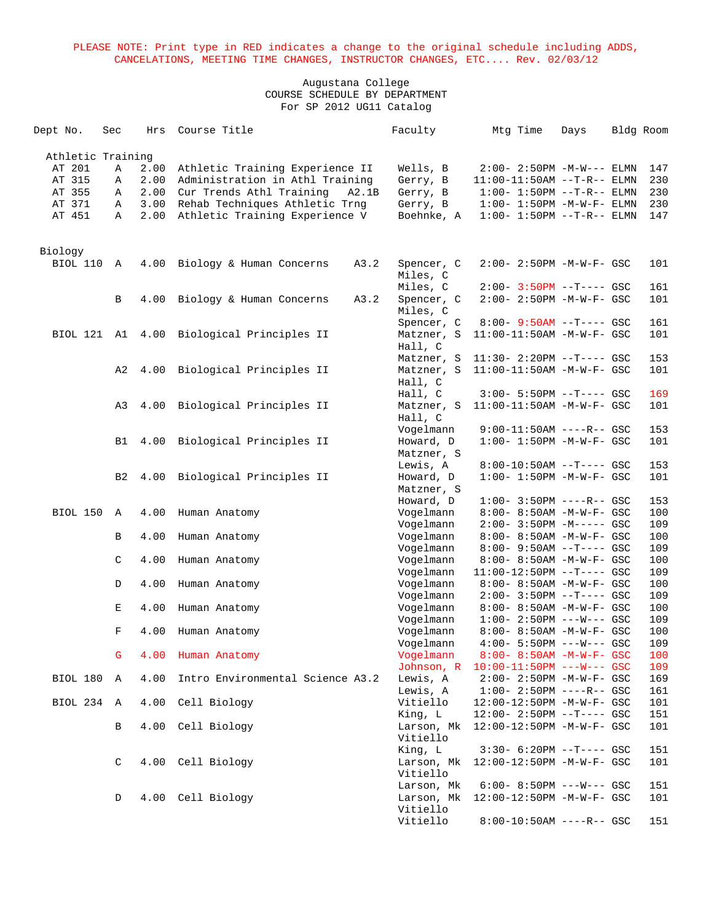| Dept No.          | Sec         | Hrs  | Course Title                      | Faculty             | Mtg Time                             | Days | Bldg Room |     |
|-------------------|-------------|------|-----------------------------------|---------------------|--------------------------------------|------|-----------|-----|
| Athletic Training |             |      |                                   |                     |                                      |      |           |     |
| AT 201            | Α           | 2.00 | Athletic Training Experience II   | Wells, B            | $2:00 - 2:50PM -M-W---$ ELMN         |      |           | 147 |
| AT 315            | Α           | 2.00 | Administration in Athl Training   | Gerry, B            | $11:00-11:50AM$ --T-R-- ELMN         |      |           | 230 |
| AT 355            | Α           | 2.00 | Cur Trends Athl Training<br>A2.1B | Gerry, B            | $1:00 - 1:50PM -T-R-- ELMN$          |      |           | 230 |
| AT 371            | Α           | 3.00 | Rehab Techniques Athletic Trng    | Gerry, B            | $1:00-1:50PM -M-W-F-ELMN$            |      |           | 230 |
| AT 451            | Α           | 2.00 | Athletic Training Experience V    | Boehnke, A          | $1:00 - 1:50PM -T-R-- ELMN$          |      |           | 147 |
|                   |             |      |                                   |                     |                                      |      |           |     |
| Biology           |             |      |                                   |                     |                                      |      |           |     |
| BIOL 110 A        |             | 4.00 | Biology & Human Concerns<br>A3.2  | Spencer, C          | $2:00 - 2:50PM -M-W-F - GSC$         |      |           | 101 |
|                   |             |      |                                   | Miles, C            |                                      |      |           |     |
|                   |             |      |                                   | Miles, C            | $2:00 - 3:50PM$ --T---- GSC          |      |           | 161 |
|                   | B           | 4.00 | Biology & Human Concerns<br>A3.2  | Spencer, C          | 2:00- 2:50PM -M-W-F- GSC             |      |           | 101 |
|                   |             |      |                                   | Miles, C            |                                      |      |           |     |
|                   |             |      |                                   | Spencer, C          | 8:00- 9:50AM --T---- GSC             |      |           | 161 |
| BIOL 121 A1       |             |      | 4.00 Biological Principles II     | Matzner, S          | $11:00-11:50AM$ -M-W-F- GSC          |      |           | 101 |
|                   |             |      |                                   | Hall, C             |                                      |      |           |     |
|                   |             |      |                                   | Matzner, S          | $11:30 - 2:20PM -T--- GSC$           |      |           | 153 |
|                   | A2          | 4.00 | Biological Principles II          | Matzner, S          | 11:00-11:50AM -M-W-F- GSC            |      |           | 101 |
|                   |             |      |                                   | Hall, C             |                                      |      |           |     |
|                   |             |      |                                   | Hall, C             | $3:00 - 5:50PM -T--- GSC$            |      |           | 169 |
|                   | A3          | 4.00 | Biological Principles II          | Matzner, S          | $11:00-11:50AM$ -M-W-F- GSC          |      |           | 101 |
|                   |             |      |                                   | Hall, C             |                                      |      |           |     |
|                   |             |      |                                   | Vogelmann           | $9:00-11:50AM$ ----R-- GSC           |      |           | 153 |
|                   | B1          | 4.00 | Biological Principles II          | Howard, D           | $1:00 - 1:50PM - M - W - F - GSC$    |      |           | 101 |
|                   |             |      |                                   | Matzner, S          |                                      |      |           |     |
|                   |             |      |                                   | Lewis, A            | $8:00-10:50AM$ --T---- GSC           |      |           | 153 |
|                   | B2          | 4.00 | Biological Principles II          | Howard, D           | $1:00 - 1:50PM -M-W-F - GSC$         |      |           | 101 |
|                   |             |      |                                   | Matzner, S          |                                      |      |           |     |
|                   |             |      |                                   | Howard, D           | $1:00-3:50PM$ ----R-- GSC            |      |           | 153 |
| BIOL 150          | A           | 4.00 | Human Anatomy                     | Vogelmann           | 8:00- 8:50AM -M-W-F- GSC             |      |           | 100 |
|                   |             |      |                                   | Vogelmann           | $2:00-3:50PM -M---GSC$               |      |           | 109 |
|                   | В           | 4.00 | Human Anatomy                     | Vogelmann           | 8:00- 8:50AM -M-W-F- GSC             |      |           | 100 |
|                   |             |      |                                   | Vogelmann           | $8:00 - 9:50AM -T---$ GSC            |      |           | 109 |
|                   | C           | 4.00 | Human Anatomy                     | Vogelmann           | 8:00- 8:50AM -M-W-F- GSC             |      |           | 100 |
|                   |             |      |                                   | Vogelmann           | 11:00-12:50PM --T---- GSC            |      |           | 109 |
|                   | $\mathbb D$ | 4.00 | Human Anatomy                     | Vogelmann           | 8:00- 8:50AM -M-W-F- GSC             |      |           | 100 |
|                   |             |      |                                   | Vogelmann           | $2:00 - 3:50PM -T--- GSC$            |      |           | 109 |
|                   | Ε           | 4.00 | Human Anatomy                     | Vogelmann           | 8:00- 8:50AM -M-W-F- GSC             |      |           | 100 |
|                   |             |      |                                   | Vogelmann           | $1:00 - 2:50PM$ ---W--- GSC          |      |           | 109 |
|                   | F           | 4.00 | Human Anatomy                     | Vogelmann           | 8:00- 8:50AM -M-W-F- GSC             |      |           | 100 |
|                   |             |      |                                   | Vogelmann           | $4:00 - 5:50PM$ ---W--- GSC          |      |           | 109 |
|                   | G           | 4.00 | Human Anatomy                     | Vogelmann           | $8:00 - 8:50AM - M - W - F - GSC$    |      |           | 100 |
|                   |             |      |                                   | Johnson, R          | $10:00-11:50PM$ ---W--- GSC          |      |           | 109 |
| BIOL 180          | A           | 4.00 | Intro Environmental Science A3.2  | Lewis, A            | $2:00 - 2:50PM - M - W - F - GSC$    |      |           | 169 |
|                   |             |      |                                   | Lewis, A            | $1:00-2:50PM$ ----R-- GSC            |      |           | 161 |
| BIOL 234 A        |             | 4.00 | Cell Biology                      | Vitiello            | 12:00-12:50PM -M-W-F- GSC            |      |           | 101 |
|                   |             |      |                                   | King, L             | $12:00 - 2:50PM -T--- GSC$           |      |           | 151 |
|                   | B           | 4.00 | Cell Biology                      |                     | Larson, Mk 12:00-12:50PM -M-W-F- GSC |      |           | 101 |
|                   |             |      |                                   | Vitiello<br>King, L |                                      |      |           |     |
|                   | C           |      |                                   | Larson, Mk          | $3:30-6:20PM -T---GSC$               |      |           | 151 |
|                   |             |      | 4.00 Cell Biology                 | Vitiello            | 12:00-12:50PM -M-W-F- GSC            |      |           | 101 |
|                   |             |      |                                   | Larson, Mk          | $6:00 - 8:50PM$ ---W--- GSC          |      |           | 151 |
|                   | D           | 4.00 | Cell Biology                      | Larson, Mk          | 12:00-12:50PM -M-W-F- GSC            |      |           | 101 |
|                   |             |      |                                   | Vitiello            |                                      |      |           |     |
|                   |             |      |                                   | Vitiello            | 8:00-10:50AM ----R-- GSC             |      |           | 151 |
|                   |             |      |                                   |                     |                                      |      |           |     |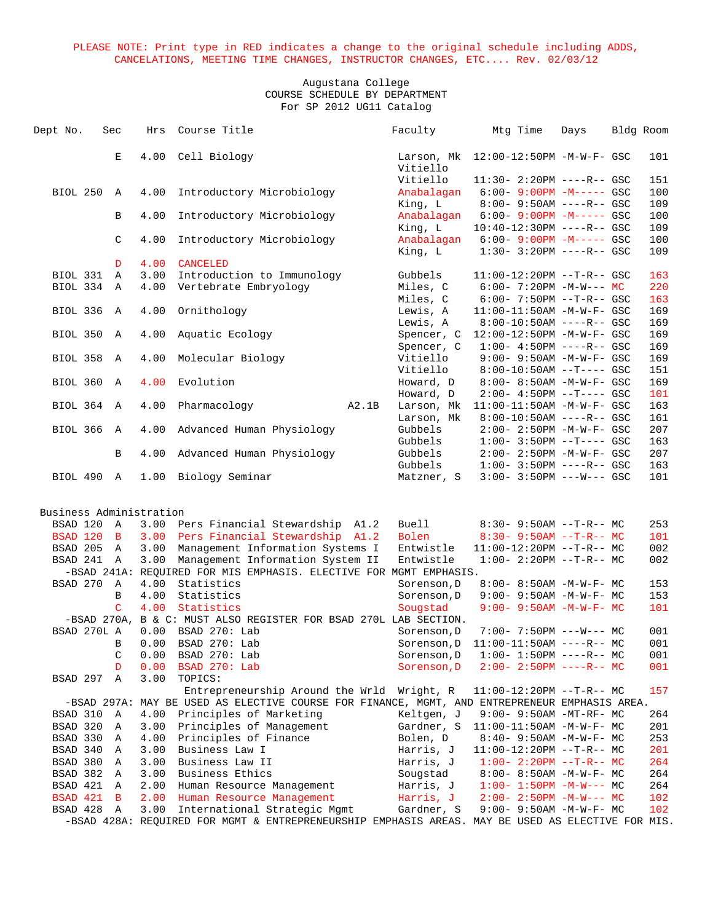| Dept No.                | Sec          | Hrs  | Course Title                                                                                      |       | Faculty                | Mtg Time                                                  | Days | Bldg Room |            |
|-------------------------|--------------|------|---------------------------------------------------------------------------------------------------|-------|------------------------|-----------------------------------------------------------|------|-----------|------------|
|                         | Е            | 4.00 | Cell Biology                                                                                      |       | Larson, Mk<br>Vitiello | 12:00-12:50PM -M-W-F- GSC                                 |      |           | 101        |
| <b>BIOL 250</b>         | A            | 4.00 | Introductory Microbiology                                                                         |       | Vitiello<br>Anabalagan | $11:30 - 2:20PM$ ----R-- GSC<br>$6:00 - 9:00PM -M--- GSC$ |      |           | 151<br>100 |
|                         |              |      |                                                                                                   |       | King, L                | $8:00 - 9:50AM$ ----R-- GSC                               |      |           | 109        |
|                         | B            | 4.00 | Introductory Microbiology                                                                         |       | Anabalagan             | $6:00 - 9:00PM -M---$ GSC                                 |      |           | 100        |
|                         |              |      |                                                                                                   |       | King, L                | 10:40-12:30PM ----R-- GSC                                 |      |           | 109        |
|                         | $\mathsf C$  | 4.00 | Introductory Microbiology                                                                         |       | Anabalagan<br>King, L  | $6:00 - 9:00PM -M--- GSC$<br>$1:30-3:20PM$ ----R-- GSC    |      |           | 100<br>109 |
|                         | D            | 4.00 | CANCELED                                                                                          |       |                        |                                                           |      |           |            |
| BIOL 331                | A            | 3.00 | Introduction to Immunology                                                                        |       | Gubbels                | $11:00-12:20PM$ --T-R-- GSC                               |      |           | 163        |
| BIOL 334                | A            | 4.00 | Vertebrate Embryology                                                                             |       | Miles, C               | $6:00-7:20PM -M-W--- MC$                                  |      |           | 220        |
|                         |              |      |                                                                                                   |       | Miles, C               | $6:00 - 7:50PM -T-R--GSC$                                 |      |           | 163        |
| BIOL 336                | A            | 4.00 | Ornithology                                                                                       |       | Lewis, A               | $11:00-11:50AM$ -M-W-F- GSC                               |      |           | 169        |
|                         |              |      |                                                                                                   |       | Lewis, A               | $8:00-10:50AM$ ----R-- GSC                                |      |           | 169        |
| BIOL 350                | A            | 4.00 | Aquatic Ecology                                                                                   |       | Spencer, C             | 12:00-12:50PM -M-W-F- GSC                                 |      |           | 169        |
|                         |              |      |                                                                                                   |       | Spencer, C             | $1:00-4:50PM$ ----R-- GSC                                 |      |           | 169        |
| <b>BIOL 358</b>         | $\mathbb A$  | 4.00 | Molecular Biology                                                                                 |       | Vitiello               | 9:00- 9:50AM -M-W-F- GSC                                  |      |           | 169        |
|                         |              |      |                                                                                                   |       | Vitiello               | $8:00-10:50AM$ --T---- GSC                                |      |           | 151        |
| BIOL 360                | $\mathbb{A}$ | 4.00 | Evolution                                                                                         |       | Howard, D              | 8:00- 8:50AM -M-W-F- GSC                                  |      |           | 169        |
|                         |              |      |                                                                                                   |       | Howard, D              | $2:00-4:50PM -T---GSC$                                    |      |           | 101        |
| BIOL 364                | A            | 4.00 | Pharmacology                                                                                      | A2.1B | Larson, Mk             | $11:00-11:50AM$ -M-W-F- GSC                               |      |           | 163        |
|                         |              |      |                                                                                                   |       | Larson, Mk             | $8:00-10:50AM$ ----R-- GSC                                |      |           | 161        |
| <b>BIOL 366</b>         | $\mathbb A$  | 4.00 | Advanced Human Physiology                                                                         |       | Gubbels                | 2:00- 2:50PM -M-W-F- GSC                                  |      |           | 207        |
|                         |              |      |                                                                                                   |       | Gubbels                | $1:00-3:50PM --T---GSC$                                   |      |           | 163        |
|                         | B            | 4.00 | Advanced Human Physiology                                                                         |       | Gubbels                | $2:00 - 2:50PM - M - W - F - GSC$                         |      |           | 207        |
|                         |              |      |                                                                                                   |       | Gubbels                | $1:00 - 3:50PM$ ----R-- GSC                               |      |           | 163        |
| BIOL 490 A              |              | 1.00 | Biology Seminar                                                                                   |       | Matzner, S             | $3:00 - 3:50PM$ ---W--- GSC                               |      |           | 101        |
| Business Administration |              |      |                                                                                                   |       |                        |                                                           |      |           |            |
| BSAD 120                | A            |      | 3.00 Pers Financial Stewardship A1.2                                                              |       | Buell                  | $8:30 - 9:50AM -T-R-- MC$                                 |      |           | 253        |
| BSAD 120                | $\mathbf{B}$ | 3.00 | Pers Financial Stewardship A1.2                                                                   |       | Bolen                  | $8:30 - 9:50AM -T-R-- MC$                                 |      |           | 101        |
| BSAD 205                | $\mathbb{A}$ | 3.00 | Management Information Systems I                                                                  |       | Entwistle              | $11:00-12:20PM$ --T-R-- MC                                |      |           | 002        |
| BSAD 241 A              |              | 3.00 | Management Information System II                                                                  |       | Entwistle              | $1:00-2:20PM -T-R--MC$                                    |      |           | 002        |
|                         |              |      | -BSAD 241A: REQUIRED FOR MIS EMPHASIS. ELECTIVE FOR MGMT EMPHASIS.                                |       |                        |                                                           |      |           |            |
| BSAD 270                | A            | 4.00 | Statistics                                                                                        |       | Sorenson, D            | 8:00- 8:50AM -M-W-F- MC                                   |      |           | 153        |
|                         | B            | 4.00 | Statistics                                                                                        |       | Sorenson, D            | $9:00 - 9:50AM - M - W - F - MC$                          |      |           | 153        |
|                         | C.           | 4.00 | Statistics                                                                                        |       | Sougstad               | $9:00 - 9:50AM - M - W - F - MC$                          |      |           | 101        |
|                         |              |      | -BSAD 270A, B & C: MUST ALSO REGISTER FOR BSAD 270L LAB SECTION.                                  |       |                        |                                                           |      |           |            |
| BSAD 270L A             |              | 0.00 | BSAD 270: Lab                                                                                     |       | Sorenson, D            | $7:00 - 7:50PM$ ---W--- MC                                |      |           | 001        |
|                         | В            | 0.00 | BSAD 270: Lab                                                                                     |       | Sorenson, D            | $11:00-11:50AM$ ----R-- MC                                |      |           | 001        |
|                         | C            | 0.00 | BSAD 270: Lab                                                                                     |       | Sorenson, D            | $1:00 - 1:50PM$ ----R-- MC                                |      |           | 001        |
|                         | D            | 0.00 | BSAD 270: Lab                                                                                     |       | Sorenson, D            | $2:00-2:50PM$ ----R-- MC                                  |      |           | 001        |
| BSAD 297                | Α            | 3.00 | TOPICS:                                                                                           |       |                        |                                                           |      |           |            |
|                         |              |      | Entrepreneurship Around the Wrld                                                                  |       | Wright, R              | $11:00-12:20PM -T-R-- MC$                                 |      |           | 157        |
|                         |              |      | -BSAD 297A: MAY BE USED AS ELECTIVE COURSE FOR FINANCE, MGMT, AND ENTREPRENEUR EMPHASIS AREA.     |       |                        |                                                           |      |           |            |
| BSAD 310                | A            | 4.00 | Principles of Marketing                                                                           |       | Keltgen, J             | 9:00- 9:50AM -MT-RF- MC                                   |      |           | 264        |
| BSAD 320                | Α            | 3.00 | Principles of Management                                                                          |       | Gardner, S             | $11:00-11:50AM$ -M-W-F- MC                                |      |           | 201        |
| BSAD 330                | Α            | 4.00 | Principles of Finance                                                                             |       | Bolen, D               | 8:40- 9:50AM -M-W-F- MC                                   |      |           | 253        |
| BSAD 340                | Α            | 3.00 | Business Law I                                                                                    |       | Harris, J              | 11:00-12:20PM --T-R-- MC                                  |      |           | 201        |
| BSAD 380                | Α            | 3.00 | Business Law II                                                                                   |       | Harris, J              | $1:00-2:20PM -T-R--MC$                                    |      |           | 264        |
| BSAD 382                | Α            | 3.00 | Business Ethics                                                                                   |       | Sougstad               | 8:00- 8:50AM -M-W-F- MC                                   |      |           | 264        |
| BSAD 421                | Α            | 2.00 | Human Resource Management                                                                         |       | Harris, J              | $1:00-1:50PM -M-W--- MC$                                  |      |           | 264        |
| BSAD 421                | в            | 2.00 | Human Resource Management                                                                         |       | Harris, J              | $2:00-2:50PM -M-W--- MC$                                  |      |           | 102        |
| BSAD 428                | Α            | 3.00 | International Strategic Mgmt                                                                      |       | Gardner, S             | 9:00- 9:50AM -M-W-F- MC                                   |      |           | 102        |
|                         |              |      | -BSAD 428A: REQUIRED FOR MGMT & ENTREPRENEURSHIP EMPHASIS AREAS. MAY BE USED AS ELECTIVE FOR MIS. |       |                        |                                                           |      |           |            |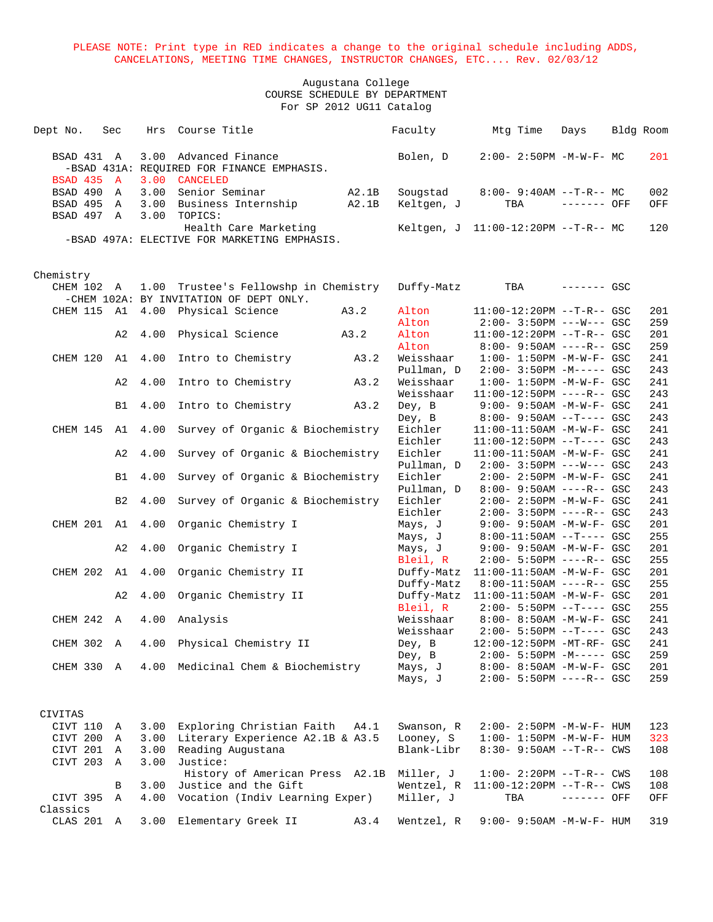#### Augustana College COURSE SCHEDULE BY DEPARTMENT For SP 2012 UG11 Catalog

| 3.00 Advanced Finance<br>$2:00 - 2:50PM -M-W-F - MC$<br>BSAD 431 A<br>Bolen, D<br>201<br>-BSAD 431A: REQUIRED FOR FINANCE EMPHASIS.<br><b>BSAD 435 A</b><br>3.00 CANCELED<br>3.00 Senior Seminar<br>BSAD 490<br>A2.1B<br>Sougstad<br>$8:00-9:40AM --T-R--MC$<br>002<br>$\mathbb A$<br>BSAD 495 A<br>3.00 Business Internship<br>A2.1B<br>Keltgen, J<br>------- OFF<br>TBA<br>OFF<br>BSAD 497 A<br>3.00<br>TOPICS:<br>Health Care Marketing<br>120<br>Keltgen, J $11:00-12:20PM -T-R--MC$<br>-BSAD 497A: ELECTIVE FOR MARKETING EMPHASIS.<br>Chemistry<br>CHEM 102 A<br>1.00 Trustee's Fellowshp in Chemistry<br>TBA<br>Duffy-Matz<br>$------$ GSC<br>-CHEM 102A: BY INVITATION OF DEPT ONLY.<br>CHEM 115 A1<br>4.00 Physical Science<br>A3.2<br>Alton<br>$11:00-12:20PM$ --T-R-- GSC<br>201<br>Alton<br>$2:00 - 3:50PM$ ---W--- GSC<br>259<br>A3.2<br>Alton<br>11:00-12:20PM --T-R-- GSC<br>201<br>A2<br>4.00<br>Physical Science<br>259<br>Alton<br>$8:00 - 9:50AM$ ----R-- GSC<br>CHEM 120<br>4.00<br>Intro to Chemistry<br>A3.2<br>Weisshaar<br>$1:00 - 1:50PM - M - W - F - GSC$<br>241<br>A1<br>243<br>Pullman, D<br>$2:00 - 3:50PM -M--- GSC$<br>4.00<br>Intro to Chemistry<br>A3.2<br>Weisshaar<br>$1:00 - 1:50PM - M - W - F - GSC$<br>241<br>A2<br>Weisshaar<br>243<br>$11:00-12:50PM$ ----R-- GSC<br>4.00<br>Intro to Chemistry<br>A3.2<br>Dey, B<br>241<br>B1<br>$9:00 - 9:50AM - M - W - F - GSC$<br>Dey, B<br>$8:00 - 9:50AM -T--- GSC$<br>243<br>Eichler<br>CHEM 145 A1<br>4.00<br>Survey of Organic & Biochemistry<br>11:00-11:50AM -M-W-F- GSC<br>241<br>Eichler<br>$11:00-12:50PM$ --T---- GSC<br>243<br>Survey of Organic & Biochemistry<br>Eichler<br>11:00-11:50AM -M-W-F- GSC<br>241<br>A2<br>4.00<br>Pullman, D<br>$2:00-3:50PM$ ---W--- GSC<br>243<br>4.00<br>Survey of Organic & Biochemistry<br>Eichler<br>$2:00 - 2:50PM -M-W-F - GSC$<br>241<br>B1<br>Pullman, D<br>$8:00 - 9:50AM$ ----R-- GSC<br>243<br>4.00<br>Survey of Organic & Biochemistry<br>Eichler<br>241<br>B <sub>2</sub><br>$2:00 - 2:50PM - M - W - F - GSC$<br>Eichler<br>$2:00 - 3:50PM$ ----R-- GSC<br>243<br>CHEM 201 A1<br>4.00<br>Organic Chemistry I<br>9:00- 9:50AM -M-W-F- GSC<br>201<br>Mays, J<br>$8:00-11:50AM$ --T---- GSC<br>255<br>Mays, J<br>4.00<br>Organic Chemistry I<br>Mays, J<br>9:00- 9:50AM -M-W-F- GSC<br>201<br>A2<br>Bleil, R<br>$2:00 - 5:50PM$ ----R-- GSC<br>255<br>CHEM 202 A1<br>4.00 Organic Chemistry II<br>201<br>Duffy-Matz<br>$11:00-11:50AM$ -M-W-F- GSC<br>8:00-11:50AM ----R-- GSC<br>255<br>Duffy-Matz<br>4.00<br>Organic Chemistry II<br>Duffy-Matz<br>201<br>A <sub>2</sub><br>$11:00-11:50AM$ -M-W-F- GSC<br>Bleil, R<br>255<br>$2:00 - 5:50PM -T--- GSC$<br>Weisshaar<br>8:00- 8:50AM -M-W-F- GSC<br>241<br>CHEM 242 A<br>4.00<br>Analysis<br>Weisshaar<br>$2:00 - 5:50PM -T--- GSC$<br>243<br>4.00 Physical Chemistry II<br>Dey, B<br>CHEM 302 A<br>12:00-12:50PM -MT-RF- GSC<br>241<br>259<br>Dey, B<br>$2:00 - 5:50PM -M--- GSC$<br>Medicinal Chem & Biochemistry<br>CHEM 330 A<br>4.00<br>Mays, J<br>8:00- 8:50AM -M-W-F- GSC<br>201<br>259<br>Mays, J<br>$2:00 - 5:50PM$ ----R-- GSC<br>CIVITAS<br>CIVT 110<br>3.00<br>Exploring Christian Faith<br>Swanson, R<br>2:00- 2:50PM -M-W-F- HUM<br>123<br>A4.1<br>Α<br>Literary Experience A2.1B & A3.5<br>CIVT 200<br>3.00<br>Looney, S<br>$1:00 - 1:50PM - M - W - F - HUM$<br>323<br>Α<br>CIVT 201 A<br>Blank-Libr<br>3.00<br>Reading Augustana<br>$8:30 - 9:50AM -T-R--CWS$<br>108<br>CIVT 203 A<br>3.00<br>Justice:<br>History of American Press<br>A2.1B<br>Miller, J<br>$1:00 - 2:20PM -T-R--CWS$<br>108<br>3.00<br>11:00-12:20PM --T-R-- CWS<br>108<br>В | Dept No. | Sec | Hrs Course Title     | Faculty    | Mtg Time | Days | Bldg Room |  |
|---------------------------------------------------------------------------------------------------------------------------------------------------------------------------------------------------------------------------------------------------------------------------------------------------------------------------------------------------------------------------------------------------------------------------------------------------------------------------------------------------------------------------------------------------------------------------------------------------------------------------------------------------------------------------------------------------------------------------------------------------------------------------------------------------------------------------------------------------------------------------------------------------------------------------------------------------------------------------------------------------------------------------------------------------------------------------------------------------------------------------------------------------------------------------------------------------------------------------------------------------------------------------------------------------------------------------------------------------------------------------------------------------------------------------------------------------------------------------------------------------------------------------------------------------------------------------------------------------------------------------------------------------------------------------------------------------------------------------------------------------------------------------------------------------------------------------------------------------------------------------------------------------------------------------------------------------------------------------------------------------------------------------------------------------------------------------------------------------------------------------------------------------------------------------------------------------------------------------------------------------------------------------------------------------------------------------------------------------------------------------------------------------------------------------------------------------------------------------------------------------------------------------------------------------------------------------------------------------------------------------------------------------------------------------------------------------------------------------------------------------------------------------------------------------------------------------------------------------------------------------------------------------------------------------------------------------------------------------------------------------------------------------------------------------------------------------------------------------------------------------------------------------------------------------------------------------------------------------------------------------------------------------------------------------------------------------------------------------------------------------------------------------------------------------------------------------------------------------------------------------------------------------------------------------------------------------------------------------------------------------------------------------------|----------|-----|----------------------|------------|----------|------|-----------|--|
|                                                                                                                                                                                                                                                                                                                                                                                                                                                                                                                                                                                                                                                                                                                                                                                                                                                                                                                                                                                                                                                                                                                                                                                                                                                                                                                                                                                                                                                                                                                                                                                                                                                                                                                                                                                                                                                                                                                                                                                                                                                                                                                                                                                                                                                                                                                                                                                                                                                                                                                                                                                                                                                                                                                                                                                                                                                                                                                                                                                                                                                                                                                                                                                                                                                                                                                                                                                                                                                                                                                                                                                                                                                         |          |     |                      |            |          |      |           |  |
|                                                                                                                                                                                                                                                                                                                                                                                                                                                                                                                                                                                                                                                                                                                                                                                                                                                                                                                                                                                                                                                                                                                                                                                                                                                                                                                                                                                                                                                                                                                                                                                                                                                                                                                                                                                                                                                                                                                                                                                                                                                                                                                                                                                                                                                                                                                                                                                                                                                                                                                                                                                                                                                                                                                                                                                                                                                                                                                                                                                                                                                                                                                                                                                                                                                                                                                                                                                                                                                                                                                                                                                                                                                         |          |     |                      |            |          |      |           |  |
|                                                                                                                                                                                                                                                                                                                                                                                                                                                                                                                                                                                                                                                                                                                                                                                                                                                                                                                                                                                                                                                                                                                                                                                                                                                                                                                                                                                                                                                                                                                                                                                                                                                                                                                                                                                                                                                                                                                                                                                                                                                                                                                                                                                                                                                                                                                                                                                                                                                                                                                                                                                                                                                                                                                                                                                                                                                                                                                                                                                                                                                                                                                                                                                                                                                                                                                                                                                                                                                                                                                                                                                                                                                         |          |     |                      |            |          |      |           |  |
|                                                                                                                                                                                                                                                                                                                                                                                                                                                                                                                                                                                                                                                                                                                                                                                                                                                                                                                                                                                                                                                                                                                                                                                                                                                                                                                                                                                                                                                                                                                                                                                                                                                                                                                                                                                                                                                                                                                                                                                                                                                                                                                                                                                                                                                                                                                                                                                                                                                                                                                                                                                                                                                                                                                                                                                                                                                                                                                                                                                                                                                                                                                                                                                                                                                                                                                                                                                                                                                                                                                                                                                                                                                         |          |     |                      |            |          |      |           |  |
|                                                                                                                                                                                                                                                                                                                                                                                                                                                                                                                                                                                                                                                                                                                                                                                                                                                                                                                                                                                                                                                                                                                                                                                                                                                                                                                                                                                                                                                                                                                                                                                                                                                                                                                                                                                                                                                                                                                                                                                                                                                                                                                                                                                                                                                                                                                                                                                                                                                                                                                                                                                                                                                                                                                                                                                                                                                                                                                                                                                                                                                                                                                                                                                                                                                                                                                                                                                                                                                                                                                                                                                                                                                         |          |     |                      |            |          |      |           |  |
|                                                                                                                                                                                                                                                                                                                                                                                                                                                                                                                                                                                                                                                                                                                                                                                                                                                                                                                                                                                                                                                                                                                                                                                                                                                                                                                                                                                                                                                                                                                                                                                                                                                                                                                                                                                                                                                                                                                                                                                                                                                                                                                                                                                                                                                                                                                                                                                                                                                                                                                                                                                                                                                                                                                                                                                                                                                                                                                                                                                                                                                                                                                                                                                                                                                                                                                                                                                                                                                                                                                                                                                                                                                         |          |     |                      |            |          |      |           |  |
|                                                                                                                                                                                                                                                                                                                                                                                                                                                                                                                                                                                                                                                                                                                                                                                                                                                                                                                                                                                                                                                                                                                                                                                                                                                                                                                                                                                                                                                                                                                                                                                                                                                                                                                                                                                                                                                                                                                                                                                                                                                                                                                                                                                                                                                                                                                                                                                                                                                                                                                                                                                                                                                                                                                                                                                                                                                                                                                                                                                                                                                                                                                                                                                                                                                                                                                                                                                                                                                                                                                                                                                                                                                         |          |     |                      |            |          |      |           |  |
|                                                                                                                                                                                                                                                                                                                                                                                                                                                                                                                                                                                                                                                                                                                                                                                                                                                                                                                                                                                                                                                                                                                                                                                                                                                                                                                                                                                                                                                                                                                                                                                                                                                                                                                                                                                                                                                                                                                                                                                                                                                                                                                                                                                                                                                                                                                                                                                                                                                                                                                                                                                                                                                                                                                                                                                                                                                                                                                                                                                                                                                                                                                                                                                                                                                                                                                                                                                                                                                                                                                                                                                                                                                         |          |     |                      |            |          |      |           |  |
|                                                                                                                                                                                                                                                                                                                                                                                                                                                                                                                                                                                                                                                                                                                                                                                                                                                                                                                                                                                                                                                                                                                                                                                                                                                                                                                                                                                                                                                                                                                                                                                                                                                                                                                                                                                                                                                                                                                                                                                                                                                                                                                                                                                                                                                                                                                                                                                                                                                                                                                                                                                                                                                                                                                                                                                                                                                                                                                                                                                                                                                                                                                                                                                                                                                                                                                                                                                                                                                                                                                                                                                                                                                         |          |     |                      |            |          |      |           |  |
|                                                                                                                                                                                                                                                                                                                                                                                                                                                                                                                                                                                                                                                                                                                                                                                                                                                                                                                                                                                                                                                                                                                                                                                                                                                                                                                                                                                                                                                                                                                                                                                                                                                                                                                                                                                                                                                                                                                                                                                                                                                                                                                                                                                                                                                                                                                                                                                                                                                                                                                                                                                                                                                                                                                                                                                                                                                                                                                                                                                                                                                                                                                                                                                                                                                                                                                                                                                                                                                                                                                                                                                                                                                         |          |     |                      |            |          |      |           |  |
|                                                                                                                                                                                                                                                                                                                                                                                                                                                                                                                                                                                                                                                                                                                                                                                                                                                                                                                                                                                                                                                                                                                                                                                                                                                                                                                                                                                                                                                                                                                                                                                                                                                                                                                                                                                                                                                                                                                                                                                                                                                                                                                                                                                                                                                                                                                                                                                                                                                                                                                                                                                                                                                                                                                                                                                                                                                                                                                                                                                                                                                                                                                                                                                                                                                                                                                                                                                                                                                                                                                                                                                                                                                         |          |     |                      |            |          |      |           |  |
|                                                                                                                                                                                                                                                                                                                                                                                                                                                                                                                                                                                                                                                                                                                                                                                                                                                                                                                                                                                                                                                                                                                                                                                                                                                                                                                                                                                                                                                                                                                                                                                                                                                                                                                                                                                                                                                                                                                                                                                                                                                                                                                                                                                                                                                                                                                                                                                                                                                                                                                                                                                                                                                                                                                                                                                                                                                                                                                                                                                                                                                                                                                                                                                                                                                                                                                                                                                                                                                                                                                                                                                                                                                         |          |     |                      |            |          |      |           |  |
|                                                                                                                                                                                                                                                                                                                                                                                                                                                                                                                                                                                                                                                                                                                                                                                                                                                                                                                                                                                                                                                                                                                                                                                                                                                                                                                                                                                                                                                                                                                                                                                                                                                                                                                                                                                                                                                                                                                                                                                                                                                                                                                                                                                                                                                                                                                                                                                                                                                                                                                                                                                                                                                                                                                                                                                                                                                                                                                                                                                                                                                                                                                                                                                                                                                                                                                                                                                                                                                                                                                                                                                                                                                         |          |     |                      |            |          |      |           |  |
|                                                                                                                                                                                                                                                                                                                                                                                                                                                                                                                                                                                                                                                                                                                                                                                                                                                                                                                                                                                                                                                                                                                                                                                                                                                                                                                                                                                                                                                                                                                                                                                                                                                                                                                                                                                                                                                                                                                                                                                                                                                                                                                                                                                                                                                                                                                                                                                                                                                                                                                                                                                                                                                                                                                                                                                                                                                                                                                                                                                                                                                                                                                                                                                                                                                                                                                                                                                                                                                                                                                                                                                                                                                         |          |     |                      |            |          |      |           |  |
|                                                                                                                                                                                                                                                                                                                                                                                                                                                                                                                                                                                                                                                                                                                                                                                                                                                                                                                                                                                                                                                                                                                                                                                                                                                                                                                                                                                                                                                                                                                                                                                                                                                                                                                                                                                                                                                                                                                                                                                                                                                                                                                                                                                                                                                                                                                                                                                                                                                                                                                                                                                                                                                                                                                                                                                                                                                                                                                                                                                                                                                                                                                                                                                                                                                                                                                                                                                                                                                                                                                                                                                                                                                         |          |     |                      |            |          |      |           |  |
|                                                                                                                                                                                                                                                                                                                                                                                                                                                                                                                                                                                                                                                                                                                                                                                                                                                                                                                                                                                                                                                                                                                                                                                                                                                                                                                                                                                                                                                                                                                                                                                                                                                                                                                                                                                                                                                                                                                                                                                                                                                                                                                                                                                                                                                                                                                                                                                                                                                                                                                                                                                                                                                                                                                                                                                                                                                                                                                                                                                                                                                                                                                                                                                                                                                                                                                                                                                                                                                                                                                                                                                                                                                         |          |     |                      |            |          |      |           |  |
|                                                                                                                                                                                                                                                                                                                                                                                                                                                                                                                                                                                                                                                                                                                                                                                                                                                                                                                                                                                                                                                                                                                                                                                                                                                                                                                                                                                                                                                                                                                                                                                                                                                                                                                                                                                                                                                                                                                                                                                                                                                                                                                                                                                                                                                                                                                                                                                                                                                                                                                                                                                                                                                                                                                                                                                                                                                                                                                                                                                                                                                                                                                                                                                                                                                                                                                                                                                                                                                                                                                                                                                                                                                         |          |     |                      |            |          |      |           |  |
|                                                                                                                                                                                                                                                                                                                                                                                                                                                                                                                                                                                                                                                                                                                                                                                                                                                                                                                                                                                                                                                                                                                                                                                                                                                                                                                                                                                                                                                                                                                                                                                                                                                                                                                                                                                                                                                                                                                                                                                                                                                                                                                                                                                                                                                                                                                                                                                                                                                                                                                                                                                                                                                                                                                                                                                                                                                                                                                                                                                                                                                                                                                                                                                                                                                                                                                                                                                                                                                                                                                                                                                                                                                         |          |     |                      |            |          |      |           |  |
|                                                                                                                                                                                                                                                                                                                                                                                                                                                                                                                                                                                                                                                                                                                                                                                                                                                                                                                                                                                                                                                                                                                                                                                                                                                                                                                                                                                                                                                                                                                                                                                                                                                                                                                                                                                                                                                                                                                                                                                                                                                                                                                                                                                                                                                                                                                                                                                                                                                                                                                                                                                                                                                                                                                                                                                                                                                                                                                                                                                                                                                                                                                                                                                                                                                                                                                                                                                                                                                                                                                                                                                                                                                         |          |     |                      |            |          |      |           |  |
|                                                                                                                                                                                                                                                                                                                                                                                                                                                                                                                                                                                                                                                                                                                                                                                                                                                                                                                                                                                                                                                                                                                                                                                                                                                                                                                                                                                                                                                                                                                                                                                                                                                                                                                                                                                                                                                                                                                                                                                                                                                                                                                                                                                                                                                                                                                                                                                                                                                                                                                                                                                                                                                                                                                                                                                                                                                                                                                                                                                                                                                                                                                                                                                                                                                                                                                                                                                                                                                                                                                                                                                                                                                         |          |     |                      |            |          |      |           |  |
|                                                                                                                                                                                                                                                                                                                                                                                                                                                                                                                                                                                                                                                                                                                                                                                                                                                                                                                                                                                                                                                                                                                                                                                                                                                                                                                                                                                                                                                                                                                                                                                                                                                                                                                                                                                                                                                                                                                                                                                                                                                                                                                                                                                                                                                                                                                                                                                                                                                                                                                                                                                                                                                                                                                                                                                                                                                                                                                                                                                                                                                                                                                                                                                                                                                                                                                                                                                                                                                                                                                                                                                                                                                         |          |     |                      |            |          |      |           |  |
|                                                                                                                                                                                                                                                                                                                                                                                                                                                                                                                                                                                                                                                                                                                                                                                                                                                                                                                                                                                                                                                                                                                                                                                                                                                                                                                                                                                                                                                                                                                                                                                                                                                                                                                                                                                                                                                                                                                                                                                                                                                                                                                                                                                                                                                                                                                                                                                                                                                                                                                                                                                                                                                                                                                                                                                                                                                                                                                                                                                                                                                                                                                                                                                                                                                                                                                                                                                                                                                                                                                                                                                                                                                         |          |     |                      |            |          |      |           |  |
|                                                                                                                                                                                                                                                                                                                                                                                                                                                                                                                                                                                                                                                                                                                                                                                                                                                                                                                                                                                                                                                                                                                                                                                                                                                                                                                                                                                                                                                                                                                                                                                                                                                                                                                                                                                                                                                                                                                                                                                                                                                                                                                                                                                                                                                                                                                                                                                                                                                                                                                                                                                                                                                                                                                                                                                                                                                                                                                                                                                                                                                                                                                                                                                                                                                                                                                                                                                                                                                                                                                                                                                                                                                         |          |     |                      |            |          |      |           |  |
|                                                                                                                                                                                                                                                                                                                                                                                                                                                                                                                                                                                                                                                                                                                                                                                                                                                                                                                                                                                                                                                                                                                                                                                                                                                                                                                                                                                                                                                                                                                                                                                                                                                                                                                                                                                                                                                                                                                                                                                                                                                                                                                                                                                                                                                                                                                                                                                                                                                                                                                                                                                                                                                                                                                                                                                                                                                                                                                                                                                                                                                                                                                                                                                                                                                                                                                                                                                                                                                                                                                                                                                                                                                         |          |     |                      |            |          |      |           |  |
|                                                                                                                                                                                                                                                                                                                                                                                                                                                                                                                                                                                                                                                                                                                                                                                                                                                                                                                                                                                                                                                                                                                                                                                                                                                                                                                                                                                                                                                                                                                                                                                                                                                                                                                                                                                                                                                                                                                                                                                                                                                                                                                                                                                                                                                                                                                                                                                                                                                                                                                                                                                                                                                                                                                                                                                                                                                                                                                                                                                                                                                                                                                                                                                                                                                                                                                                                                                                                                                                                                                                                                                                                                                         |          |     |                      |            |          |      |           |  |
|                                                                                                                                                                                                                                                                                                                                                                                                                                                                                                                                                                                                                                                                                                                                                                                                                                                                                                                                                                                                                                                                                                                                                                                                                                                                                                                                                                                                                                                                                                                                                                                                                                                                                                                                                                                                                                                                                                                                                                                                                                                                                                                                                                                                                                                                                                                                                                                                                                                                                                                                                                                                                                                                                                                                                                                                                                                                                                                                                                                                                                                                                                                                                                                                                                                                                                                                                                                                                                                                                                                                                                                                                                                         |          |     |                      |            |          |      |           |  |
|                                                                                                                                                                                                                                                                                                                                                                                                                                                                                                                                                                                                                                                                                                                                                                                                                                                                                                                                                                                                                                                                                                                                                                                                                                                                                                                                                                                                                                                                                                                                                                                                                                                                                                                                                                                                                                                                                                                                                                                                                                                                                                                                                                                                                                                                                                                                                                                                                                                                                                                                                                                                                                                                                                                                                                                                                                                                                                                                                                                                                                                                                                                                                                                                                                                                                                                                                                                                                                                                                                                                                                                                                                                         |          |     |                      |            |          |      |           |  |
|                                                                                                                                                                                                                                                                                                                                                                                                                                                                                                                                                                                                                                                                                                                                                                                                                                                                                                                                                                                                                                                                                                                                                                                                                                                                                                                                                                                                                                                                                                                                                                                                                                                                                                                                                                                                                                                                                                                                                                                                                                                                                                                                                                                                                                                                                                                                                                                                                                                                                                                                                                                                                                                                                                                                                                                                                                                                                                                                                                                                                                                                                                                                                                                                                                                                                                                                                                                                                                                                                                                                                                                                                                                         |          |     |                      |            |          |      |           |  |
|                                                                                                                                                                                                                                                                                                                                                                                                                                                                                                                                                                                                                                                                                                                                                                                                                                                                                                                                                                                                                                                                                                                                                                                                                                                                                                                                                                                                                                                                                                                                                                                                                                                                                                                                                                                                                                                                                                                                                                                                                                                                                                                                                                                                                                                                                                                                                                                                                                                                                                                                                                                                                                                                                                                                                                                                                                                                                                                                                                                                                                                                                                                                                                                                                                                                                                                                                                                                                                                                                                                                                                                                                                                         |          |     |                      |            |          |      |           |  |
|                                                                                                                                                                                                                                                                                                                                                                                                                                                                                                                                                                                                                                                                                                                                                                                                                                                                                                                                                                                                                                                                                                                                                                                                                                                                                                                                                                                                                                                                                                                                                                                                                                                                                                                                                                                                                                                                                                                                                                                                                                                                                                                                                                                                                                                                                                                                                                                                                                                                                                                                                                                                                                                                                                                                                                                                                                                                                                                                                                                                                                                                                                                                                                                                                                                                                                                                                                                                                                                                                                                                                                                                                                                         |          |     |                      |            |          |      |           |  |
|                                                                                                                                                                                                                                                                                                                                                                                                                                                                                                                                                                                                                                                                                                                                                                                                                                                                                                                                                                                                                                                                                                                                                                                                                                                                                                                                                                                                                                                                                                                                                                                                                                                                                                                                                                                                                                                                                                                                                                                                                                                                                                                                                                                                                                                                                                                                                                                                                                                                                                                                                                                                                                                                                                                                                                                                                                                                                                                                                                                                                                                                                                                                                                                                                                                                                                                                                                                                                                                                                                                                                                                                                                                         |          |     |                      |            |          |      |           |  |
|                                                                                                                                                                                                                                                                                                                                                                                                                                                                                                                                                                                                                                                                                                                                                                                                                                                                                                                                                                                                                                                                                                                                                                                                                                                                                                                                                                                                                                                                                                                                                                                                                                                                                                                                                                                                                                                                                                                                                                                                                                                                                                                                                                                                                                                                                                                                                                                                                                                                                                                                                                                                                                                                                                                                                                                                                                                                                                                                                                                                                                                                                                                                                                                                                                                                                                                                                                                                                                                                                                                                                                                                                                                         |          |     |                      |            |          |      |           |  |
|                                                                                                                                                                                                                                                                                                                                                                                                                                                                                                                                                                                                                                                                                                                                                                                                                                                                                                                                                                                                                                                                                                                                                                                                                                                                                                                                                                                                                                                                                                                                                                                                                                                                                                                                                                                                                                                                                                                                                                                                                                                                                                                                                                                                                                                                                                                                                                                                                                                                                                                                                                                                                                                                                                                                                                                                                                                                                                                                                                                                                                                                                                                                                                                                                                                                                                                                                                                                                                                                                                                                                                                                                                                         |          |     |                      |            |          |      |           |  |
|                                                                                                                                                                                                                                                                                                                                                                                                                                                                                                                                                                                                                                                                                                                                                                                                                                                                                                                                                                                                                                                                                                                                                                                                                                                                                                                                                                                                                                                                                                                                                                                                                                                                                                                                                                                                                                                                                                                                                                                                                                                                                                                                                                                                                                                                                                                                                                                                                                                                                                                                                                                                                                                                                                                                                                                                                                                                                                                                                                                                                                                                                                                                                                                                                                                                                                                                                                                                                                                                                                                                                                                                                                                         |          |     |                      |            |          |      |           |  |
|                                                                                                                                                                                                                                                                                                                                                                                                                                                                                                                                                                                                                                                                                                                                                                                                                                                                                                                                                                                                                                                                                                                                                                                                                                                                                                                                                                                                                                                                                                                                                                                                                                                                                                                                                                                                                                                                                                                                                                                                                                                                                                                                                                                                                                                                                                                                                                                                                                                                                                                                                                                                                                                                                                                                                                                                                                                                                                                                                                                                                                                                                                                                                                                                                                                                                                                                                                                                                                                                                                                                                                                                                                                         |          |     |                      |            |          |      |           |  |
|                                                                                                                                                                                                                                                                                                                                                                                                                                                                                                                                                                                                                                                                                                                                                                                                                                                                                                                                                                                                                                                                                                                                                                                                                                                                                                                                                                                                                                                                                                                                                                                                                                                                                                                                                                                                                                                                                                                                                                                                                                                                                                                                                                                                                                                                                                                                                                                                                                                                                                                                                                                                                                                                                                                                                                                                                                                                                                                                                                                                                                                                                                                                                                                                                                                                                                                                                                                                                                                                                                                                                                                                                                                         |          |     |                      |            |          |      |           |  |
|                                                                                                                                                                                                                                                                                                                                                                                                                                                                                                                                                                                                                                                                                                                                                                                                                                                                                                                                                                                                                                                                                                                                                                                                                                                                                                                                                                                                                                                                                                                                                                                                                                                                                                                                                                                                                                                                                                                                                                                                                                                                                                                                                                                                                                                                                                                                                                                                                                                                                                                                                                                                                                                                                                                                                                                                                                                                                                                                                                                                                                                                                                                                                                                                                                                                                                                                                                                                                                                                                                                                                                                                                                                         |          |     |                      |            |          |      |           |  |
|                                                                                                                                                                                                                                                                                                                                                                                                                                                                                                                                                                                                                                                                                                                                                                                                                                                                                                                                                                                                                                                                                                                                                                                                                                                                                                                                                                                                                                                                                                                                                                                                                                                                                                                                                                                                                                                                                                                                                                                                                                                                                                                                                                                                                                                                                                                                                                                                                                                                                                                                                                                                                                                                                                                                                                                                                                                                                                                                                                                                                                                                                                                                                                                                                                                                                                                                                                                                                                                                                                                                                                                                                                                         |          |     |                      |            |          |      |           |  |
|                                                                                                                                                                                                                                                                                                                                                                                                                                                                                                                                                                                                                                                                                                                                                                                                                                                                                                                                                                                                                                                                                                                                                                                                                                                                                                                                                                                                                                                                                                                                                                                                                                                                                                                                                                                                                                                                                                                                                                                                                                                                                                                                                                                                                                                                                                                                                                                                                                                                                                                                                                                                                                                                                                                                                                                                                                                                                                                                                                                                                                                                                                                                                                                                                                                                                                                                                                                                                                                                                                                                                                                                                                                         |          |     |                      |            |          |      |           |  |
|                                                                                                                                                                                                                                                                                                                                                                                                                                                                                                                                                                                                                                                                                                                                                                                                                                                                                                                                                                                                                                                                                                                                                                                                                                                                                                                                                                                                                                                                                                                                                                                                                                                                                                                                                                                                                                                                                                                                                                                                                                                                                                                                                                                                                                                                                                                                                                                                                                                                                                                                                                                                                                                                                                                                                                                                                                                                                                                                                                                                                                                                                                                                                                                                                                                                                                                                                                                                                                                                                                                                                                                                                                                         |          |     |                      |            |          |      |           |  |
|                                                                                                                                                                                                                                                                                                                                                                                                                                                                                                                                                                                                                                                                                                                                                                                                                                                                                                                                                                                                                                                                                                                                                                                                                                                                                                                                                                                                                                                                                                                                                                                                                                                                                                                                                                                                                                                                                                                                                                                                                                                                                                                                                                                                                                                                                                                                                                                                                                                                                                                                                                                                                                                                                                                                                                                                                                                                                                                                                                                                                                                                                                                                                                                                                                                                                                                                                                                                                                                                                                                                                                                                                                                         |          |     |                      |            |          |      |           |  |
|                                                                                                                                                                                                                                                                                                                                                                                                                                                                                                                                                                                                                                                                                                                                                                                                                                                                                                                                                                                                                                                                                                                                                                                                                                                                                                                                                                                                                                                                                                                                                                                                                                                                                                                                                                                                                                                                                                                                                                                                                                                                                                                                                                                                                                                                                                                                                                                                                                                                                                                                                                                                                                                                                                                                                                                                                                                                                                                                                                                                                                                                                                                                                                                                                                                                                                                                                                                                                                                                                                                                                                                                                                                         |          |     |                      |            |          |      |           |  |
|                                                                                                                                                                                                                                                                                                                                                                                                                                                                                                                                                                                                                                                                                                                                                                                                                                                                                                                                                                                                                                                                                                                                                                                                                                                                                                                                                                                                                                                                                                                                                                                                                                                                                                                                                                                                                                                                                                                                                                                                                                                                                                                                                                                                                                                                                                                                                                                                                                                                                                                                                                                                                                                                                                                                                                                                                                                                                                                                                                                                                                                                                                                                                                                                                                                                                                                                                                                                                                                                                                                                                                                                                                                         |          |     |                      |            |          |      |           |  |
|                                                                                                                                                                                                                                                                                                                                                                                                                                                                                                                                                                                                                                                                                                                                                                                                                                                                                                                                                                                                                                                                                                                                                                                                                                                                                                                                                                                                                                                                                                                                                                                                                                                                                                                                                                                                                                                                                                                                                                                                                                                                                                                                                                                                                                                                                                                                                                                                                                                                                                                                                                                                                                                                                                                                                                                                                                                                                                                                                                                                                                                                                                                                                                                                                                                                                                                                                                                                                                                                                                                                                                                                                                                         |          |     |                      |            |          |      |           |  |
|                                                                                                                                                                                                                                                                                                                                                                                                                                                                                                                                                                                                                                                                                                                                                                                                                                                                                                                                                                                                                                                                                                                                                                                                                                                                                                                                                                                                                                                                                                                                                                                                                                                                                                                                                                                                                                                                                                                                                                                                                                                                                                                                                                                                                                                                                                                                                                                                                                                                                                                                                                                                                                                                                                                                                                                                                                                                                                                                                                                                                                                                                                                                                                                                                                                                                                                                                                                                                                                                                                                                                                                                                                                         |          |     |                      |            |          |      |           |  |
|                                                                                                                                                                                                                                                                                                                                                                                                                                                                                                                                                                                                                                                                                                                                                                                                                                                                                                                                                                                                                                                                                                                                                                                                                                                                                                                                                                                                                                                                                                                                                                                                                                                                                                                                                                                                                                                                                                                                                                                                                                                                                                                                                                                                                                                                                                                                                                                                                                                                                                                                                                                                                                                                                                                                                                                                                                                                                                                                                                                                                                                                                                                                                                                                                                                                                                                                                                                                                                                                                                                                                                                                                                                         |          |     | Justice and the Gift | Wentzel, R |          |      |           |  |

CIVT 395 A 4.00 Vocation (Indiv Learning Exper) Miller, J TBA ------- OFF OFF

CLAS 201 A 3.00 Elementary Greek II A3.4 Wentzel, R 9:00- 9:50AM -M-W-F- HUM 319

Classics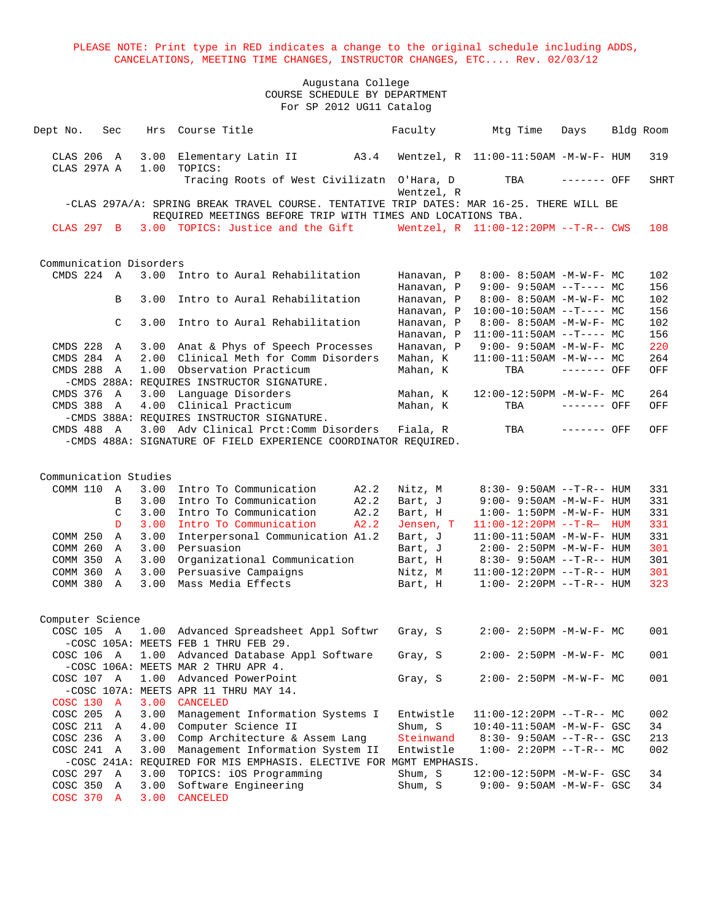| Dept No. |              | Sec              | Hrs                     | Course Title                                                                                                                                            | Faculty                  | Mtg Time                                             | Days         | Bldg Room  |
|----------|--------------|------------------|-------------------------|---------------------------------------------------------------------------------------------------------------------------------------------------------|--------------------------|------------------------------------------------------|--------------|------------|
|          | CLAS 206 A   |                  | 3.00                    | A3.4<br>Elementary Latin II                                                                                                                             |                          | Wentzel, $R$ 11:00-11:50AM -M-W-F- HUM               |              | 319        |
|          | CLAS 297A A  |                  | 1.00                    | TOPICS:                                                                                                                                                 |                          |                                                      |              |            |
|          |              |                  |                         | Tracing Roots of West Civilizatn O'Hara, D                                                                                                              | Wentzel, R               | TBA                                                  | ------- OFF  | SHRT       |
|          |              |                  |                         | -CLAS 297A/A: SPRING BREAK TRAVEL COURSE. TENTATIVE TRIP DATES: MAR 16-25. THERE WILL BE<br>REQUIRED MEETINGS BEFORE TRIP WITH TIMES AND LOCATIONS TBA. |                          |                                                      |              |            |
|          | CLAS 297 B   |                  |                         | 3.00 TOPICS: Justice and the Gift                                                                                                                       |                          | Wentzel, R 11:00-12:20PM --T-R-- CWS                 |              | 108        |
|          |              |                  |                         |                                                                                                                                                         |                          |                                                      |              |            |
|          |              |                  | Communication Disorders |                                                                                                                                                         |                          |                                                      |              |            |
|          | $CMDS$ 224 A |                  | 3.00                    | Intro to Aural Rehabilitation                                                                                                                           | Hanavan, P               | $8:00 - 8:50AM - M - W - F - MC$                     |              | 102        |
|          |              | B                | 3.00                    | Intro to Aural Rehabilitation                                                                                                                           | Hanavan, P<br>Hanavan, P | $9:00 - 9:50AM -T--- MC$<br>$8:00-8:50AM$ -M-W-F- MC |              | 156<br>102 |
|          |              |                  |                         |                                                                                                                                                         | Hanavan, P               | $10:00-10:50AM$ --T---- MC                           |              | 156        |
|          |              | C                | 3.00                    | Intro to Aural Rehabilitation                                                                                                                           | Hanavan, P               | $8:00 - 8:50AM - M - W - F - MC$                     |              | 102        |
|          |              |                  |                         |                                                                                                                                                         | Hanavan, P               | $11:00-11:50AM$ --T---- MC                           |              | 156        |
|          | CMDS 228     | A                | 3.00                    | Anat & Phys of Speech Processes                                                                                                                         | Hanavan, P               | $9:00 - 9:50AM - M - W - F - MC$                     |              | 220        |
|          | CMDS 284     | A                | 2.00                    | Clinical Meth for Comm Disorders                                                                                                                        | Mahan, K                 | $11:00-11:50AM$ $-M-W---$ MC                         |              | 264        |
|          | CMDS 288     | Α                | 1.00                    | Observation Practicum                                                                                                                                   | Mahan, K                 | TBA                                                  | ------- OFF  | OFF        |
|          |              |                  |                         | -CMDS 288A: REQUIRES INSTRUCTOR SIGNATURE.                                                                                                              |                          |                                                      |              |            |
|          | CMDS 376     | A                | 3.00                    | Language Disorders                                                                                                                                      | Mahan, K                 | 12:00-12:50PM -M-W-F- MC                             |              | 264        |
|          | CMDS 388     | A                | 4.00                    | Clinical Practicum                                                                                                                                      | Mahan, K                 | TBA                                                  | $------$ OFF | OFF        |
|          |              |                  |                         | -CMDS 388A: REQUIRES INSTRUCTOR SIGNATURE.                                                                                                              |                          |                                                      |              |            |
|          | CMDS 488 A   |                  | 3.00                    | Adv Clinical Prct: Comm Disorders                                                                                                                       | Fiala, R                 | TBA                                                  | ------- OFF  | OFF        |
|          |              |                  |                         | -CMDS 488A: SIGNATURE OF FIELD EXPERIENCE COORDINATOR REQUIRED.                                                                                         |                          |                                                      |              |            |
|          |              |                  |                         |                                                                                                                                                         |                          |                                                      |              |            |
|          |              |                  | Communication Studies   |                                                                                                                                                         |                          |                                                      |              |            |
|          | COMM 110     | A                | 3.00                    | Intro To Communication<br>A2.2                                                                                                                          | Nitz, M                  | $8:30 - 9:50AM -T-R-- HUM$                           |              | 331        |
|          |              | В                | 3.00                    | A2.2<br>Intro To Communication                                                                                                                          | Bart, J                  | $9:00 - 9:50AM - M - W - F - HUM$                    |              | 331        |
|          |              | C                | 3.00                    | Intro To Communication<br>A2.2                                                                                                                          | Bart, H                  | $1:00 - 1:50PM - M - W - F - HUM$                    |              | 331        |
|          |              | D                | 3.00                    | Intro To Communication<br>A2.2                                                                                                                          | Jensen, T                | $11:00-12:20PM -T-R$ HUM                             |              | 331        |
|          | COMM 250     | $\mathbf{A}$     | 3.00                    | Interpersonal Communication A1.2                                                                                                                        | Bart, J                  | $11:00-11:50AM$ -M-W-F- HUM                          |              | 331        |
|          | COMM 260 A   |                  | 3.00                    | Persuasion                                                                                                                                              | Bart, J                  | $2:00 - 2:50PM -M-W-F - HUM$                         |              | 301        |
|          | COMM 350 A   |                  | 3.00                    | Organizational Communication                                                                                                                            | Bart, H                  | $8:30 - 9:50AM -T-R-- HUM$                           |              | 301        |
|          | COMM 360     | A                | 3.00                    | Persuasive Campaigns                                                                                                                                    | Nitz, M                  | $11:00-12:20PM -T-R--HUM$                            |              | 301        |
|          | COMM 380 A   |                  | 3.00                    | Mass Media Effects                                                                                                                                      | Bart, H                  | $1:00 - 2:20PM -T-R--HUM$                            |              | 323        |
|          |              |                  |                         |                                                                                                                                                         |                          |                                                      |              |            |
|          | COSC 105 A   | Computer Science |                         | 1.00 Advanced Spreadsheet Appl Softwr                                                                                                                   | Gray, S                  | $2:00 - 2:50PM -M-W-F - MC$                          |              | 001        |
|          |              |                  |                         | -COSC 105A: MEETS FEB 1 THRU FEB 29.                                                                                                                    |                          |                                                      |              |            |
|          | COSC 106 A   |                  | 1.00                    | Advanced Database Appl Software                                                                                                                         | Gray, S                  | 2:00- 2:50PM -M-W-F- MC                              |              | 001        |
|          |              |                  |                         | -COSC 106A: MEETS MAR 2 THRU APR 4.                                                                                                                     |                          |                                                      |              |            |
|          | COSC 107 A   |                  | 1.00                    | Advanced PowerPoint                                                                                                                                     | Gray, S                  | $2:00 - 2:50PM -M-W-F - MC$                          |              | 001        |
|          |              |                  |                         | -COSC 107A: MEETS APR 11 THRU MAY 14.                                                                                                                   |                          |                                                      |              |            |
|          | COSC 130 A   |                  | 3.00                    | <b>CANCELED</b>                                                                                                                                         |                          |                                                      |              |            |
|          | COSC 205 A   |                  | 3.00                    | Management Information Systems I                                                                                                                        | Entwistle                | $11:00-12:20PM -T-R-- MC$                            |              | 002        |
|          | COSC 211     | A                | 4.00                    | Computer Science II                                                                                                                                     | Shum, S                  | $10:40-11:50AM$ -M-W-F- GSC                          |              | 34         |
|          | COSC 236 A   |                  | 3.00                    | Comp Architecture & Assem Lang                                                                                                                          | Steinwand                | $8:30 - 9:50AM -T-R--GSC$                            |              | 213        |
|          | COSC 241 A   |                  | 3.00                    | Management Information System II                                                                                                                        | Entwistle                | $1:00-2:20PM -T-R--MC$                               |              | 002        |
|          |              |                  |                         | -COSC 241A: REQUIRED FOR MIS EMPHASIS. ELECTIVE FOR MGMT EMPHASIS.                                                                                      |                          |                                                      |              |            |
|          | COSC 297 A   |                  | 3.00                    | TOPICS: iOS Programming                                                                                                                                 | Shum, S                  | 12:00-12:50PM -M-W-F- GSC                            |              | 34         |
|          | COSC 350 A   |                  | 3.00                    | Software Engineering                                                                                                                                    | Shum, S                  | 9:00- 9:50AM -M-W-F- GSC                             |              | 34         |
|          | COSC 370 A   |                  | 3.00                    | CANCELED                                                                                                                                                |                          |                                                      |              |            |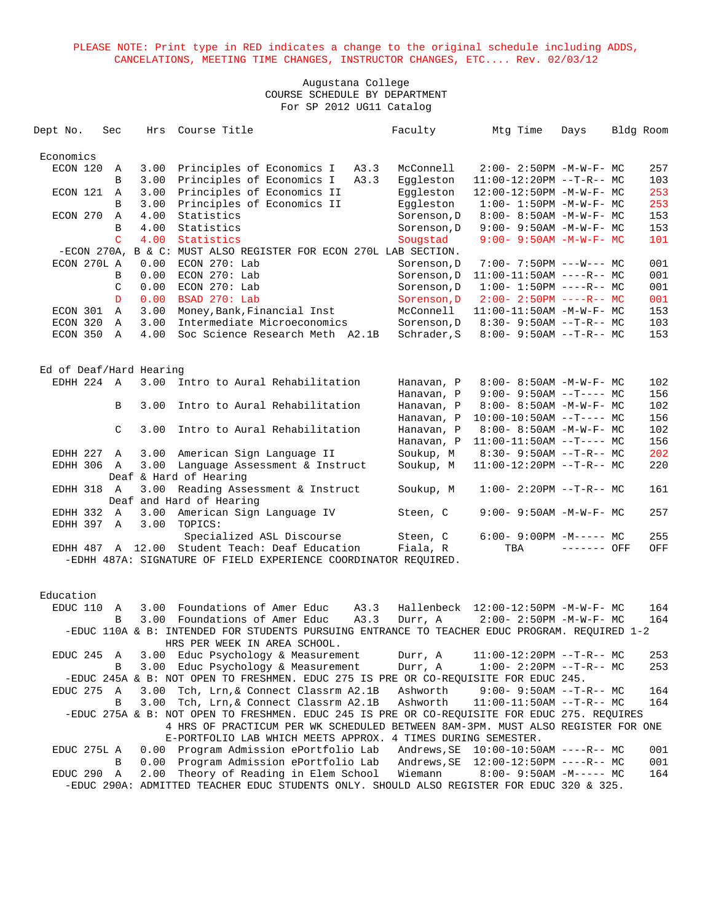| Dept No.             | Sec            | Hrs                     | Course Title                                                                                  | Faculty                    | Mtg Time                                                 | Days        | Bldg Room  |
|----------------------|----------------|-------------------------|-----------------------------------------------------------------------------------------------|----------------------------|----------------------------------------------------------|-------------|------------|
|                      |                |                         |                                                                                               |                            |                                                          |             |            |
| Economics            |                |                         |                                                                                               |                            |                                                          |             |            |
| ECON 120             | Α              | 3.00                    | Principles of Economics I<br>A3.3                                                             | McConnell                  | $2:00-2:50PM -M-W-F-MC$                                  |             | 257        |
|                      | В              | 3.00                    | Principles of Economics I<br>A3.3                                                             | Eqqleston                  | $11:00-12:20PM$ --T-R-- MC                               |             | 103        |
| ECON 121             | A              | 3.00                    | Principles of Economics II                                                                    | Eqqleston                  | 12:00-12:50PM -M-W-F- MC                                 |             | 253        |
|                      | B              | 3.00                    | Principles of Economics II                                                                    | Eggleston                  | $1:00 - 1:50PM - M - W - F - MC$                         |             | 253        |
| ECON 270             | Α              | 4.00                    | Statistics                                                                                    | Sorenson, D                | $8:00 - 8:50AM - M - W - F - MC$                         |             | 153        |
|                      | B              | 4.00                    | Statistics                                                                                    | Sorenson, D                | $9:00 - 9:50AM - M - W - F - MC$                         |             | 153        |
|                      | C.             | 4.00                    | Statistics                                                                                    | Sougstad                   | $9:00 - 9:50AM - M - W - F - MC$                         |             | 101        |
|                      |                |                         | -ECON 270A, B & C: MUST ALSO REGISTER FOR ECON 270L LAB SECTION.                              |                            |                                                          |             |            |
| ECON 270L A          |                | 0.00                    | $ECON$ 270: Lab                                                                               | Sorenson, D                | $7:00 - 7:50PM$ ---W--- MC<br>$11:00-11:50AM$ ----R-- MC |             | 001        |
|                      | B              | 0.00                    | $ECON$ 270: Lab                                                                               | Sorenson, D                |                                                          |             | 001        |
|                      | C              | 0.00                    | $ECON$ 270: Lab<br>BSAD 270: Lab                                                              | Sorenson, D                | $1:00-1:50PM$ ----R-- MC                                 |             | 001        |
|                      | D              | 0.00                    |                                                                                               | Sorenson, D                | $2:00 - 2:50PM$ ----R-- MC                               |             | 001        |
| ECON 301<br>ECON 320 | Α<br>A         | 3.00<br>3.00            | Money, Bank, Financial Inst<br>Intermediate Microeconomics                                    | McConnell                  | 11:00-11:50AM -M-W-F- MC<br>$8:30 - 9:50AM -T-R--MC$     |             | 153<br>103 |
| ECON 350 A           |                | 4.00                    | Soc Science Research Meth A2.1B                                                               | Sorenson, D<br>Schrader, S | $8:00 - 9:50AM -T-R--MC$                                 |             | 153        |
|                      |                |                         |                                                                                               |                            |                                                          |             |            |
|                      |                |                         |                                                                                               |                            |                                                          |             |            |
|                      |                | Ed of Deaf/Hard Hearing |                                                                                               |                            |                                                          |             |            |
| EDHH 224 A           |                | 3.00                    | Intro to Aural Rehabilitation                                                                 | Hanavan, P                 | 8:00- 8:50AM -M-W-F- MC                                  |             | 102        |
|                      |                |                         |                                                                                               | Hanavan, P                 | $9:00 - 9:50AM -T--- MC$                                 |             | 156        |
|                      | B              | 3.00                    | Intro to Aural Rehabilitation                                                                 | Hanavan, P                 | $8:00-8:50AM$ -M-W-F- MC                                 |             | 102        |
|                      |                |                         |                                                                                               | Hanavan, P                 | $10:00-10:50AM$ --T---- MC                               |             | 156        |
|                      | $\mathcal{C}$  | 3.00                    | Intro to Aural Rehabilitation                                                                 | Hanavan, P                 | 8:00- 8:50AM -M-W-F- MC                                  |             | 102        |
|                      |                |                         |                                                                                               | Hanavan, P                 | $11:00-11:50AM$ --T---- MC                               |             | 156        |
| EDHH 227 A           |                | 3.00                    | American Sign Language II                                                                     | Soukup, M                  | $8:30 - 9:50AM -T-R--MC$                                 |             | 202        |
| EDHH 306             | $\overline{A}$ | 3.00                    | Language Assessment & Instruct                                                                | Soukup, M                  | $11:00-12:20PM$ --T-R-- MC                               |             | 220        |
|                      |                |                         | Deaf & Hard of Hearing                                                                        |                            |                                                          |             |            |
| EDHH 318 A           |                | 3.00                    | Reading Assessment & Instruct                                                                 | Soukup, M                  | $1:00-2:20PM -T-R--MC$                                   |             | 161        |
|                      |                |                         | Deaf and Hard of Hearing                                                                      |                            |                                                          |             |            |
| EDHH 332             | A              | 3.00                    | American Sign Language IV                                                                     | Steen, C                   | $9:00 - 9:50AM - M-W-F - MC$                             |             | 257        |
| EDHH 397             | A              | 3.00                    | TOPICS:                                                                                       |                            |                                                          |             |            |
|                      |                |                         | Specialized ASL Discourse                                                                     | Steen, C                   | $6:00-9:00PM -M--- - M$                                  |             | 255        |
|                      |                |                         | EDHH 487 A 12.00 Student Teach: Deaf Education                                                | Fiala, R                   | TBA                                                      | ------- OFF | OFF        |
|                      |                |                         | -EDHH 487A: SIGNATURE OF FIELD EXPERIENCE COORDINATOR REOUIRED.                               |                            |                                                          |             |            |
|                      |                |                         |                                                                                               |                            |                                                          |             |            |
| Education            |                |                         |                                                                                               |                            |                                                          |             |            |
| EDUC 110             | A              |                         | 3.00 Foundations of Amer Educ<br>A3.3                                                         |                            | Hallenbeck 12:00-12:50PM -M-W-F- MC                      |             | 164        |
|                      | B              | 3.00                    | Foundations of Amer Educ<br>A3.3                                                              | Durr, A                    | $2:00 - 2:50PM -M-W-F-MC$                                |             | 164        |
|                      |                |                         | -EDUC 110A & B: INTENDED FOR STUDENTS PURSUING ENTRANCE TO TEACHER EDUC PROGRAM. REOUIRED 1-2 |                            |                                                          |             |            |
|                      |                |                         | HRS PER WEEK IN AREA SCHOOL.                                                                  |                            |                                                          |             |            |
| EDUC 245             | A              |                         | 3.00 Educ Psychology & Measurement                                                            | Durr, A                    | $11:00-12:20PM$ --T-R-- MC                               |             | 253        |
|                      | В              | 3.00                    | Educ Psychology & Measurement                                                                 | Durr, A                    | $1:00-2:20PM -T-R--MC$                                   |             | 253        |
|                      |                |                         | -EDUC 245A & B: NOT OPEN TO FRESHMEN. EDUC 275 IS PRE OR CO-REQUISITE FOR EDUC 245.           |                            |                                                          |             |            |
| EDUC 275             | A              | 3.00                    | Tch, Lrn, & Connect Classrm A2.1B                                                             | Ashworth                   | $9:00 - 9:50AM -T-R-- MC$                                |             | 164        |
|                      | В              | 3.00                    | Tch, Lrn, & Connect Classrm A2.1B                                                             | Ashworth                   | $11:00-11:50AM$ --T-R-- MC                               |             | 164        |
|                      |                |                         | -EDUC 275A & B: NOT OPEN TO FRESHMEN. EDUC 245 IS PRE OR CO-REQUISITE FOR EDUC 275. REQUIRES  |                            |                                                          |             |            |
|                      |                |                         | 4 HRS OF PRACTICUM PER WK SCHEDULED BETWEEN 8AM-3PM. MUST ALSO REGISTER FOR ONE               |                            |                                                          |             |            |
|                      |                |                         | E-PORTFOLIO LAB WHICH MEETS APPROX.                                                           | 4 TIMES DURING SEMESTER.   |                                                          |             |            |
| EDUC 275L A          |                | 0.00                    | Program Admission ePortfolio Lab                                                              | Andrews, SE                | $10:00-10:50AM$ ----R-- MC                               |             | 001        |
|                      | В              | 0.00                    | Program Admission ePortfolio Lab                                                              | Andrews, SE                | 12:00-12:50PM ----R-- MC                                 |             | 001        |
| EDUC 290             | Α              | 2.00                    | Theory of Reading in Elem School                                                              | Wiemann                    | $8:00 - 9:50AM - M--- M$                                 |             | 164        |
|                      |                |                         | -EDUC 290A: ADMITTED TEACHER EDUC STUDENTS ONLY. SHOULD ALSO REGISTER FOR EDUC 320 & 325.     |                            |                                                          |             |            |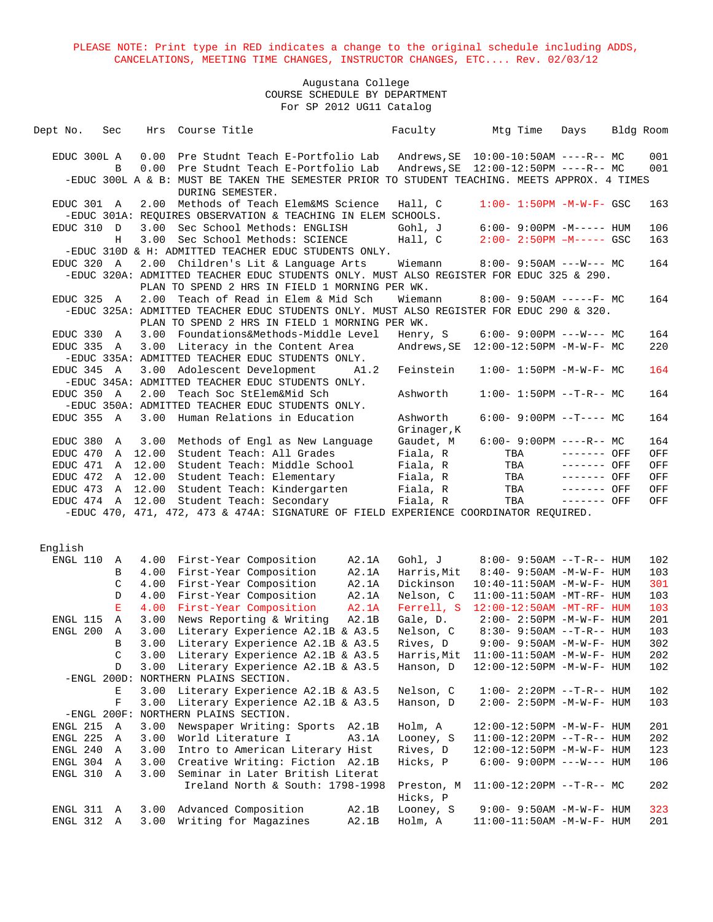| EDUC 300L A<br>0.00<br>Pre Studnt Teach E-Portfolio Lab<br>0.00<br>Pre Studnt Teach E-Portfolio Lab<br>B<br>-EDUC 300L A & B: MUST BE TAKEN THE SEMESTER PRIOR TO STUDENT TEACHING. MEETS APPROX. 4 TIMES<br>DURING SEMESTER.<br>Methods of Teach Elem&MS Science<br>EDUC 301 A<br>2.00<br>Hall, C<br>$1:00 - 1:50PM - M - W - F - GSC$<br>-EDUC 301A: REQUIRES OBSERVATION & TEACHING IN ELEM SCHOOLS.<br>EDUC 310<br>3.00<br>Sec School Methods: ENGLISH<br>Gohl, J<br>$6:00 - 9:00PM -M---$ HUM<br>$\mathbb{D}$<br>3.00<br>Sec School Methods: SCIENCE<br>Hall, C<br>$2:00 - 2:50PM$ $-M---$ GSC<br>Н<br>-EDUC 310D & H: ADMITTED TEACHER EDUC STUDENTS ONLY.<br>2.00 Children's Lit & Language Arts<br>EDUC 320 A<br>Wiemann<br>$8:00 - 9:50AM$ ---W--- MC<br>-EDUC 320A: ADMITTED TEACHER EDUC STUDENTS ONLY. MUST ALSO REGISTER FOR EDUC 325 & 290.<br>PLAN TO SPEND 2 HRS IN FIELD 1 MORNING PER WK.<br>EDUC 325<br>2.00<br>Teach of Read in Elem & Mid Sch<br>$8:00 - 9:50AM$ -----F- MC<br>A<br>Wiemann<br>-EDUC 325A: ADMITTED TEACHER EDUC STUDENTS ONLY. MUST ALSO REGISTER FOR EDUC 290 & 320.<br>PLAN TO SPEND 2 HRS IN FIELD 1 MORNING PER WK.<br>Foundations&Methods-Middle Level<br>EDUC 330<br>3.00<br>Henry, S<br>$6:00 - 9:00PM$ ---W--- MC<br>A<br>EDUC 335 A<br>3.00<br>Literacy in the Content Area<br>-EDUC 335A: ADMITTED TEACHER EDUC STUDENTS ONLY.<br>EDUC 345 A<br>3.00 Adolescent Development<br>A1.2<br>Feinstein<br>$1:00 - 1:50PM - M - W - F - MC$<br>-EDUC 345A: ADMITTED TEACHER EDUC STUDENTS ONLY.<br>2.00<br>Teach Soc StElem&Mid Sch<br>$1:00 - 1:50PM -T-R-- MC$<br>EDUC 350 A<br>Ashworth | 001<br>001<br>163<br>106<br>163<br>164<br>164 |
|-------------------------------------------------------------------------------------------------------------------------------------------------------------------------------------------------------------------------------------------------------------------------------------------------------------------------------------------------------------------------------------------------------------------------------------------------------------------------------------------------------------------------------------------------------------------------------------------------------------------------------------------------------------------------------------------------------------------------------------------------------------------------------------------------------------------------------------------------------------------------------------------------------------------------------------------------------------------------------------------------------------------------------------------------------------------------------------------------------------------------------------------------------------------------------------------------------------------------------------------------------------------------------------------------------------------------------------------------------------------------------------------------------------------------------------------------------------------------------------------------------------------------------------------------------------------------------------------------------------------------------------|-----------------------------------------------|
|                                                                                                                                                                                                                                                                                                                                                                                                                                                                                                                                                                                                                                                                                                                                                                                                                                                                                                                                                                                                                                                                                                                                                                                                                                                                                                                                                                                                                                                                                                                                                                                                                                     |                                               |
|                                                                                                                                                                                                                                                                                                                                                                                                                                                                                                                                                                                                                                                                                                                                                                                                                                                                                                                                                                                                                                                                                                                                                                                                                                                                                                                                                                                                                                                                                                                                                                                                                                     |                                               |
|                                                                                                                                                                                                                                                                                                                                                                                                                                                                                                                                                                                                                                                                                                                                                                                                                                                                                                                                                                                                                                                                                                                                                                                                                                                                                                                                                                                                                                                                                                                                                                                                                                     |                                               |
|                                                                                                                                                                                                                                                                                                                                                                                                                                                                                                                                                                                                                                                                                                                                                                                                                                                                                                                                                                                                                                                                                                                                                                                                                                                                                                                                                                                                                                                                                                                                                                                                                                     |                                               |
|                                                                                                                                                                                                                                                                                                                                                                                                                                                                                                                                                                                                                                                                                                                                                                                                                                                                                                                                                                                                                                                                                                                                                                                                                                                                                                                                                                                                                                                                                                                                                                                                                                     |                                               |
|                                                                                                                                                                                                                                                                                                                                                                                                                                                                                                                                                                                                                                                                                                                                                                                                                                                                                                                                                                                                                                                                                                                                                                                                                                                                                                                                                                                                                                                                                                                                                                                                                                     |                                               |
|                                                                                                                                                                                                                                                                                                                                                                                                                                                                                                                                                                                                                                                                                                                                                                                                                                                                                                                                                                                                                                                                                                                                                                                                                                                                                                                                                                                                                                                                                                                                                                                                                                     |                                               |
|                                                                                                                                                                                                                                                                                                                                                                                                                                                                                                                                                                                                                                                                                                                                                                                                                                                                                                                                                                                                                                                                                                                                                                                                                                                                                                                                                                                                                                                                                                                                                                                                                                     |                                               |
|                                                                                                                                                                                                                                                                                                                                                                                                                                                                                                                                                                                                                                                                                                                                                                                                                                                                                                                                                                                                                                                                                                                                                                                                                                                                                                                                                                                                                                                                                                                                                                                                                                     |                                               |
|                                                                                                                                                                                                                                                                                                                                                                                                                                                                                                                                                                                                                                                                                                                                                                                                                                                                                                                                                                                                                                                                                                                                                                                                                                                                                                                                                                                                                                                                                                                                                                                                                                     |                                               |
|                                                                                                                                                                                                                                                                                                                                                                                                                                                                                                                                                                                                                                                                                                                                                                                                                                                                                                                                                                                                                                                                                                                                                                                                                                                                                                                                                                                                                                                                                                                                                                                                                                     |                                               |
|                                                                                                                                                                                                                                                                                                                                                                                                                                                                                                                                                                                                                                                                                                                                                                                                                                                                                                                                                                                                                                                                                                                                                                                                                                                                                                                                                                                                                                                                                                                                                                                                                                     |                                               |
|                                                                                                                                                                                                                                                                                                                                                                                                                                                                                                                                                                                                                                                                                                                                                                                                                                                                                                                                                                                                                                                                                                                                                                                                                                                                                                                                                                                                                                                                                                                                                                                                                                     |                                               |
|                                                                                                                                                                                                                                                                                                                                                                                                                                                                                                                                                                                                                                                                                                                                                                                                                                                                                                                                                                                                                                                                                                                                                                                                                                                                                                                                                                                                                                                                                                                                                                                                                                     |                                               |
|                                                                                                                                                                                                                                                                                                                                                                                                                                                                                                                                                                                                                                                                                                                                                                                                                                                                                                                                                                                                                                                                                                                                                                                                                                                                                                                                                                                                                                                                                                                                                                                                                                     | 164                                           |
|                                                                                                                                                                                                                                                                                                                                                                                                                                                                                                                                                                                                                                                                                                                                                                                                                                                                                                                                                                                                                                                                                                                                                                                                                                                                                                                                                                                                                                                                                                                                                                                                                                     | 220                                           |
|                                                                                                                                                                                                                                                                                                                                                                                                                                                                                                                                                                                                                                                                                                                                                                                                                                                                                                                                                                                                                                                                                                                                                                                                                                                                                                                                                                                                                                                                                                                                                                                                                                     |                                               |
|                                                                                                                                                                                                                                                                                                                                                                                                                                                                                                                                                                                                                                                                                                                                                                                                                                                                                                                                                                                                                                                                                                                                                                                                                                                                                                                                                                                                                                                                                                                                                                                                                                     | 164                                           |
|                                                                                                                                                                                                                                                                                                                                                                                                                                                                                                                                                                                                                                                                                                                                                                                                                                                                                                                                                                                                                                                                                                                                                                                                                                                                                                                                                                                                                                                                                                                                                                                                                                     |                                               |
|                                                                                                                                                                                                                                                                                                                                                                                                                                                                                                                                                                                                                                                                                                                                                                                                                                                                                                                                                                                                                                                                                                                                                                                                                                                                                                                                                                                                                                                                                                                                                                                                                                     | 164                                           |
| -EDUC 350A: ADMITTED TEACHER EDUC STUDENTS ONLY.                                                                                                                                                                                                                                                                                                                                                                                                                                                                                                                                                                                                                                                                                                                                                                                                                                                                                                                                                                                                                                                                                                                                                                                                                                                                                                                                                                                                                                                                                                                                                                                    |                                               |
| EDUC 355 A<br>3.00<br>Human Relations in Education<br>$6:00 - 9:00PM -T--- MC$<br>Ashworth                                                                                                                                                                                                                                                                                                                                                                                                                                                                                                                                                                                                                                                                                                                                                                                                                                                                                                                                                                                                                                                                                                                                                                                                                                                                                                                                                                                                                                                                                                                                          | 164                                           |
| Grinager, K                                                                                                                                                                                                                                                                                                                                                                                                                                                                                                                                                                                                                                                                                                                                                                                                                                                                                                                                                                                                                                                                                                                                                                                                                                                                                                                                                                                                                                                                                                                                                                                                                         |                                               |
| Methods of Engl as New Language<br>Gaudet, M<br>$6:00-9:00PM$ ----R-- MC<br>EDUC 380<br>3.00<br>Α                                                                                                                                                                                                                                                                                                                                                                                                                                                                                                                                                                                                                                                                                                                                                                                                                                                                                                                                                                                                                                                                                                                                                                                                                                                                                                                                                                                                                                                                                                                                   | 164                                           |
| EDUC 470<br>A 12.00<br>Student Teach: All Grades<br>Fiala, R<br>$------$ OFF<br>TBA                                                                                                                                                                                                                                                                                                                                                                                                                                                                                                                                                                                                                                                                                                                                                                                                                                                                                                                                                                                                                                                                                                                                                                                                                                                                                                                                                                                                                                                                                                                                                 | OFF                                           |
| EDUC 471<br>A 12.00<br>Student Teach: Middle School<br>TBA<br>Fiala, R<br>------- OFF                                                                                                                                                                                                                                                                                                                                                                                                                                                                                                                                                                                                                                                                                                                                                                                                                                                                                                                                                                                                                                                                                                                                                                                                                                                                                                                                                                                                                                                                                                                                               | OFF                                           |
| EDUC 472<br>12.00<br>Student Teach: Elementary<br>Fiala, R<br>TBA<br>------- OFF<br>A                                                                                                                                                                                                                                                                                                                                                                                                                                                                                                                                                                                                                                                                                                                                                                                                                                                                                                                                                                                                                                                                                                                                                                                                                                                                                                                                                                                                                                                                                                                                               | OFF                                           |
| $------$ OFF<br>EDUC 473<br>12.00<br>Student Teach: Kindergarten<br>Fiala, R<br>TBA<br>A                                                                                                                                                                                                                                                                                                                                                                                                                                                                                                                                                                                                                                                                                                                                                                                                                                                                                                                                                                                                                                                                                                                                                                                                                                                                                                                                                                                                                                                                                                                                            | OFF                                           |
| $-----$ OFF<br>EDUC 474 A 12.00<br>Student Teach: Secondary<br>Fiala, R<br>TBA                                                                                                                                                                                                                                                                                                                                                                                                                                                                                                                                                                                                                                                                                                                                                                                                                                                                                                                                                                                                                                                                                                                                                                                                                                                                                                                                                                                                                                                                                                                                                      | OFF                                           |
| -EDUC 470, 471, 472, 473 & 474A: SIGNATURE OF FIELD EXPERIENCE COORDINATOR REQUIRED.                                                                                                                                                                                                                                                                                                                                                                                                                                                                                                                                                                                                                                                                                                                                                                                                                                                                                                                                                                                                                                                                                                                                                                                                                                                                                                                                                                                                                                                                                                                                                |                                               |
|                                                                                                                                                                                                                                                                                                                                                                                                                                                                                                                                                                                                                                                                                                                                                                                                                                                                                                                                                                                                                                                                                                                                                                                                                                                                                                                                                                                                                                                                                                                                                                                                                                     |                                               |
| English                                                                                                                                                                                                                                                                                                                                                                                                                                                                                                                                                                                                                                                                                                                                                                                                                                                                                                                                                                                                                                                                                                                                                                                                                                                                                                                                                                                                                                                                                                                                                                                                                             |                                               |
| First-Year Composition<br>Gohl, J<br>$8:00 - 9:50AM -T-R-- HUM$<br>ENGL 110<br>4.00<br>A2.1A<br>Α                                                                                                                                                                                                                                                                                                                                                                                                                                                                                                                                                                                                                                                                                                                                                                                                                                                                                                                                                                                                                                                                                                                                                                                                                                                                                                                                                                                                                                                                                                                                   | 102                                           |
| First-Year Composition<br>A2.1A<br>Harris, Mit<br>В<br>4.00<br>$8:40 - 9:50AM - M - W - F - HUM$                                                                                                                                                                                                                                                                                                                                                                                                                                                                                                                                                                                                                                                                                                                                                                                                                                                                                                                                                                                                                                                                                                                                                                                                                                                                                                                                                                                                                                                                                                                                    | 103                                           |
| C<br>4.00<br>First-Year Composition<br>A2.1A<br>Dickinson<br>10:40-11:50AM -M-W-F- HUM                                                                                                                                                                                                                                                                                                                                                                                                                                                                                                                                                                                                                                                                                                                                                                                                                                                                                                                                                                                                                                                                                                                                                                                                                                                                                                                                                                                                                                                                                                                                              | 301                                           |
| 4.00<br>First-Year Composition<br>A2.1A<br>D<br>Nelson, C<br>11:00-11:50AM -MT-RF- HUM                                                                                                                                                                                                                                                                                                                                                                                                                                                                                                                                                                                                                                                                                                                                                                                                                                                                                                                                                                                                                                                                                                                                                                                                                                                                                                                                                                                                                                                                                                                                              | 103                                           |
|                                                                                                                                                                                                                                                                                                                                                                                                                                                                                                                                                                                                                                                                                                                                                                                                                                                                                                                                                                                                                                                                                                                                                                                                                                                                                                                                                                                                                                                                                                                                                                                                                                     | 103                                           |
|                                                                                                                                                                                                                                                                                                                                                                                                                                                                                                                                                                                                                                                                                                                                                                                                                                                                                                                                                                                                                                                                                                                                                                                                                                                                                                                                                                                                                                                                                                                                                                                                                                     |                                               |
| $\mathbf{E}% _{0}$<br>4.00<br>First-Year Composition<br>A2.1A<br>Ferrell, S<br>12:00-12:50AM -MT-RF- HUM                                                                                                                                                                                                                                                                                                                                                                                                                                                                                                                                                                                                                                                                                                                                                                                                                                                                                                                                                                                                                                                                                                                                                                                                                                                                                                                                                                                                                                                                                                                            |                                               |
| ENGL 115<br>3.00<br>News Reporting & Writing<br>A2.1B<br>Gale, D.<br>$2:00 - 2:50PM -M-W-F - HUM$<br>A                                                                                                                                                                                                                                                                                                                                                                                                                                                                                                                                                                                                                                                                                                                                                                                                                                                                                                                                                                                                                                                                                                                                                                                                                                                                                                                                                                                                                                                                                                                              | 201                                           |
| ENGL 200<br>3.00<br>Literary Experience A2.1B & A3.5<br>8:30- 9:50AM --T-R-- HUM<br>Α<br>Nelson, C                                                                                                                                                                                                                                                                                                                                                                                                                                                                                                                                                                                                                                                                                                                                                                                                                                                                                                                                                                                                                                                                                                                                                                                                                                                                                                                                                                                                                                                                                                                                  | 103                                           |
| Literary Experience A2.1B & A3.5<br>9:00- 9:50AM -M-W-F- HUM<br>B<br>3.00<br>Rives, D                                                                                                                                                                                                                                                                                                                                                                                                                                                                                                                                                                                                                                                                                                                                                                                                                                                                                                                                                                                                                                                                                                                                                                                                                                                                                                                                                                                                                                                                                                                                               | 302                                           |
| 3.00 Literary Experience A2.1B & A3.5<br>Harris, Mit<br>11:00-11:50AM -M-W-F- HUM<br>C                                                                                                                                                                                                                                                                                                                                                                                                                                                                                                                                                                                                                                                                                                                                                                                                                                                                                                                                                                                                                                                                                                                                                                                                                                                                                                                                                                                                                                                                                                                                              | 202                                           |
| Literary Experience A2.1B & A3.5<br>Hanson, D<br>D<br>3.00<br>12:00-12:50PM -M-W-F- HUM                                                                                                                                                                                                                                                                                                                                                                                                                                                                                                                                                                                                                                                                                                                                                                                                                                                                                                                                                                                                                                                                                                                                                                                                                                                                                                                                                                                                                                                                                                                                             | 102                                           |
| -ENGL 200D: NORTHERN PLAINS SECTION.                                                                                                                                                                                                                                                                                                                                                                                                                                                                                                                                                                                                                                                                                                                                                                                                                                                                                                                                                                                                                                                                                                                                                                                                                                                                                                                                                                                                                                                                                                                                                                                                |                                               |
| 3.00<br>Literary Experience A2.1B & A3.5<br>Nelson, C<br>$1:00 - 2:20PM -T-R--HUM$<br>Е                                                                                                                                                                                                                                                                                                                                                                                                                                                                                                                                                                                                                                                                                                                                                                                                                                                                                                                                                                                                                                                                                                                                                                                                                                                                                                                                                                                                                                                                                                                                             | 102                                           |
| $\mathbf F$<br>3.00<br>Literary Experience A2.1B & A3.5<br>Hanson, D<br>2:00- 2:50PM -M-W-F- HUM                                                                                                                                                                                                                                                                                                                                                                                                                                                                                                                                                                                                                                                                                                                                                                                                                                                                                                                                                                                                                                                                                                                                                                                                                                                                                                                                                                                                                                                                                                                                    | 103                                           |
| -ENGL 200F: NORTHERN PLAINS SECTION.<br>A<br>A2.1B                                                                                                                                                                                                                                                                                                                                                                                                                                                                                                                                                                                                                                                                                                                                                                                                                                                                                                                                                                                                                                                                                                                                                                                                                                                                                                                                                                                                                                                                                                                                                                                  |                                               |
| ENGL 215<br>3.00<br>Newspaper Writing: Sports<br>Holm, A<br>12:00-12:50PM -M-W-F- HUM<br>World Literature I<br>A3.1A                                                                                                                                                                                                                                                                                                                                                                                                                                                                                                                                                                                                                                                                                                                                                                                                                                                                                                                                                                                                                                                                                                                                                                                                                                                                                                                                                                                                                                                                                                                | 201                                           |
| 3.00<br>ENGL 225<br>Looney, S<br>Α<br>$11:00-12:20PM -T-R--HUM$                                                                                                                                                                                                                                                                                                                                                                                                                                                                                                                                                                                                                                                                                                                                                                                                                                                                                                                                                                                                                                                                                                                                                                                                                                                                                                                                                                                                                                                                                                                                                                     | 202                                           |
| 3.00<br>Intro to American Literary Hist<br>Rives, D<br>ENGL 240<br>A<br>12:00-12:50PM -M-W-F- HUM                                                                                                                                                                                                                                                                                                                                                                                                                                                                                                                                                                                                                                                                                                                                                                                                                                                                                                                                                                                                                                                                                                                                                                                                                                                                                                                                                                                                                                                                                                                                   | 123                                           |
| 3.00<br>Creative Writing: Fiction A2.1B<br>Hicks, P<br>ENGL 304<br>$6:00 - 9:00PM$ ---W--- HUM<br>A<br>Seminar in Later British Literat<br>$\overline{A}$                                                                                                                                                                                                                                                                                                                                                                                                                                                                                                                                                                                                                                                                                                                                                                                                                                                                                                                                                                                                                                                                                                                                                                                                                                                                                                                                                                                                                                                                           | 106                                           |
| ENGL 310<br>3.00<br>Ireland North & South: 1798-1998<br>$11:00-12:20PM$ --T-R-- MC                                                                                                                                                                                                                                                                                                                                                                                                                                                                                                                                                                                                                                                                                                                                                                                                                                                                                                                                                                                                                                                                                                                                                                                                                                                                                                                                                                                                                                                                                                                                                  |                                               |
| Preston, M                                                                                                                                                                                                                                                                                                                                                                                                                                                                                                                                                                                                                                                                                                                                                                                                                                                                                                                                                                                                                                                                                                                                                                                                                                                                                                                                                                                                                                                                                                                                                                                                                          | 202                                           |
| Hicks, P<br>Advanced Composition<br>A2.1B<br>Looney, S<br>ENGL 311 A<br>3.00<br>$9:00 - 9:50AM - M - W - F - HUM$                                                                                                                                                                                                                                                                                                                                                                                                                                                                                                                                                                                                                                                                                                                                                                                                                                                                                                                                                                                                                                                                                                                                                                                                                                                                                                                                                                                                                                                                                                                   | 323                                           |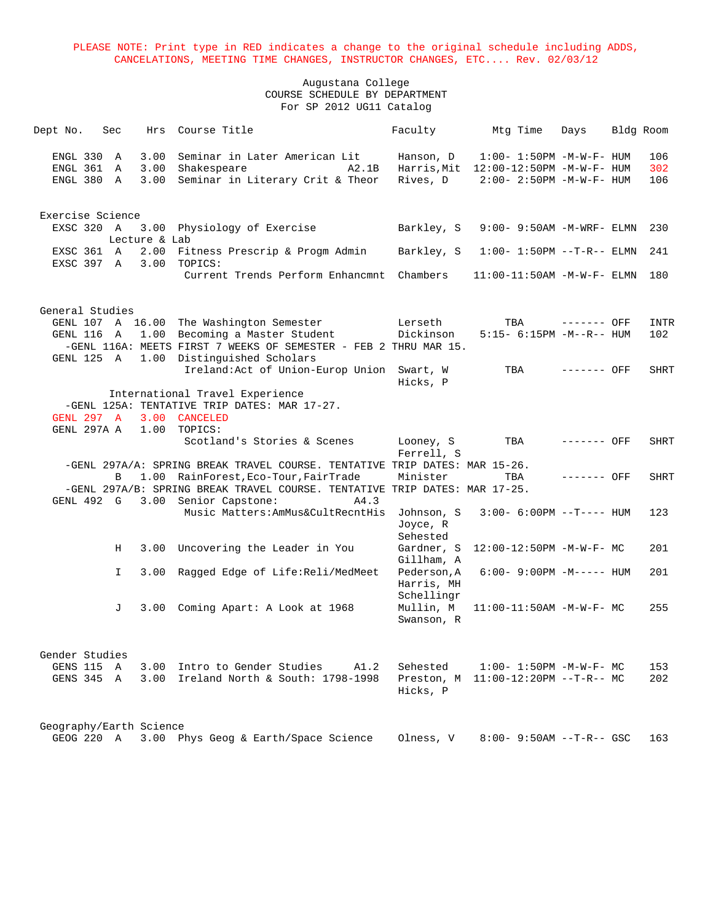| ENGL 330 A<br>3.00<br>Seminar in Later American Lit<br>$1:00 - 1:50PM -M-W-F - HUM$<br>Hanson, D<br>ENGL 361 A<br>3.00<br>Shakespeare<br>Harris, Mit 12:00-12:50PM -M-W-F- HUM<br>A2.1B<br>3.00<br>Seminar in Literary Crit & Theor<br>Rives, D<br>ENGL 380 A<br>$2:00 - 2:50PM -M-W-F - HUM$ | 106<br>302<br>106 |
|-----------------------------------------------------------------------------------------------------------------------------------------------------------------------------------------------------------------------------------------------------------------------------------------------|-------------------|
|                                                                                                                                                                                                                                                                                               |                   |
|                                                                                                                                                                                                                                                                                               |                   |
|                                                                                                                                                                                                                                                                                               |                   |
|                                                                                                                                                                                                                                                                                               |                   |
| Exercise Science                                                                                                                                                                                                                                                                              |                   |
| EXSC 320 A<br>3.00 Physiology of Exercise<br>Barkley, S<br>$9:00 - 9:50AM - M - WRF - ELMN$                                                                                                                                                                                                   | 230               |
| Lecture & Lab                                                                                                                                                                                                                                                                                 |                   |
| 2.00 Fitness Prescrip & Progm Admin<br>EXSC 361 A<br>Barkley, S<br>$1:00 - 1:50PM -T-R-- ELMN$                                                                                                                                                                                                | 241               |
| EXSC 397 A<br>3.00<br>TOPICS:                                                                                                                                                                                                                                                                 |                   |
| Current Trends Perform Enhancmnt<br>Chambers<br>$11:00-11:50AM$ -M-W-F- ELMN                                                                                                                                                                                                                  | 180               |
| General Studies                                                                                                                                                                                                                                                                               |                   |
| GENL 107 A 16.00 The Washington Semester<br>Lerseth<br>TBA<br>------- OFF                                                                                                                                                                                                                     | <b>INTR</b>       |
| 1.00 Becoming a Master Student<br>Dickinson<br>GENL 116 A<br>$5:15-6:15PM -M--R--HUM$                                                                                                                                                                                                         | 102               |
| -GENL 116A: MEETS FIRST 7 WEEKS OF SEMESTER - FEB 2 THRU MAR 15.                                                                                                                                                                                                                              |                   |
| 1.00 Distinguished Scholars<br>GENL 125 A                                                                                                                                                                                                                                                     |                   |
| Ireland: Act of Union-Europ Union Swart, W<br>TBA<br>$------$ OFF<br>Hicks, P                                                                                                                                                                                                                 | SHRT              |
| International Travel Experience                                                                                                                                                                                                                                                               |                   |
| -GENL 125A: TENTATIVE TRIP DATES: MAR 17-27.                                                                                                                                                                                                                                                  |                   |
| GENL 297 A<br>3.00 CANCELED                                                                                                                                                                                                                                                                   |                   |
| GENL 297A A<br>1.00<br>TOPICS:                                                                                                                                                                                                                                                                |                   |
| Scotland's Stories & Scenes<br>Looney, S<br>TBA<br>$------$ OFF<br>Ferrell, S                                                                                                                                                                                                                 | <b>SHRT</b>       |
| -GENL 297A/A: SPRING BREAK TRAVEL COURSE. TENTATIVE TRIP DATES: MAR 15-26.                                                                                                                                                                                                                    |                   |
| 1.00 RainForest, Eco-Tour, FairTrade<br>Minister<br>TBA<br>$------$ OFF<br>В                                                                                                                                                                                                                  | <b>SHRT</b>       |
| -GENL 297A/B: SPRING BREAK TRAVEL COURSE. TENTATIVE TRIP DATES: MAR 17-25.                                                                                                                                                                                                                    |                   |
| 3.00 Senior Capstone:<br>GENL 492 G<br>A4.3                                                                                                                                                                                                                                                   |                   |
| Music Matters: AmMus&CultRecntHis<br>Johnson, S<br>$3:00-6:00PM -T--- HUM$                                                                                                                                                                                                                    | 123               |
| Joyce, R                                                                                                                                                                                                                                                                                      |                   |
| Sehested                                                                                                                                                                                                                                                                                      |                   |
| Н<br>3.00<br>Uncovering the Leader in You<br>Gardner, S<br>12:00-12:50PM -M-W-F- MC<br>Gillham, A                                                                                                                                                                                             | 201               |
| Ragged Edge of Life:Reli/MedMeet<br>Pederson, A<br>I.<br>3.00<br>$6:00 - 9:00PM -M-----$ HUM                                                                                                                                                                                                  | 201               |
| Harris, MH                                                                                                                                                                                                                                                                                    |                   |
| Schellingr                                                                                                                                                                                                                                                                                    |                   |
| Mullin, M<br>3.00 Coming Apart: A Look at 1968<br>$11:00-11:50AM$ -M-W-F- MC<br>J                                                                                                                                                                                                             | 255               |
| Swanson, R                                                                                                                                                                                                                                                                                    |                   |
| Gender Studies                                                                                                                                                                                                                                                                                |                   |
| GENS 115 A<br>Intro to Gender Studies<br>3.00<br>A1.2<br>Sehested<br>$1:00 - 1:50PM - M - W - F - MC$                                                                                                                                                                                         | 153               |
| Ireland North & South: 1798-1998<br>GENS 345 A<br>3.00<br>Preston, M<br>$11:00-12:20PM$ --T-R-- MC                                                                                                                                                                                            | 202               |
| Hicks, P                                                                                                                                                                                                                                                                                      |                   |
| Geography/Earth Science                                                                                                                                                                                                                                                                       |                   |
| GEOG 220 A<br>3.00 Phys Geog & Earth/Space Science<br>Olness, V<br>$8:00 - 9:50AM -T-R--$ GSC                                                                                                                                                                                                 | 163               |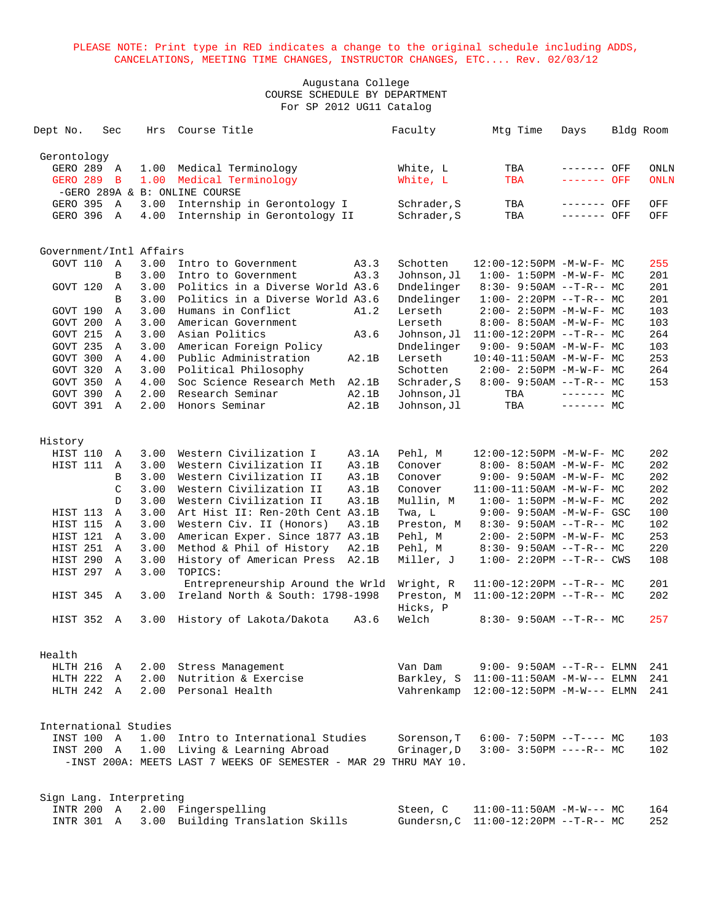| Dept No.    |                      | Sec               | Hrs                     | Course Title                                                     |       | Faculty                  | Mtg Time                                                       | Days        | Bldg Room |             |
|-------------|----------------------|-------------------|-------------------------|------------------------------------------------------------------|-------|--------------------------|----------------------------------------------------------------|-------------|-----------|-------------|
| Gerontology |                      |                   |                         |                                                                  |       |                          |                                                                |             |           |             |
|             | GERO 289             | A                 | 1.00                    | Medical Terminology                                              |       | White, L                 | TBA                                                            | ------- OFF |           | <b>ONLN</b> |
|             | GERO 289             | B                 | 1.00                    | Medical Terminology                                              |       | White, L                 | <b>TBA</b>                                                     | ------- OFF |           | <b>ONLN</b> |
|             |                      |                   |                         | -GERO 289A & B: ONLINE COURSE                                    |       |                          |                                                                |             |           |             |
|             | GERO 395             | A                 | 3.00                    | Internship in Gerontology I                                      |       | Schrader, S              | TBA                                                            | ------- OFF |           | OFF         |
|             | GERO 396             | A                 | 4.00                    | Internship in Gerontology II                                     |       | Schrader, S              | TBA                                                            | ------- OFF |           | OFF         |
|             |                      |                   |                         |                                                                  |       |                          |                                                                |             |           |             |
|             |                      |                   | Government/Intl Affairs |                                                                  |       |                          |                                                                |             |           |             |
|             | GOVT 110             | Α                 | 3.00                    | Intro to Government                                              | A3.3  | Schotten                 | 12:00-12:50PM -M-W-F- MC                                       |             |           | 255         |
|             |                      | B                 | 3.00                    | Intro to Government                                              | A3.3  | Johnson, Jl              | $1:00-1:50PM -M-W-F-MC$                                        |             |           | 201         |
|             | GOVT 120             | Α                 | 3.00                    | Politics in a Diverse World A3.6                                 |       | Dndelinger               | $8:30 - 9:50AM -T-R--MC$                                       |             |           | 201         |
|             |                      | B                 | 3.00                    | Politics in a Diverse World A3.6                                 |       | Dndelinger               | $1:00-2:20PM -T-R--MC$                                         |             |           | 201         |
|             | GOVT 190             | $\mathbf{A}$      | 3.00                    | Humans in Conflict                                               | A1.2  | Lerseth                  | $2:00 - 2:50PM -M-W-F - MC$                                    |             |           | 103         |
|             | GOVT 200<br>GOVT 215 | $\mathbb{A}$      | 3.00<br>3.00            | American Government<br>Asian Politics                            | A3.6  | Lerseth                  | $8:00 - 8:50AM - M - W - F - MC$                               |             |           | 103<br>264  |
|             | GOVT 235             | Α<br>$\mathbb{A}$ | 3.00                    | American Foreign Policy                                          |       | Johnson,Jl<br>Dndelinger | $11:00-12:20PM$ --T-R-- MC<br>$9:00 - 9:50AM - M - W - F - MC$ |             |           | 103         |
|             | GOVT 300             | A                 | 4.00                    | Public Administration                                            | A2.1B | Lerseth                  | $10:40-11:50AM$ -M-W-F- MC                                     |             |           | 253         |
|             | GOVT 320             | $\mathbb{A}$      | 3.00                    | Political Philosophy                                             |       | Schotten                 | $2:00 - 2:50PM -M-W-F - MC$                                    |             |           | 264         |
|             | GOVT 350             | A                 | 4.00                    | Soc Science Research Meth                                        | A2.1B | Schrader, S              | $8:00 - 9:50AM -T-R-- MC$                                      |             |           | 153         |
|             | GOVT 390             | Α                 | 2.00                    | Research Seminar                                                 | A2.1B | Johnson,Jl               | TBA                                                            | $------$ MC |           |             |
|             | GOVT 391             | $\mathbb{A}$      | 2.00                    | Honors Seminar                                                   | A2.1B | Johnson, Jl              | TBA                                                            | $------$ MC |           |             |
|             |                      |                   |                         |                                                                  |       |                          |                                                                |             |           |             |
| History     |                      |                   |                         |                                                                  |       |                          |                                                                |             |           |             |
|             | HIST 110             | A                 | 3.00                    | Western Civilization I                                           | A3.1A | Pehl, M                  | 12:00-12:50PM -M-W-F- MC                                       |             |           | 202         |
|             | HIST 111             | A                 | 3.00                    | Western Civilization II                                          | A3.1B | Conover                  | $8:00 - 8:50AM - M - W - F - MC$                               |             |           | 202         |
|             |                      | B                 | 3.00                    | Western Civilization II                                          | A3.1B | Conover                  | $9:00 - 9:50AM - M - W - F - MC$                               |             |           | 202         |
|             |                      | $\mathcal{C}$     | 3.00                    | Western Civilization II                                          | A3.1B | Conover                  | 11:00-11:50AM -M-W-F- MC                                       |             |           | 202         |
|             |                      | D                 | 3.00                    | Western Civilization II                                          | A3.1B | Mullin, M                | $1:00 - 1:50PM -M-W-F - MC$                                    |             |           | 202         |
|             | HIST 113             | Α                 | 3.00                    | Art Hist II: Ren-20th Cent A3.1B                                 |       | Twa, L                   | $9:00 - 9:50AM - M - W - F - GSC$                              |             |           | 100         |
|             | HIST 115             | Α                 | 3.00                    | Western Civ. II (Honors)                                         | A3.1B | Preston, M               | $8:30 - 9:50AM -T-R-- MC$                                      |             |           | 102         |
|             | HIST 121             | A                 | 3.00                    | American Exper. Since 1877 A3.1B                                 |       | Pehl, M                  | $2:00 - 2:50PM -M-W-F - MC$                                    |             |           | 253         |
|             | HIST 251             | $\mathbb{A}$      | 3.00                    | Method & Phil of History                                         | A2.1B | Pehl, M                  | $8:30 - 9:50AM -T-R-- MC$                                      |             |           | 220         |
|             | HIST 290             | $\mathbb{A}$      | 3.00                    | History of American Press                                        | A2.1B | Miller, J                | $1:00 - 2:20PM -T-R--CWS$                                      |             |           | 108         |
|             | HIST 297             | Α                 | 3.00                    | TOPICS:<br>Entrepreneurship Around the Wrld                      |       | Wright, R                | $11:00-12:20PM$ --T-R-- MC                                     |             |           | 201         |
|             | HIST 345             | A                 | 3.00                    | Ireland North & South: 1798-1998                                 |       | Preston, M               | $11:00-12:20PM$ --T-R-- MC                                     |             |           | 202         |
|             |                      |                   |                         |                                                                  |       | Hicks, P                 |                                                                |             |           |             |
|             | HIST 352             | Α                 | 3.00                    | History of Lakota/Dakota                                         | A3.6  | Welch                    | $8:30 - 9:50AM -T-R-- MC$                                      |             |           | 257         |
|             |                      |                   |                         |                                                                  |       |                          |                                                                |             |           |             |
| Health      |                      |                   |                         |                                                                  |       |                          |                                                                |             |           |             |
|             | HLTH 216 A           |                   |                         | 2.00 Stress Management                                           |       | Van Dam                  | $9:00 - 9:50AM -T-R--ELMN$                                     |             |           | 241         |
|             | HLTH 222 A           |                   | 2.00                    | Nutrition & Exercise                                             |       | Barkley, S               | 11:00-11:50AM -M-W--- ELMN                                     |             |           | 241         |
|             | HLTH 242 A           |                   | 2.00                    | Personal Health                                                  |       | Vahrenkamp               | $12:00-12:50PM -M-W---$ ELMN                                   |             |           | 241         |
|             |                      |                   |                         |                                                                  |       |                          |                                                                |             |           |             |
|             |                      |                   | International Studies   |                                                                  |       |                          |                                                                |             |           |             |
|             | INST 100 A           |                   | 1.00                    | Intro to International Studies                                   |       | Sorenson, T              | $6:00 - 7:50PM -T--- MC$                                       |             |           | 103         |
|             | INST 200 A           |                   |                         | 1.00 Living & Learning Abroad                                    |       | Grinager, D              | $3:00 - 3:50PM$ ----R-- MC                                     |             |           | 102         |
|             |                      |                   |                         | -INST 200A: MEETS LAST 7 WEEKS OF SEMESTER - MAR 29 THRU MAY 10. |       |                          |                                                                |             |           |             |
|             |                      |                   | Sign Lang. Interpreting |                                                                  |       |                          |                                                                |             |           |             |
|             | INTR 200 A           |                   |                         | 2.00 Fingerspelling                                              |       | Steen, C                 | $11:00-11:50AM$ -M-W--- MC                                     |             |           | 164         |
|             | INTR 301 A           |                   |                         | 3.00 Building Translation Skills                                 |       |                          | Gundersn, C 11:00-12:20PM --T-R-- MC                           |             |           | 252         |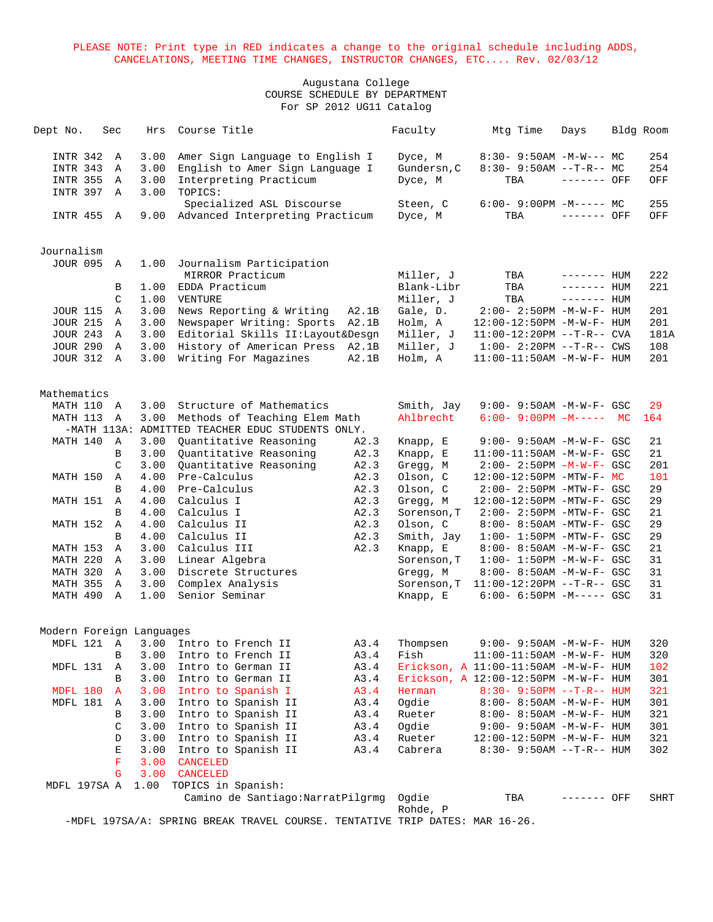# Augustana College COURSE SCHEDULE BY DEPARTMENT For SP 2012 UG11 Catalog

| Dept No.                           | Sec               | Hrs          | Course Title                                     |       | Faculty              | Mtg Time                              | Days         | Bldg Room  |
|------------------------------------|-------------------|--------------|--------------------------------------------------|-------|----------------------|---------------------------------------|--------------|------------|
| <b>INTR 342</b>                    | A                 | 3.00         | Amer Sign Language to English I                  |       | Dyce, M              | $8:30-9:50AM -M-W--- MC$              |              | 254        |
| <b>INTR 343</b>                    | Α                 | 3.00         | English to Amer Sign Language I                  |       | Gundersn, C          | $8:30 - 9:50AM -T-R-- MC$             |              | 254        |
| <b>INTR 355</b>                    | Α                 | 3.00         | Interpreting Practicum                           |       | Dyce, M              | TBA                                   | ------- OFF  | OFF        |
| INTR 397                           | Α                 | 3.00         | TOPICS:                                          |       |                      |                                       |              |            |
|                                    |                   |              | Specialized ASL Discourse                        |       | Steen, C             | $6:00 - 9:00PM -M--- MC$              |              | 255        |
| <b>INTR 455</b>                    | A                 | 9.00         | Advanced Interpreting Practicum                  |       | Dyce, M              | TBA                                   | ------- OFF  | OFF        |
|                                    |                   |              |                                                  |       |                      |                                       |              |            |
| Journalism                         |                   |              |                                                  |       |                      |                                       |              |            |
| <b>JOUR 095</b>                    | A                 | 1.00         | Journalism Participation                         |       |                      |                                       |              |            |
|                                    |                   |              | MIRROR Practicum                                 |       | Miller, J            | TBA                                   | $------$ HUM | 222        |
|                                    | В                 | 1.00         | EDDA Practicum                                   |       | Blank-Libr           | TBA                                   | $------$ HUM | 221        |
|                                    | $\mathcal{C}$     | 1.00         | VENTURE                                          |       | Miller, J            | TBA                                   | $------$ HUM |            |
| <b>JOUR 115</b>                    | Α                 | 3.00         | News Reporting & Writing                         | A2.1B | Gale, D.             | 2:00- 2:50PM -M-W-F- HUM              |              | 201        |
| <b>JOUR 215</b>                    | A                 | 3.00         | Newspaper Writing: Sports                        | A2.1B | Holm, A              | 12:00-12:50PM -M-W-F- HUM             |              | 201        |
| <b>JOUR 243</b>                    | Α                 | 3.00         | Editorial Skills II: Layout& Desgn               |       | Miller, J            | $11:00-12:20PM$ --T-R-- CVA           |              | 181A       |
| <b>JOUR 290</b><br><b>JOUR 312</b> | A<br>$\mathbb{A}$ | 3.00<br>3.00 | History of American Press                        | A2.1B | Miller, J<br>Holm, A | $1:00 - 2:20PM -T-R--CWS$             |              | 108<br>201 |
|                                    |                   |              | Writing For Magazines                            | A2.1B |                      | $11:00-11:50AM$ -M-W-F- HUM           |              |            |
| Mathematics                        |                   |              |                                                  |       |                      |                                       |              |            |
| MATH 110 A                         |                   | 3.00         | Structure of Mathematics                         |       | Smith, Jay           | 9:00- 9:50AM -M-W-F- GSC              |              | 29         |
| MATH 113                           | Α                 | 3.00         | Methods of Teaching Elem Math                    |       | Ahlbrecht            | $6:00 - 9:00PM$ $-M---$ MC            |              | 164        |
|                                    |                   |              | -MATH 113A: ADMITTED TEACHER EDUC STUDENTS ONLY. |       |                      |                                       |              |            |
| MATH 140                           | A                 | 3.00         | Quantitative Reasoning                           | A2.3  | Knapp, E             | 9:00- 9:50AM -M-W-F- GSC              |              | 21         |
|                                    | B                 | 3.00         | Quantitative Reasoning                           | A2.3  | Knapp, E             | 11:00-11:50AM -M-W-F- GSC             |              | 21         |
|                                    | C                 | 3.00         | Quantitative Reasoning                           | A2.3  | Gregg, M             | $2:00 - 2:50PM - M - W - F - GSC$     |              | 201        |
| MATH 150                           | Α                 | 4.00         | Pre-Calculus                                     | A2.3  | Olson, C             | $12:00-12:50PM - MTW-F- MC$           |              | 101        |
|                                    | B                 | 4.00         | Pre-Calculus                                     | A2.3  | Olson, C             | 2:00- 2:50PM -MTW-F- GSC              |              | 29         |
| MATH 151                           | Α                 | 4.00         | Calculus I                                       | A2.3  | Gregg, M             | 12:00-12:50PM -MTW-F- GSC             |              | 29         |
|                                    | B                 | 4.00         | Calculus I                                       | A2.3  | Sorenson, T          | 2:00- 2:50PM -MTW-F- GSC              |              | 21         |
| MATH 152                           | Α                 | 4.00         | Calculus II                                      | A2.3  | Olson, C             | 8:00- 8:50AM -MTW-F- GSC              |              | 29         |
|                                    | B                 | 4.00         | Calculus II                                      | A2.3  | Smith, Jay           | $1:00-1:50PM -MTW-F-GSC$              |              | 29         |
| MATH 153                           | Α                 | 3.00         | Calculus III                                     | A2.3  | Knapp, E             | 8:00- 8:50AM -M-W-F- GSC              |              | 21         |
| MATH 220                           | A                 | 3.00         | Linear Algebra                                   |       | Sorenson, T          | $1:00 - 1:50PM -M-W-F - GSC$          |              | 31         |
| MATH 320                           | A                 | 3.00         | Discrete Structures                              |       | Gregg, M             | 8:00- 8:50AM -M-W-F- GSC              |              | 31         |
| MATH 355                           | $\mathbb A$       | 3.00         | Complex Analysis                                 |       | Sorenson, T          | $11:00-12:20PM -T-R--GSC$             |              | 31         |
| MATH 490                           | $\mathbb{A}$      | 1.00         | Senior Seminar                                   |       | Knapp, E             | $6:00 - 6:50PM -M--- GSC$             |              | 31         |
| Modern Foreign Languages           |                   |              |                                                  |       |                      |                                       |              |            |
|                                    |                   |              | MDFL 121 A 3.00 Intro to French II               | A3.4  | Thompsen             | $9:00 - 9:50AM - M - W - F - HUM$     |              | 320        |
|                                    | В                 | 3.00         | Intro to French II                               | A3.4  | Fish                 | 11:00-11:50AM -M-W-F- HUM             |              | 320        |
| MDFL 131 A                         |                   | 3.00         | Intro to German II                               | A3.4  |                      | Erickson, A 11:00-11:50AM -M-W-F- HUM |              | 102        |
|                                    | В                 | 3.00         | Intro to German II                               | A3.4  |                      | Erickson, A 12:00-12:50PM -M-W-F- HUM |              | 301        |
| MDFL 180                           | A                 | 3.00         | Intro to Spanish I                               | A3.4  | Herman               | $8:30 - 9:50PM -T-R-- HUM$            |              | 321        |
| MDFL 181                           | A                 | 3.00         | Intro to Spanish II                              | A3.4  | Ogdie                | 8:00- 8:50AM -M-W-F- HUM              |              | 301        |
|                                    | В                 | 3.00         | Intro to Spanish II                              | A3.4  | Rueter               | 8:00- 8:50AM -M-W-F- HUM              |              | 321        |
|                                    | C                 | 3.00         | Intro to Spanish II                              | A3.4  | Ogdie                | $9:00 - 9:50AM - M - W - F - HUM$     |              | 301        |
|                                    | D                 | 3.00         | Intro to Spanish II                              | A3.4  | Rueter               | 12:00-12:50PM -M-W-F- HUM             |              | 321        |
|                                    | Е                 | 3.00         | Intro to Spanish II                              | A3.4  | Cabrera              | $8:30 - 9:50AM -T-R-- HUM$            |              | 302        |
|                                    | F                 | 3.00         | <b>CANCELED</b>                                  |       |                      |                                       |              |            |
|                                    | G                 | 3.00         | CANCELED                                         |       |                      |                                       |              |            |
| MDFL 197SA A                       |                   |              | 1.00 TOPICS in Spanish:                          |       |                      |                                       |              |            |
|                                    |                   |              | Camino de Santiago: NarratPilgrmg                |       | Ogdie<br>Rohde, P    | TBA                                   | ------- OFF  | SHRT       |

-MDFL 197SA/A: SPRING BREAK TRAVEL COURSE. TENTATIVE TRIP DATES: MAR 16-26.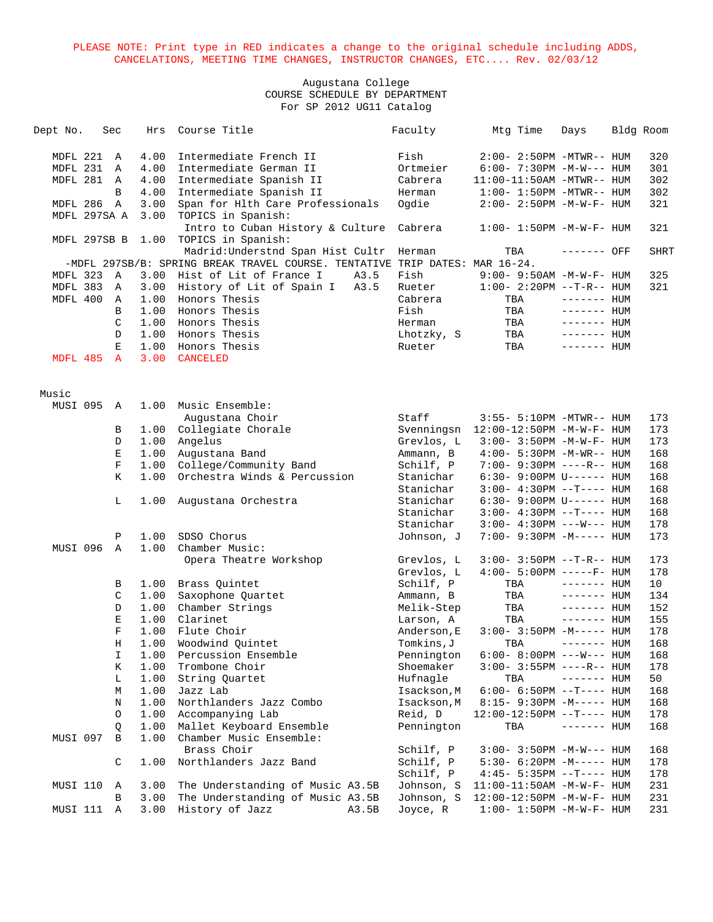| Dept No.     |              | Sec          | Hrs  | Course Title                                                                | Faculty     | Mtg Time                           | Days         | Bldg Room   |
|--------------|--------------|--------------|------|-----------------------------------------------------------------------------|-------------|------------------------------------|--------------|-------------|
| MDFL 221     |              | A            | 4.00 | Intermediate French II                                                      | Fish        | $2:00 - 2:50PM - MTWR - - HUM$     |              | 320         |
| MDFL 231     |              | A            | 4.00 | Intermediate German II                                                      | Ortmeier    | $6:00 - 7:30PM -M-W---$ HUM        |              | 301         |
| MDFL 281     |              | A            | 4.00 | Intermediate Spanish II                                                     | Cabrera     | $11:00-11:50AM - MTWR-- HUM$       |              | 302         |
|              |              | B            | 4.00 | Intermediate Spanish II                                                     | Herman      | $1:00-1:50PM -MTWR--HUM$           |              | 302         |
| MDFL 286 A   |              |              | 3.00 | Span for Hlth Care Professionals                                            | Ogdie       | $2:00 - 2:50PM -M-W-F - HUM$       |              | 321         |
| MDFL 297SA A |              |              | 3.00 | TOPICS in Spanish:                                                          |             |                                    |              |             |
|              |              |              |      | Intro to Cuban History & Culture                                            | Cabrera     | $1:00 - 1:50PM - M - W - F - HUM$  |              | 321         |
|              | MDFL 297SB B |              | 1.00 | TOPICS in Spanish:                                                          |             |                                    |              |             |
|              |              |              |      | Madrid: Understnd Span Hist Cultr                                           | Herman      | TBA                                | ------- OFF  | <b>SHRT</b> |
|              |              |              |      | -MDFL 297SB/B: SPRING BREAK TRAVEL COURSE. TENTATIVE TRIP DATES: MAR 16-24. |             |                                    |              |             |
| MDFL 323     |              | A            | 3.00 | Hist of Lit of France I<br>A3.5                                             | Fish        | $9:00 - 9:50AM - M - W - F - HUM$  |              | 325         |
| MDFL 383     |              | Α            | 3.00 | History of Lit of Spain I<br>A3.5                                           | Rueter      | $1:00 - 2:20PM -T-R--HUM$          |              | 321         |
| MDFL 400     |              | A            | 1.00 | Honors Thesis                                                               | Cabrera     | TBA                                | $------$ HUM |             |
|              |              | B            | 1.00 | Honors Thesis                                                               | Fish        | TBA                                | $------$ HUM |             |
|              |              | C            | 1.00 | Honors Thesis                                                               | Herman      | TBA                                | $------$ HUM |             |
|              |              | D            |      | 1.00 Honors Thesis                                                          | Lhotzky, S  | TBA                                | $------$ HUM |             |
|              |              | E            | 1.00 | Honors Thesis                                                               | Rueter      | TBA                                | $------HUM$  |             |
| MDFL 485     |              | $\mathbf{A}$ | 3.00 | <b>CANCELED</b>                                                             |             |                                    |              |             |
| Music        |              |              |      |                                                                             |             |                                    |              |             |
| MUSI 095     |              | A            | 1.00 | Music Ensemble:                                                             |             |                                    |              |             |
|              |              |              |      | Augustana Choir                                                             | Staff       | 3:55- 5:10PM -MTWR-- HUM           |              | 173         |
|              |              | В            | 1.00 | Collegiate Chorale                                                          | Svenningsn  | 12:00-12:50PM -M-W-F- HUM          |              | 173         |
|              |              | D            | 1.00 | Angelus                                                                     | Grevlos, L  | 3:00- 3:50PM -M-W-F- HUM           |              | 173         |
|              |              | E            | 1.00 | Augustana Band                                                              | Ammann, B   | 4:00- 5:30PM -M-WR-- HUM           |              | 168         |
|              |              | $\mathbf F$  | 1.00 | College/Community Band                                                      | Schilf, P   | $7:00 - 9:30PM$ ----R-- HUM        |              | 168         |
|              |              | K            | 1.00 | Orchestra Winds & Percussion                                                | Stanichar   | 6:30- 9:00PM U------ HUM           |              | 168         |
|              |              |              |      |                                                                             | Stanichar   | $3:00-4:30PM -T--- HUM$            |              | 168         |
|              |              | L            | 1.00 | Augustana Orchestra                                                         | Stanichar   | $6:30 - 9:00 \text{PM U----- HUM}$ |              | 168         |
|              |              |              |      |                                                                             | Stanichar   | $3:00-4:30PM -T--- HUM$            |              | 168         |
|              |              |              |      |                                                                             | Stanichar   | $3:00-4:30PM$ ---W--- HUM          |              | 178         |
|              |              | Ρ            | 1.00 | SDSO Chorus                                                                 | Johnson, J  | 7:00- 9:30PM -M----- HUM           |              | 173         |
| MUSI 096     |              | $\mathbb A$  | 1.00 | Chamber Music:                                                              |             |                                    |              |             |
|              |              |              |      | Opera Theatre Workshop                                                      | Grevlos, L  | $3:00 - 3:50PM -T-R-- HUM$         |              | 173         |
|              |              |              |      |                                                                             | Grevlos, L  | $4:00 - 5:00PM$ -----F- HUM        |              | 178         |
|              |              | В            | 1.00 | Brass Quintet                                                               | Schilf, P   | TBA                                | $------$ HUM | 10          |
|              |              | C            | 1.00 | Saxophone Quartet                                                           | Ammann, B   | TBA                                | $------$ HUM | 134         |
|              |              | D            | 1.00 | Chamber Strings                                                             | Melik-Step  | TBA                                | $------$ HUM | 152         |
|              |              | Е            | 1.00 | Clarinet                                                                    | Larson, A   | TBA                                | $------$ HUM | 155         |
|              |              | $\mathbf F$  | 1.00 | Flute Choir                                                                 | Anderson, E | $3:00-3:50PM -M-----$ HUM          |              | 178         |
|              |              | Η            | 1.00 | Woodwind Quintet                                                            | Tomkins, J  | TBA                                | $------$ HUM | 168         |
|              |              | I            | 1.00 | Percussion Ensemble                                                         | Pennington  | $6:00-8:00PM$ ---W--- HUM          |              | 168         |
|              |              | K            | 1.00 | Trombone Choir                                                              | Shoemaker   | $3:00 - 3:55PM$ ----R-- HUM        |              | 178         |
|              |              | L            | 1.00 | String Quartet                                                              | Hufnagle    | TBA                                | $------$ HUM | 50          |
|              |              | М            | 1.00 | Jazz Lab                                                                    | Isackson, M | $6:00 - 6:50PM -T--- HUM$          |              | 168         |
|              |              | Ν            | 1.00 | Northlanders Jazz Combo                                                     | Isackson, M | 8:15- 9:30PM -M----- HUM           |              | 168         |
|              |              | O            | 1.00 | Accompanying Lab                                                            | Reid, D     | 12:00-12:50PM --T---- HUM          |              | 178         |
|              |              | Q            | 1.00 | Mallet Keyboard Ensemble                                                    | Pennington  | TBA                                | $------$ HUM | 168         |
| MUSI 097     |              | B            | 1.00 | Chamber Music Ensemble:                                                     |             |                                    |              |             |
|              |              |              |      | Brass Choir                                                                 | Schilf, P   | $3:00 - 3:50PM -M-W---$ HUM        |              | 168         |
|              |              | C            | 1.00 | Northlanders Jazz Band                                                      | Schilf, P   | 5:30- 6:20PM -M----- HUM           |              | 178         |
|              |              |              |      |                                                                             | Schilf, P   | $4:45 - 5:35PM -T--- HUM$          |              | 178         |
| MUSI 110     |              | Α            | 3.00 | The Understanding of Music A3.5B                                            | Johnson, S  | 11:00-11:50AM -M-W-F- HUM          |              | 231         |
|              |              | B            | 3.00 | The Understanding of Music A3.5B                                            | Johnson, S  | 12:00-12:50PM -M-W-F- HUM          |              | 231         |
| MUSI 111     |              | $\mathbb{A}$ | 3.00 | History of Jazz<br>A3.5B                                                    | Joyce, R    | $1:00 - 1:50PM - M - W - F - HUM$  |              | 231         |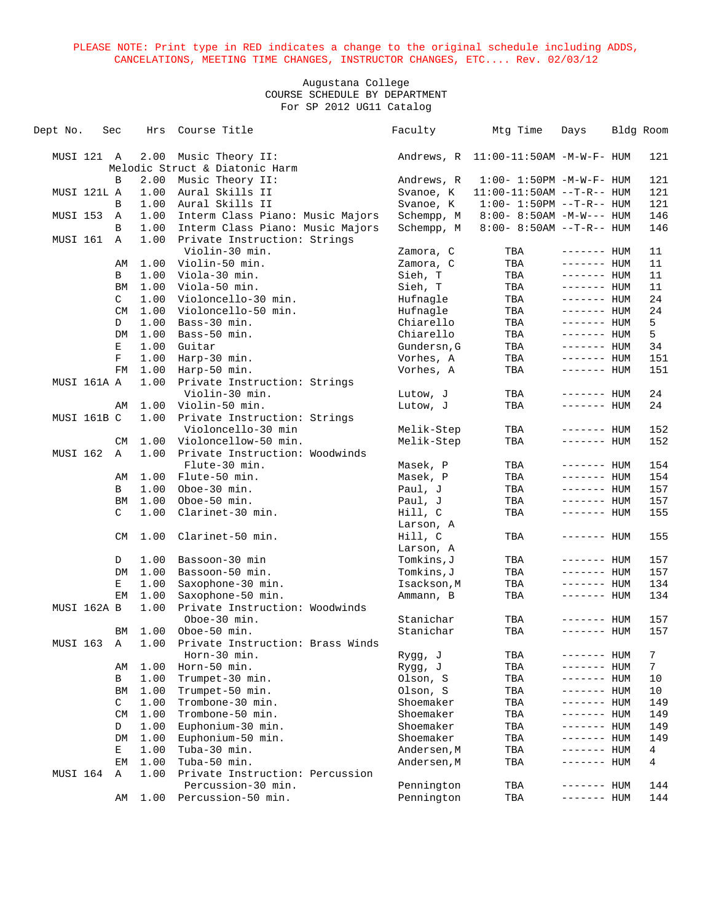| Dept No.        | Sec         | Hrs  | Course Title                                 | Faculty     | Mtg Time                                 | Days         | Bldg Room      |
|-----------------|-------------|------|----------------------------------------------|-------------|------------------------------------------|--------------|----------------|
| MUSI 121 A      |             | 2.00 | Music Theory II:                             |             | Andrews, $R$ 11:00-11:50AM $-M-W-F-$ HUM |              | 121            |
|                 |             |      | Melodic Struct & Diatonic Harm               |             |                                          |              |                |
|                 | B           | 2.00 | Music Theory II:                             | Andrews, R  | $1:00 - 1:50PM - M - W - F - HUM$        |              | 121            |
| MUSI 121L A     |             | 1.00 | Aural Skills II                              | Svanoe, K   | $11:00-11:50AM$ --T-R-- HUM              |              | 121            |
|                 | B           | 1.00 | Aural Skills II                              | Svanoe, K   | $1:00 - 1:50PM -T-R-- HUM$               |              | 121            |
| MUSI 153        | A           | 1.00 | Interm Class Piano: Music Majors             | Schempp, M  | $8:00 - 8:50AM - M-W---$ HUM             |              | 146            |
|                 | B           | 1.00 | Interm Class Piano: Music Majors             | Schempp, M  | $8:00 - 8:50AM -T-R-- HUM$               |              | 146            |
| MUSI 161        | Α           | 1.00 | Private Instruction: Strings                 |             |                                          |              |                |
|                 |             |      | Violin-30 min.                               | Zamora, C   | TBA                                      | $------$ HUM | 11             |
|                 | AΜ          | 1.00 | Violin-50 min.                               | Zamora, C   | TBA                                      | ------- HUM  | 11             |
|                 | B           | 1.00 | Viola-30 min.                                | Sieh, T     | TBA                                      | $------$ HUM | 11             |
|                 | BM          | 1.00 | Viola-50 min.                                | Sieh, T     | TBA                                      | $------$ HUM | 11             |
|                 | C           | 1.00 | Violoncello-30 min.                          | Hufnagle    | TBA                                      | $------$ HUM | 24             |
|                 | CM          | 1.00 | Violoncello-50 min.                          | Hufnagle    | TBA                                      | $------$ HUM | 24             |
|                 | D           | 1.00 | Bass-30 min.                                 | Chiarello   | TBA                                      | $------$ HUM | 5              |
|                 | DM          | 1.00 | Bass-50 min.                                 | Chiarello   | TBA                                      | $------$ HUM | 5              |
|                 | Е           | 1.00 | Guitar                                       | Gundersn, G | TBA                                      | ------- HUM  | 34             |
|                 | F           | 1.00 | Harp-30 min.                                 | Vorhes, A   |                                          | $------$ HUM | 151            |
|                 | FM          | 1.00 |                                              | Vorhes, A   | TBA                                      | $------$ HUM | 151            |
| MUSI 161A A     |             | 1.00 | Harp-50 min.<br>Private Instruction: Strings |             | TBA                                      |              |                |
|                 |             |      | Violin-30 min.                               |             |                                          |              | 24             |
|                 |             |      | Violin-50 min.                               | Lutow, J    | TBA                                      | $------$ HUM | 24             |
|                 | AΜ          | 1.00 |                                              | Lutow, J    | TBA                                      | $------$ HUM |                |
| MUSI 161B C     |             | 1.00 | Private Instruction: Strings                 |             |                                          |              |                |
|                 |             |      | Violoncello-30 min                           | Melik-Step  | TBA                                      | ------- HUM  | 152            |
|                 | CM          | 1.00 | Violoncellow-50 min.                         | Melik-Step  | TBA                                      | $------$ HUM | 152            |
| <b>MUSI 162</b> | $\mathbb A$ | 1.00 | Private Instruction: Woodwinds               |             |                                          |              |                |
|                 |             |      | Flute-30 min.                                | Masek, P    | TBA                                      | $------$ HUM | 154            |
|                 | AΜ          | 1.00 | Flute-50 min.                                | Masek, P    | TBA                                      | $------$ HUM | 154            |
|                 | B           | 1.00 | Oboe-30 min.                                 | Paul, J     | TBA                                      | $------HHUM$ | 157            |
|                 | BM          | 1.00 | Oboe-50 min.                                 | Paul, J     | TBA                                      | $------$ HUM | 157            |
|                 | C           | 1.00 | Clarinet-30 min.                             | Hill, C     | TBA                                      | $------$ HUM | 155            |
|                 |             |      |                                              | Larson, A   |                                          |              |                |
|                 | CM.         | 1.00 | Clarinet-50 min.                             | Hill, C     | TBA                                      | $------$ HUM | 155            |
|                 |             |      |                                              | Larson, A   |                                          |              |                |
|                 | D           | 1.00 | Bassoon-30 min                               | Tomkins, J  | TBA                                      | $------$ HUM | 157            |
|                 | DM          | 1.00 | Bassoon-50 min.                              | Tomkins, J  | TBA                                      | $------$ HUM | 157            |
|                 | Е           | 1.00 | Saxophone-30 min.                            | Isackson, M | TBA                                      | ------- HUM  | 134            |
|                 | EM          | 1.00 | Saxophone-50 min.                            | Ammann, B   | TBA                                      | ------- HUM  | 134            |
| MUSI 162A B     |             | 1.00 | Private Instruction: Woodwinds               |             |                                          |              |                |
|                 |             |      | Oboe-30 min.                                 | Stanichar   | TBA                                      | ------- HUM  | 157            |
|                 | ΒM          | 1.00 | Oboe-50 min.                                 | Stanichar   | TBA                                      | $------$ HUM | 157            |
| MUSI 163        | Α           | 1.00 | Private Instruction: Brass Winds             |             |                                          |              |                |
|                 |             |      | Horn-30 min.                                 | Rygg, J     | TBA                                      | ------- HUM  | $\overline{7}$ |
|                 | AΜ          | 1.00 | Horn-50 min.                                 | Rygg, J     | TBA                                      | ------- HUM  | 7              |
|                 | В           | 1.00 | Trumpet-30 min.                              | Olson, S    | TBA                                      | ------- HUM  | 10             |
|                 | BM          | 1.00 | Trumpet-50 min.                              | Olson, S    | TBA                                      | ------- HUM  | 10             |
|                 | C           | 1.00 | Trombone-30 min.                             | Shoemaker   | TBA                                      | ------- HUM  | 149            |
|                 | CM          | 1.00 | Trombone-50 min.                             | Shoemaker   | TBA                                      | ------- HUM  | 149            |
|                 | D           | 1.00 | Euphonium-30 min.                            | Shoemaker   | TBA                                      | ------- HUM  | 149            |
|                 | DM          | 1.00 | Euphonium-50 min.                            | Shoemaker   | TBA                                      | ------- HUM  | 149            |
|                 | Е           | 1.00 | Tuba-30 min.                                 | Andersen, M | TBA                                      | ------- HUM  | 4              |
|                 | EМ          | 1.00 | Tuba-50 min.                                 | Andersen, M | TBA                                      | ------- HUM  | 4              |
| MUSI 164        | Α           | 1.00 | Private Instruction: Percussion              |             |                                          |              |                |
|                 |             |      | Percussion-30 min.                           | Pennington  | TBA                                      | ------- HUM  | 144            |
|                 | AΜ          |      | 1.00 Percussion-50 min.                      | Pennington  | TBA                                      | ------- HUM  | 144            |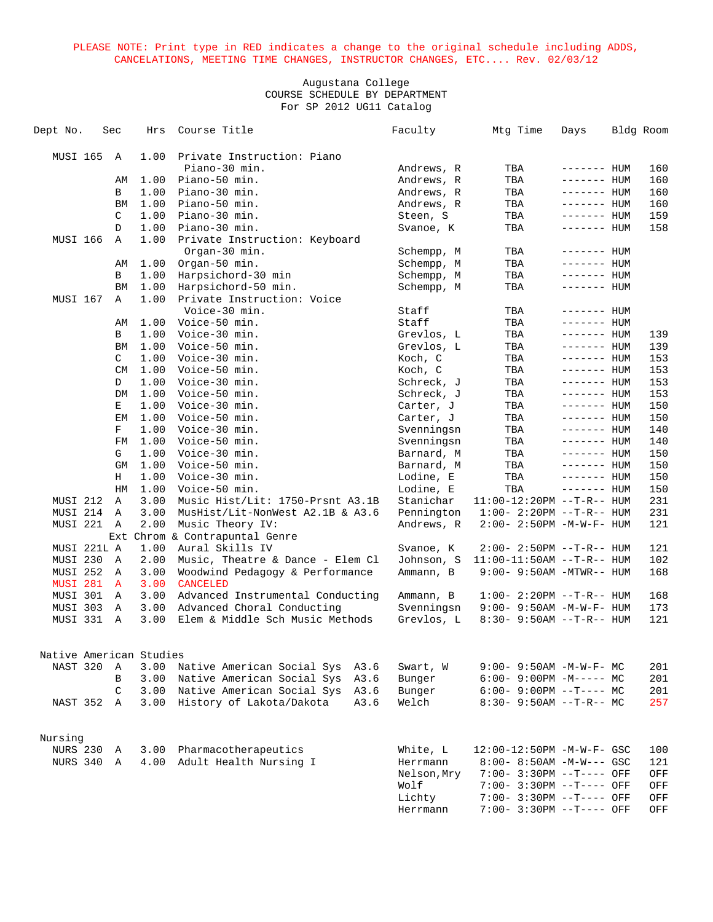| Dept No.                | Sec            | Hrs  | Course Title                     |      | Faculty     | Mtg Time                         | Days               | Bldg Room |
|-------------------------|----------------|------|----------------------------------|------|-------------|----------------------------------|--------------------|-----------|
| MUSI 165                | $\mathbb{A}$   | 1.00 | Private Instruction: Piano       |      |             |                                  |                    |           |
|                         |                |      | Piano-30 min.                    |      | Andrews, R  | TBA                              | ------- HUM        | 160       |
|                         | AΜ             | 1.00 | Piano-50 min.                    |      | Andrews, R  | TBA                              | $------$ HUM       | 160       |
|                         | В              | 1.00 | Piano-30 min.                    |      | Andrews, R  | TBA                              | ------- HUM        | 160       |
|                         | BM             | 1.00 | Piano-50 min.                    |      | Andrews, R  | TBA                              | ------- HUM        | 160       |
|                         | C              | 1.00 | Piano-30 min.                    |      | Steen, S    | TBA                              | $------$ HUM       | 159       |
|                         |                |      |                                  |      |             |                                  |                    |           |
|                         | D              | 1.00 | Piano-30 min.                    |      | Svanoe, K   | TBA                              | $------$ HUM       | 158       |
| MUSI 166                | Α              | 1.00 | Private Instruction: Keyboard    |      |             |                                  |                    |           |
|                         |                |      | Organ-30 min.                    |      | Schempp, M  | TBA                              | ------- HUM        |           |
|                         | AΜ             | 1.00 | Organ-50 min.                    |      | Schempp, M  | TBA                              | $------$ HUM       |           |
|                         | В              | 1.00 | Harpsichord-30 min               |      | Schempp, M  | TBA                              | ------- <b>HUM</b> |           |
|                         | BM             | 1.00 | Harpsichord-50 min.              |      | Schempp, M  | TBA                              | ------- HUM        |           |
| MUSI 167                | A              | 1.00 | Private Instruction: Voice       |      |             |                                  |                    |           |
|                         |                |      | Voice-30 min.                    |      | Staff       | TBA                              | $------$ HUM       |           |
|                         | AΜ             | 1.00 | Voice-50 min.                    |      | Staff       | TBA                              | $------HUM$        |           |
|                         | B              | 1.00 | Voice-30 min.                    |      | Grevlos, L  | TBA                              | $------$ HUM       | 139       |
|                         | BM             | 1.00 | Voice-50 min.                    |      | Grevlos, L  | TBA                              | $------$ HUM       | 139       |
|                         | C              | 1.00 | Voice-30 min.                    |      | Koch, C     | TBA                              | ------- HUM        | 153       |
|                         | CM             | 1.00 | Voice-50 min.                    |      | Koch, C     | TBA                              | ------- HUM        | 153       |
|                         | D              | 1.00 | Voice-30 min.                    |      | Schreck, J  | TBA                              | $------$ HUM       | 153       |
|                         | DM             | 1.00 | Voice-50 min.                    |      | Schreck, J  | TBA                              | $------$ HUM       | 153       |
|                         | Е              | 1.00 | Voice-30 min.                    |      | Carter, J   | TBA                              | $------HH$         | 150       |
|                         | EМ             | 1.00 | Voice-50 min.                    |      | Carter, J   | TBA                              | $------$ HUM       | 150       |
|                         | F              | 1.00 | Voice-30 min.                    |      | Svenningsn  | TBA                              | ------- HUM        | 140       |
|                         | FM             | 1.00 | Voice-50 min.                    |      | Svenningsn  | TBA                              | $------$ HUM       | 140       |
|                         | G              | 1.00 | Voice-30 min.                    |      | Barnard, M  | TBA                              | $------$ HUM       | 150       |
|                         | GM             | 1.00 | Voice-50 min.                    |      | Barnard, M  | TBA                              | $------$ HUM       | 150       |
|                         | Н              | 1.00 | Voice-30 min.                    |      | Lodine, E   | TBA                              | $------$ HUM       | 150       |
|                         | HM             | 1.00 | Voice-50 min.                    |      | Lodine, E   | TBA                              | $------$ HUM       | 150       |
| MUSI 212                | Α              | 3.00 | Music Hist/Lit: 1750-Prsnt A3.1B |      | Stanichar   | $11:00-12:20PM -T-R--HUM$        |                    | 231       |
| MUSI 214                | Α              | 3.00 | MusHist/Lit-NonWest A2.1B & A3.6 |      | Pennington  | $1:00 - 2:20PM -T-R--HUM$        |                    | 231       |
| MUSI 221                | A              | 2.00 | Music Theory IV:                 |      | Andrews, R  | 2:00- 2:50PM -M-W-F- HUM         |                    | 121       |
|                         |                |      | Ext Chrom & Contrapuntal Genre   |      |             |                                  |                    |           |
| MUSI 221L A             |                | 1.00 | Aural Skills IV                  |      | Svanoe, K   | $2:00-2:50PM -T-R--HUM$          |                    | 121       |
| MUSI 230                | A              | 2.00 | Music, Theatre & Dance - Elem Cl |      | Johnson, S  | $11:00-11:50AM$ --T-R-- HUM      |                    | 102       |
| MUSI 252                | A              | 3.00 | Woodwind Pedagogy & Performance  |      | Ammann, B   | $9:00 - 9:50AM - MTWR - - HUM$   |                    | 168       |
| MUSI 281                | $\mathbf{A}$   | 3.00 | <b>CANCELED</b>                  |      |             |                                  |                    |           |
| MUSI 301                | A              | 3.00 | Advanced Instrumental Conducting |      | Ammann, B   | $1:00 - 2:20PM -T-R--HUM$        |                    | 168       |
| MUSI 303                | Α              | 3.00 | Advanced Choral Conducting       |      | Svenningsn  | 9:00- 9:50AM -M-W-F- HUM         |                    | 173       |
| MUSI 331                | $\overline{A}$ | 3.00 | Elem & Middle Sch Music Methods  |      | Grevlos, L  | $8:30 - 9:50AM -T-R-- HUM$       |                    | 121       |
|                         |                |      |                                  |      |             |                                  |                    |           |
| Native American Studies |                |      |                                  |      |             |                                  |                    |           |
| NAST 320                | Α              | 3.00 | Native American Social Sys       | A3.6 | Swart, W    | $9:00 - 9:50AM - M - W - F - MC$ |                    | 201       |
|                         | B              | 3.00 | Native American Social Sys       | A3.6 | Bunger      | $6:00-9:00PM -M--- MC$           |                    | 201       |
|                         | C              | 3.00 | Native American Social Sys       | A3.6 | Bunger      | $6:00-9:00PM -T--- MC$           |                    | 201       |
| NAST 352                | A              | 3.00 | History of Lakota/Dakota         | A3.6 | Welch       | $8:30 - 9:50AM -T-R-- MC$        |                    | 257       |
|                         |                |      |                                  |      |             |                                  |                    |           |
|                         |                |      |                                  |      |             |                                  |                    |           |
| Nursing                 |                |      |                                  |      |             |                                  |                    |           |
| NURS 230                | Α              | 3.00 | Pharmacotherapeutics             |      | White, L    | 12:00-12:50PM -M-W-F- GSC        |                    | 100       |
| NURS 340 A              |                | 4.00 | Adult Health Nursing I           |      | Herrmann    | $8:00 - 8:50AM - M-W--- GSC$     |                    | 121       |
|                         |                |      |                                  |      | Nelson, Mry | 7:00- 3:30PM --T---- OFF         |                    | OFF       |
|                         |                |      |                                  |      | Wolf        | 7:00- 3:30PM --T---- OFF         |                    | OFF       |
|                         |                |      |                                  |      | Lichty      | 7:00- 3:30PM --T---- OFF         |                    | OFF       |
|                         |                |      |                                  |      | Herrmann    | 7:00- 3:30PM --T---- OFF         |                    | OFF       |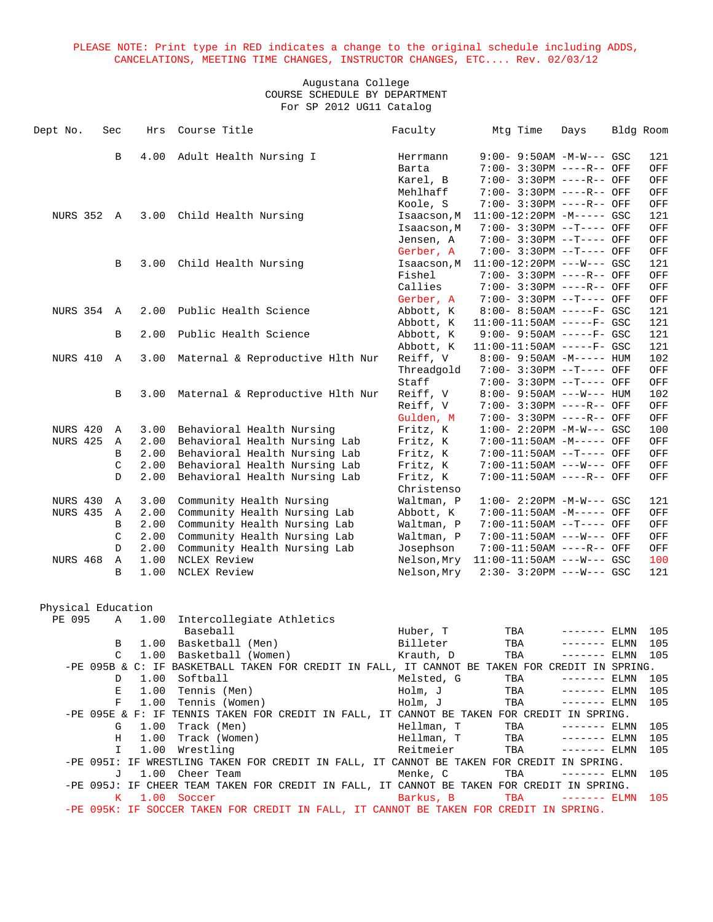| Dept No.           | Sec          | Hrs  | Course Title                                                                                                 | Faculty                  | Mtg Time                                                   | Days                           | Bldg Room  |
|--------------------|--------------|------|--------------------------------------------------------------------------------------------------------------|--------------------------|------------------------------------------------------------|--------------------------------|------------|
|                    |              |      |                                                                                                              |                          |                                                            |                                |            |
|                    | B            | 4.00 | Adult Health Nursing I                                                                                       | Herrmann                 | $9:00 - 9:50AM - M-W--- GSC$                               |                                | 121        |
|                    |              |      |                                                                                                              | Barta                    | 7:00- 3:30PM ----R-- OFF                                   |                                | OFF        |
|                    |              |      |                                                                                                              | Karel, B                 | 7:00- 3:30PM ----R-- OFF                                   |                                | OFF        |
|                    |              |      |                                                                                                              | Mehlhaff                 | 7:00- 3:30PM ----R-- OFF                                   |                                | OFF        |
|                    |              |      |                                                                                                              | Koole, S                 | 7:00- 3:30PM ----R-- OFF                                   |                                | OFF        |
| NURS 352 A         |              | 3.00 | Child Health Nursing                                                                                         | Isaacson, M              | $11:00-12:20PM -M--- GSC$                                  |                                | 121        |
|                    |              |      |                                                                                                              | Isaacson, M              | 7:00- 3:30PM --T---- OFF                                   |                                | OFF        |
|                    |              |      |                                                                                                              | Jensen, A                | 7:00- 3:30PM --T---- OFF                                   |                                | OFF        |
|                    |              |      |                                                                                                              | Gerber, A                | 7:00- 3:30PM --T---- OFF                                   |                                | OFF        |
|                    | B            | 3.00 | Child Health Nursing                                                                                         | Isaacson, M              | $11:00-12:20PM$ ---W--- GSC                                |                                | 121        |
|                    |              |      |                                                                                                              | Fishel                   | 7:00- 3:30PM ----R-- OFF                                   |                                | OFF        |
|                    |              |      |                                                                                                              | Callies                  | 7:00- 3:30PM ----R-- OFF                                   |                                | OFF        |
|                    |              |      |                                                                                                              | Gerber, A                | 7:00- 3:30PM --T---- OFF                                   |                                | OFF        |
| <b>NURS 354 A</b>  |              | 2.00 | Public Health Science                                                                                        | Abbott, K                | 8:00- 8:50AM -----F- GSC                                   |                                | 121        |
|                    | В            | 2.00 | Public Health Science                                                                                        | Abbott, K<br>Abbott, K   | $11:00-11:50AM$ -----F- GSC<br>$9:00 - 9:50AM$ -----F- GSC |                                | 121<br>121 |
|                    |              |      |                                                                                                              | Abbott, K                | $11:00-11:50AM$ -----F- GSC                                |                                | 121        |
| NURS 410           | A            | 3.00 | Maternal & Reproductive Hlth Nur                                                                             | Reiff, V                 | $8:00 - 9:50AM - M---HUM$                                  |                                | 102        |
|                    |              |      |                                                                                                              | Threadgold               | 7:00- 3:30PM --T---- OFF                                   |                                | OFF        |
|                    |              |      |                                                                                                              | Staff                    | 7:00- 3:30PM --T---- OFF                                   |                                | OFF        |
|                    | B            | 3.00 | Maternal & Reproductive Hlth Nur                                                                             | Reiff, V                 | $8:00 - 9:50AM$ ---W--- HUM                                |                                | 102        |
|                    |              |      |                                                                                                              | Reiff, V                 | 7:00- 3:30PM ----R-- OFF                                   |                                | OFF        |
|                    |              |      |                                                                                                              | Gulden, M                | 7:00- 3:30PM ----R-- OFF                                   |                                | OFF        |
| <b>NURS 420</b>    | Α            | 3.00 | Behavioral Health Nursing                                                                                    | Fritz, K                 | $1:00 - 2:20PM -M-W--- GSC$                                |                                | 100        |
| <b>NURS 425</b>    | Α            | 2.00 | Behavioral Health Nursing Lab                                                                                | Fritz, K                 | 7:00-11:50AM -M----- OFF                                   |                                | OFF        |
|                    | B            | 2.00 | Behavioral Health Nursing Lab                                                                                | Fritz, K                 | 7:00-11:50AM --T---- OFF                                   |                                | OFF        |
|                    | C            | 2.00 | Behavioral Health Nursing Lab                                                                                | Fritz, K                 | 7:00-11:50AM ---W--- OFF                                   |                                | OFF        |
|                    | $\mathbf{D}$ | 2.00 | Behavioral Health Nursing Lab                                                                                | Fritz, K                 | 7:00-11:50AM ----R-- OFF                                   |                                | OFF        |
|                    |              |      |                                                                                                              | Christenso               |                                                            |                                |            |
| NURS 430           | A            | 3.00 | Community Health Nursing                                                                                     | Waltman, P               | $1:00 - 2:20PM -M-W--- GSC$                                |                                | 121        |
| <b>NURS 435</b>    | Α            | 2.00 | Community Health Nursing Lab                                                                                 | Abbott, K                | 7:00-11:50AM -M----- OFF                                   |                                | OFF        |
|                    | B            | 2.00 | Community Health Nursing Lab                                                                                 | Waltman, P               | 7:00-11:50AM --T---- OFF                                   |                                | OFF        |
|                    | C            | 2.00 | Community Health Nursing Lab                                                                                 | Waltman, P               | 7:00-11:50AM ---W--- OFF                                   |                                | OFF        |
|                    | D            | 2.00 | Community Health Nursing Lab                                                                                 | Josephson                | 7:00-11:50AM ----R-- OFF                                   |                                | OFF        |
| <b>NURS 468</b>    | Α            | 1.00 | NCLEX Review                                                                                                 | Nelson, Mry              | $11:00-11:50AM$ ---W--- GSC                                |                                | 100        |
|                    | B            | 1.00 | NCLEX Review                                                                                                 | Nelson, Mry              | $2:30 - 3:20PM$ ---W--- GSC                                |                                | 121        |
|                    |              |      |                                                                                                              |                          |                                                            |                                |            |
|                    |              |      |                                                                                                              |                          |                                                            |                                |            |
| Physical Education |              |      |                                                                                                              |                          |                                                            |                                |            |
| PE 095             | Α            | 1.00 | Intercollegiate Athletics                                                                                    |                          |                                                            |                                |            |
|                    |              |      | Baseball                                                                                                     | Huber, T                 | TBA                                                        | ------- ELMN                   | 105        |
|                    | В            | 1.00 | Basketball (Men)                                                                                             | Billeter                 | TBA                                                        | ------- ELMN                   | 105        |
|                    | C            |      | 1.00 Basketball (Women)                                                                                      | Krauth, D                | TBA                                                        | $------ ELMN 105$              |            |
|                    |              |      | -PE 095B & C: IF BASKETBALL TAKEN FOR CREDIT IN FALL, IT CANNOT BE TAKEN FOR CREDIT IN SPRING.               |                          |                                                            |                                |            |
|                    | D            |      | 1.00 Softball                                                                                                | Melsted, G               | TBA                                                        | $------ELMN$                   | 105        |
|                    | Е            |      | 1.00 Tennis (Men)                                                                                            | Holm, J                  | TBA                                                        | $------$ ELMN                  | 105        |
|                    | F            | 1.00 | Tennis (Women)                                                                                               | Holm, J                  | TBA                                                        | $------ELMN$                   | 105        |
|                    |              |      | -PE 095E & F: IF TENNIS TAKEN FOR CREDIT IN FALL, IT CANNOT BE TAKEN FOR CREDIT IN SPRING.                   |                          |                                                            |                                |            |
|                    | G            | 1.00 | Track (Men)                                                                                                  | Hellman, T<br>Hellman, T | TBA                                                        | $------$ ELMN<br>$------$ ELMN | 105        |
|                    | Η            | 1.00 | Track (Women)                                                                                                |                          | TBA                                                        |                                | 105        |
|                    | I            |      | 1.00 Wrestling                                                                                               | Reitmeier                | TBA                                                        | $------ELMN$                   | 105        |
|                    | J            |      | -PE 095I: IF WRESTLING TAKEN FOR CREDIT IN FALL, IT CANNOT BE TAKEN FOR CREDIT IN SPRING.<br>1.00 Cheer Team | Menke, C                 | TBA                                                        | $------$ ELMN                  | 105        |
|                    |              |      | -PE 095J: IF CHEER TEAM TAKEN FOR CREDIT IN FALL, IT CANNOT BE TAKEN FOR CREDIT IN SPRING.                   |                          |                                                            |                                |            |
|                    | K.           |      | 1.00 Soccer                                                                                                  | Barkus, B                | TBA                                                        | $------$ ELMN                  | 105        |
|                    |              |      | -PE 095K: IF SOCCER TAKEN FOR CREDIT IN FALL, IT CANNOT BE TAKEN FOR CREDIT IN SPRING.                       |                          |                                                            |                                |            |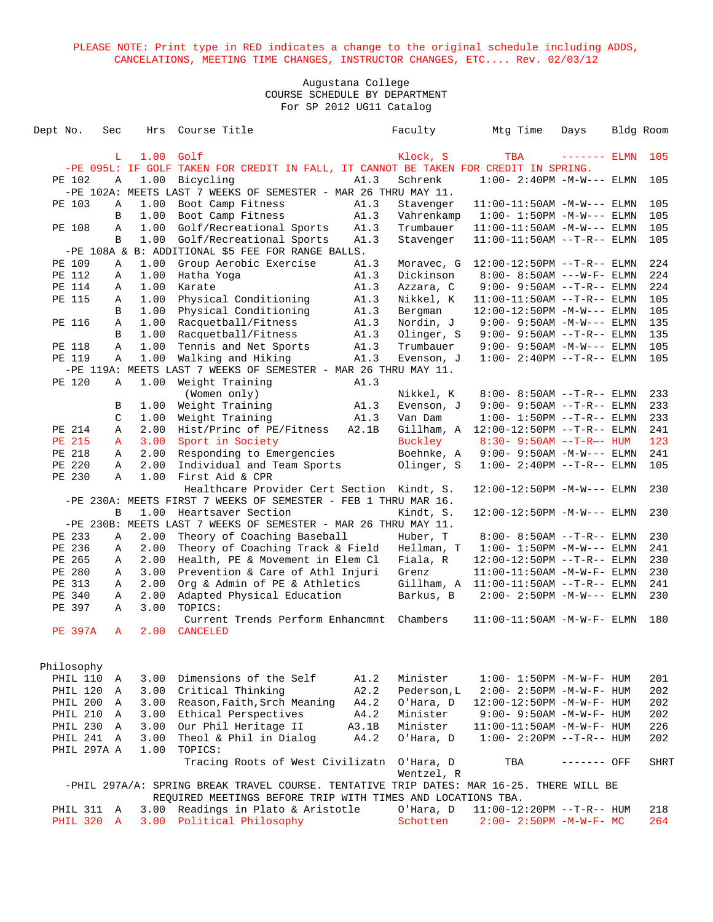| Dept No.   |                | Sec               |             | Hrs Course Title                                                                                                                                        |       | Faculty                 | Mtg Time                              | Days          | Bldg Room |             |
|------------|----------------|-------------------|-------------|---------------------------------------------------------------------------------------------------------------------------------------------------------|-------|-------------------------|---------------------------------------|---------------|-----------|-------------|
|            |                | L.                | $1.00$ Golf |                                                                                                                                                         |       | Klock, S                | TBA                                   | $------$ ELMN |           | 105         |
|            |                |                   |             | -PE 095L: IF GOLF TAKEN FOR CREDIT IN FALL, IT CANNOT BE TAKEN FOR CREDIT IN SPRING.                                                                    |       |                         |                                       |               |           |             |
|            | PE 102         | Α                 |             | 1.00 Bicycling                                                                                                                                          | A1.3  | Schrenk                 | $1:00 - 2:40PM -M-W---$ ELMN          |               |           | 105         |
|            |                |                   |             | -PE 102A: MEETS LAST 7 WEEKS OF SEMESTER - MAR 26 THRU MAY 11.                                                                                          |       |                         |                                       |               |           |             |
|            | PE 103         | Α                 | 1.00        | Boot Camp Fitness                                                                                                                                       | A1.3  | Stavenger               | $11:00-11:50AM -M-W---$ ELMN          |               |           | 105         |
|            |                | B                 | 1.00        | Boot Camp Fitness                                                                                                                                       | A1.3  | Vahrenkamp              | $1:00-1:50$ PM -M-W--- ELMN           |               |           | 105         |
|            | PE 108         | Α                 | 1.00        | Golf/Recreational Sports                                                                                                                                | A1.3  | Trumbauer               | $11:00-11:50AM$ -M-W--- ELMN          |               |           | 105         |
|            |                | B                 | 1.00        | Golf/Recreational Sports                                                                                                                                | A1.3  | Stavenger               | $11:00-11:50AM$ --T-R-- ELMN          |               |           | 105         |
|            |                |                   |             | -PE 108A & B: ADDITIONAL \$5 FEE FOR RANGE BALLS.                                                                                                       |       |                         |                                       |               |           |             |
|            | PE 109         | Α                 | 1.00        | Group Aerobic Exercise                                                                                                                                  | A1.3  | Moravec, G              | $12:00-12:50PM$ --T-R-- ELMN          |               |           | 224         |
|            | PE 112         | Α                 | 1.00        | Hatha Yoga                                                                                                                                              | A1.3  | Dickinson               | 8:00- 8:50AM ---W-F- ELMN             |               |           | 224         |
|            | PE 114         | Α                 | 1.00        | Karate                                                                                                                                                  | A1.3  | Azzara, C               | $9:00 - 9:50AM -T-R--ELMN$            |               |           | 224         |
|            | PE 115         | Α                 | 1.00        | Physical Conditioning                                                                                                                                   | A1.3  | Nikkel, K               | $11:00-11:50AM$ --T-R-- ELMN          |               |           | 105         |
|            |                | B                 | 1.00        | Physical Conditioning                                                                                                                                   | A1.3  | Bergman                 | $12:00-12:50PM -M-W---$ ELMN          |               |           | 105         |
|            | PE 116         | Α                 | 1.00        | Racquetball/Fitness                                                                                                                                     | A1.3  | Nordin, J               | $9:00 - 9:50AM -M-W---$ ELMN          |               |           | 135         |
|            |                | B                 | 1.00        | Racquetball/Fitness                                                                                                                                     | A1.3  | Olinger, S              | $9:00 - 9:50AM -T-R--ELMN$            |               |           | 135         |
|            | PE 118         | Α                 | 1.00        | Tennis and Net Sports                                                                                                                                   | A1.3  | Trumbauer               | $9:00 - 9:50AM -M-W---$ ELMN          |               |           | 105         |
|            | PE 119         | Α                 | 1.00        | Walking and Hiking                                                                                                                                      | A1.3  | Evenson, J              | $1:00 - 2:40PM -T-R--ELMN$            |               |           | 105         |
|            |                |                   |             | -PE 119A: MEETS LAST 7 WEEKS OF SEMESTER - MAR 26 THRU MAY 11.                                                                                          |       |                         |                                       |               |           |             |
|            | PE 120         | Α                 | 1.00        | Weight Training                                                                                                                                         | A1.3  |                         |                                       |               |           |             |
|            |                |                   |             | (Women only)                                                                                                                                            |       | Nikkel, K               | 8:00- 8:50AM --T-R-- ELMN             |               |           | 233         |
|            |                | В                 | 1.00        | Weight Training                                                                                                                                         | A1.3  | Evenson, J              | $9:00 - 9:50AM -T-R--ELMN$            |               |           | 233         |
|            |                | C                 | 1.00        | Weight Training                                                                                                                                         | A1.3  | Van Dam                 | $1:00 - 1:50PM -T-R-- ELMN$           |               |           | 233         |
|            | PE 214         | Α                 | 2.00        | Hist/Princ of PE/Fitness                                                                                                                                | A2.1B |                         | Gillham, A 12:00-12:50PM --T-R-- ELMN |               |           | 241         |
|            | PE 215         | $\mathbf{A}$      | 3.00        | Sport in Society                                                                                                                                        |       | Buckley                 | $8:30 - 9:50AM -T-R-1$ HUM            |               |           | 123         |
|            | PE 218         | Α                 | 2.00        | Responding to Emergencies                                                                                                                               |       | Boehnke, A              | $9:00 - 9:50AM -M-W---$ ELMN          |               |           | 241         |
|            | PE 220         | Α                 | 2.00        | Individual and Team Sports                                                                                                                              |       | Olinger, S              | $1:00 - 2:40PM -T-R-- ELMN$           |               |           | 105         |
|            | PE 230         | $\mathbb{A}$      | 1.00        | First Aid & CPR                                                                                                                                         |       |                         |                                       |               |           |             |
|            |                |                   |             | Healthcare Provider Cert Section Kindt, S.                                                                                                              |       |                         | $12:00-12:50PM -M-W---$ ELMN          |               |           | 230         |
|            |                |                   |             | -PE 230A: MEETS FIRST 7 WEEKS OF SEMESTER - FEB 1 THRU MAR 16.                                                                                          |       |                         |                                       |               |           |             |
|            |                | B                 | 1.00        | Heartsaver Section                                                                                                                                      |       | Kindt, S.               | $12:00-12:50PM -M-W---$ ELMN          |               |           | 230         |
|            |                |                   |             | -PE 230B: MEETS LAST 7 WEEKS OF SEMESTER - MAR 26 THRU MAY 11.                                                                                          |       |                         |                                       |               |           |             |
|            | PE 233         | Α                 | 2.00        | Theory of Coaching Baseball                                                                                                                             |       | Huber, T                | $8:00 - 8:50AM -T-R--ELMN$            |               |           | 230         |
|            | PE 236         | Α                 | 2.00        | Theory of Coaching Track & Field                                                                                                                        |       | Hellman, T              | $1:00 - 1:50PM -M-W---$ ELMN          |               |           | 241         |
|            | PE 265         | Α                 | 2.00        | Health, PE & Movement in Elem Cl                                                                                                                        |       | Fiala, R                | $12:00-12:50PM -T-R-- ELMN$           |               |           | 230         |
|            | PE 280         |                   | 3.00        | Prevention & Care of Athl Injuri                                                                                                                        |       |                         |                                       |               |           | 230         |
|            |                | Α                 |             |                                                                                                                                                         |       | Grenz                   | $11:00-11:50AM - M-W-F- ELMN$         |               |           |             |
|            | PE 313         | Α                 | 2.00        | Org & Admin of PE & Athletics                                                                                                                           |       |                         | Gillham, A 11:00-11:50AM --T-R-- ELMN |               |           | 241         |
|            | PE 340         | Α                 | 2.00        | Adapted Physical Education                                                                                                                              |       | Barkus, B               | $2:00 - 2:50PM -M-W---$ ELMN          |               |           | 230         |
|            | PE 397         | Α                 | 3.00        | TOPICS:                                                                                                                                                 |       |                         |                                       |               |           |             |
|            |                |                   |             | Current Trends Perform Enhancmnt                                                                                                                        |       | Chambers                | $11:00-11:50AM - M-W-F- ELMN$         |               |           | 180         |
|            | <b>PE 397A</b> | A                 | 2.00        | <b>CANCELED</b>                                                                                                                                         |       |                         |                                       |               |           |             |
| Philosophy |                |                   |             |                                                                                                                                                         |       |                         |                                       |               |           |             |
|            | PHIL 110       | A                 | 3.00        | Dimensions of the Self                                                                                                                                  | A1.2  | Minister                | $1:00 - 1:50PM - M - W - F - HUM$     |               |           | 201         |
|            |                | PHIL 120 A        | 3.00        | Critical Thinking                                                                                                                                       | A2.2  | Pederson, L             | 2:00- 2:50PM -M-W-F- HUM              |               |           | 202         |
|            |                | PHIL 200 A        | 3.00        | Reason, Faith, Srch Meaning                                                                                                                             | A4.2  | O'Hara, D               | 12:00-12:50PM -M-W-F- HUM             |               |           | 202         |
|            | PHIL 210       | A                 | 3.00        | Ethical Perspectives                                                                                                                                    | A4.2  | Minister                | 9:00- 9:50AM -M-W-F- HUM              |               |           | 202         |
|            | PHIL 230       | $\mathbb A$       | 3.00        | Our Phil Heritage II                                                                                                                                    | A3.1B | Minister                | 11:00-11:50AM -M-W-F- HUM             |               |           | 226         |
|            |                | PHIL 241 A        | 3.00        | Theol & Phil in Dialoq                                                                                                                                  | A4.2  | O'Hara, D               | $1:00 - 2:20PM -T-R--HUM$             |               |           | 202         |
|            |                | PHIL 297A A       | 1.00        | TOPICS:                                                                                                                                                 |       |                         |                                       |               |           |             |
|            |                |                   |             |                                                                                                                                                         |       |                         |                                       |               |           |             |
|            |                |                   |             | Tracing Roots of West Civilizatn                                                                                                                        |       | O'Hara, D<br>Wentzel, R | TBA                                   | ------- OFF   |           | <b>SHRT</b> |
|            |                |                   |             | -PHIL 297A/A: SPRING BREAK TRAVEL COURSE. TENTATIVE TRIP DATES: MAR 16-25. THERE WILL BE<br>REQUIRED MEETINGS BEFORE TRIP WITH TIMES AND LOCATIONS TBA. |       |                         |                                       |               |           |             |
|            |                | PHIL 311 A        |             | 3.00 Readings in Plato & Aristotle                                                                                                                      |       | O'Hara, D               | 11:00-12:20PM --T-R-- HUM             |               |           | 218         |
|            |                | <b>PHIL 320 A</b> |             | 3.00 Political Philosophy                                                                                                                               |       | Schotten                | $2:00 - 2:50PM -M-W-F-MC$             |               |           | 264         |
|            |                |                   |             |                                                                                                                                                         |       |                         |                                       |               |           |             |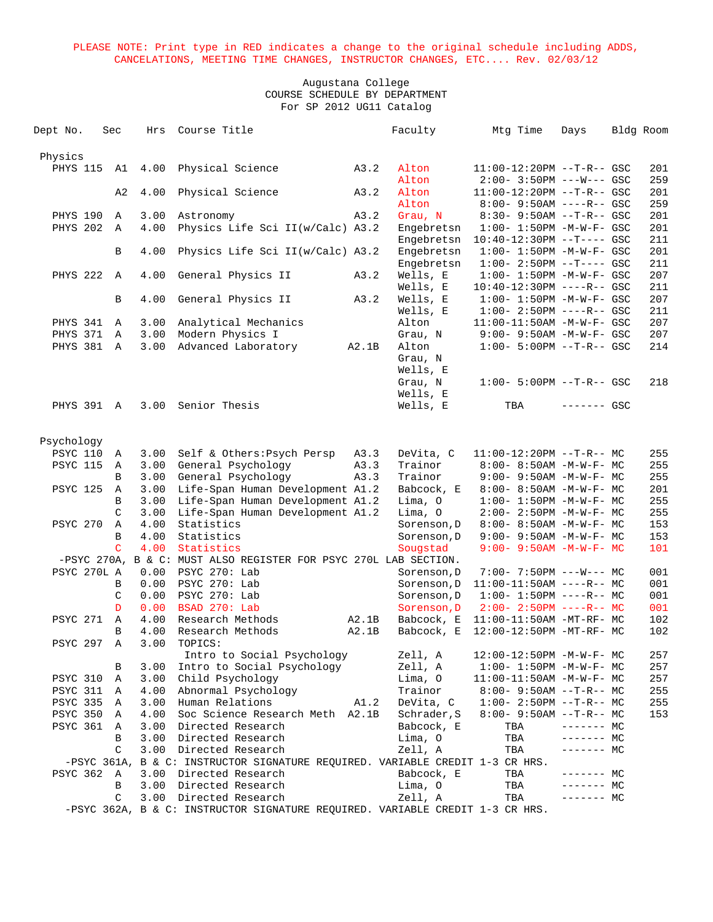| Dept No.        | Sec               | Hrs          | Course Title                                                                                       |                | Faculty                  | Mtg Time                                                   | Days        | Bldg Room |            |
|-----------------|-------------------|--------------|----------------------------------------------------------------------------------------------------|----------------|--------------------------|------------------------------------------------------------|-------------|-----------|------------|
|                 |                   |              |                                                                                                    |                |                          |                                                            |             |           |            |
| Physics         |                   | 4.00         |                                                                                                    |                |                          |                                                            |             |           |            |
| <b>PHYS 115</b> | A1                |              | Physical Science                                                                                   | A3.2           | Alton<br>Alton           | $11:00-12:20PM$ --T-R-- GSC<br>$2:00 - 3:50PM$ ---W--- GSC |             |           | 201<br>259 |
|                 | A2                | 4.00         | Physical Science                                                                                   | A3.2           | Alton                    | $11:00-12:20PM$ --T-R-- GSC                                |             |           | 201        |
|                 |                   |              |                                                                                                    |                | Alton                    | $8:00 - 9:50AM$ ----R-- GSC                                |             |           | 259        |
| PHYS 190        | A                 | 3.00         | Astronomy                                                                                          | A3.2           | Grau, N                  | $8:30 - 9:50AM -T-R--$ GSC                                 |             |           | 201        |
| PHYS 202        | A                 | 4.00         | Physics Life Sci II(w/Calc) A3.2                                                                   |                | Engebretsn               | $1:00 - 1:50PM - M - W - F - GSC$                          |             |           | 201        |
|                 |                   |              |                                                                                                    |                | Engebretsn               | $10:40-12:30PM$ --T---- GSC                                |             |           | 211        |
|                 | В                 | 4.00         | Physics Life Sci II(w/Calc) A3.2                                                                   |                | Engebretsn               | $1:00 - 1:50PM - M - W - F - GSC$                          |             |           | 201        |
|                 |                   |              |                                                                                                    |                | Engebretsn               | $1:00 - 2:50PM -T---$ GSC                                  |             |           | 211        |
| PHYS 222 A      |                   | 4.00         | General Physics II                                                                                 | A3.2           | Wells, E                 | $1:00 - 1:50PM - M - W - F - GSC$                          |             |           | 207        |
|                 |                   |              |                                                                                                    |                | Wells, E                 | $10:40-12:30PM$ ----R-- GSC                                |             |           | 211        |
|                 | B                 | 4.00         | General Physics II                                                                                 | A3.2           | Wells, E<br>Wells, E     | $1:00 - 1:50PM - M - W - F - GSC$                          |             |           | 207<br>211 |
| PHYS 341        | Α                 | 3.00         | Analytical Mechanics                                                                               |                | Alton                    | $1:00 - 2:50PM$ ----R-- GSC<br>$11:00-11:50AM$ -M-W-F- GSC |             |           | 207        |
| PHYS 371        | A                 | 3.00         | Modern Physics I                                                                                   |                | Grau, N                  | $9:00 - 9:50AM - M - W - F - GSC$                          |             |           | 207        |
| PHYS 381 A      |                   | 3.00         | Advanced Laboratory                                                                                | A2.1B          | Alton                    | $1:00 - 5:00PM -T-R--GSC$                                  |             |           | 214        |
|                 |                   |              |                                                                                                    |                | Grau, N                  |                                                            |             |           |            |
|                 |                   |              |                                                                                                    |                | Wells, E                 |                                                            |             |           |            |
|                 |                   |              |                                                                                                    |                | Grau, N                  | $1:00 - 5:00PM -T-R--GSC$                                  |             |           | 218        |
|                 |                   |              |                                                                                                    |                | Wells, E                 |                                                            |             |           |            |
| PHYS 391 A      |                   | 3.00         | Senior Thesis                                                                                      |                | Wells, E                 | TBA                                                        | ------- GSC |           |            |
|                 |                   |              |                                                                                                    |                |                          |                                                            |             |           |            |
| Psychology      |                   |              |                                                                                                    |                |                          |                                                            |             |           |            |
| <b>PSYC 110</b> | A                 | 3.00         | Self & Others: Psych Persp                                                                         | A3.3           | DeVita, C                | $11:00-12:20PM$ --T-R-- MC                                 |             |           | 255        |
| <b>PSYC 115</b> | A                 | 3.00         | General Psychology                                                                                 | A3.3           | Trainor                  | $8:00 - 8:50AM - M - W - F - MC$                           |             |           | 255        |
|                 | В                 | 3.00         | General Psychology                                                                                 | A3.3           | Trainor                  | $9:00 - 9:50AM - M - W - F - MC$                           |             |           | 255        |
| <b>PSYC 125</b> | Α                 | 3.00         | Life-Span Human Development A1.2                                                                   |                | Babcock, E               | 8:00- 8:50AM -M-W-F- MC                                    |             |           | 201        |
|                 | B                 | 3.00         | Life-Span Human Development A1.2                                                                   |                | Lima, O                  | $1:00-1:50PM -M-W-F-MC$                                    |             |           | 255        |
|                 | C                 | 3.00         | Life-Span Human Development A1.2                                                                   |                | Lima, O                  | $2:00 - 2:50PM -M-W-F - MC$                                |             |           | 255        |
| <b>PSYC 270</b> | Α                 | 4.00         | Statistics                                                                                         |                | Sorenson, D              | $8:00 - 8:50AM - M - W - F - MC$                           |             |           | 153        |
|                 | B                 | 4.00         | Statistics                                                                                         |                | Sorenson, D              | $9:00 - 9:50AM - M - W - F - MC$                           |             |           | 153        |
|                 | $\mathcal{C}$     | 4.00         | Statistics                                                                                         |                | Sougstad                 | $9:00 - 9:50AM - M - W - F - MC$                           |             |           | 101        |
|                 |                   |              | -PSYC 270A, B & C: MUST ALSO REGISTER FOR PSYC 270L LAB SECTION.                                   |                |                          |                                                            |             |           |            |
| PSYC 270L A     |                   | 0.00         | PSYC 270: Lab                                                                                      |                | Sorenson, D              | $7:00-7:50PM$ ---W--- MC                                   |             |           | 001        |
|                 | B                 | 0.00         | PSYC 270: Lab                                                                                      |                | Sorenson, D              | $11:00-11:50AM$ ----R-- MC                                 |             |           | 001        |
|                 | C                 | 0.00         | PSYC 270: Lab                                                                                      |                | Sorenson, D              | $1:00 - 1:50PM$ ----R-- MC                                 |             |           | 001        |
|                 | D<br>$\mathbf{A}$ | 0.00         | BSAD 270: Lab<br>Research Methods                                                                  |                | Sorenson, D              | $2:00-2:50PM$ ----R-- MC                                   |             |           | 001        |
| <b>PSYC 271</b> | B                 | 4.00<br>4.00 | Research Methods                                                                                   | A2.1B<br>A2.1B | Babcock, E<br>Babcock, E | 11:00-11:50AM -MT-RF- MC<br>12:00-12:50PM -MT-RF- MC       |             |           | 102<br>102 |
| PSYC 297        | A                 | 3.00         | TOPICS:                                                                                            |                |                          |                                                            |             |           |            |
|                 |                   |              | Intro to Social Psychology                                                                         |                | Zell, A                  | 12:00-12:50PM -M-W-F- MC                                   |             |           | 257        |
|                 | В                 | 3.00         | Intro to Social Psychology                                                                         |                | Zell, A                  | $1:00-1:50PM -M-W-F-MC$                                    |             |           | 257        |
| PSYC 310        | Α                 | 3.00         | Child Psychology                                                                                   |                | Lima, 0                  | $11:00-11:50AM$ -M-W-F- MC                                 |             |           | 257        |
| <b>PSYC 311</b> | A                 | 4.00         | Abnormal Psychology                                                                                |                | Trainor                  | $8:00 - 9:50AM -T-R-- MC$                                  |             |           | 255        |
| PSYC 335 A      |                   | 3.00         | Human Relations                                                                                    | A1.2           | DeVita, C                | $1:00-2:50PM -T-R--MC$                                     |             |           | 255        |
| PSYC 350 A      |                   | 4.00         | Soc Science Research Meth A2.1B                                                                    |                | Schrader, S              | $8:00 - 9:50AM -T-R-- MC$                                  |             |           | 153        |
| <b>PSYC 361</b> | A                 | 3.00         | Directed Research                                                                                  |                | Babcock, E               | TBA                                                        | $------$ MC |           |            |
|                 | B                 | 3.00         | Directed Research                                                                                  |                | Lima, O                  | TBA                                                        | ------- MC  |           |            |
|                 | C                 | 3.00         | Directed Research                                                                                  |                | Zell, A                  | TBA                                                        | ------- MC  |           |            |
|                 | -PSYC 361A,       |              | B & C: INSTRUCTOR SIGNATURE REQUIRED. VARIABLE CREDIT 1-3 CR HRS.                                  |                |                          |                                                            |             |           |            |
| <b>PSYC 362</b> | A                 |              | 3.00 Directed Research                                                                             |                | Babcock, E               | TBA                                                        | ------- MC  |           |            |
|                 | В                 | 3.00         | Directed Research                                                                                  |                | Lima, O                  | TBA                                                        | $------$ MC |           |            |
|                 | C                 | 3.00         | Directed Research<br>-PSYC 362A, B & C: INSTRUCTOR SIGNATURE REQUIRED. VARIABLE CREDIT 1-3 CR HRS. |                | Zell, A                  | TBA                                                        | $------$ MC |           |            |
|                 |                   |              |                                                                                                    |                |                          |                                                            |             |           |            |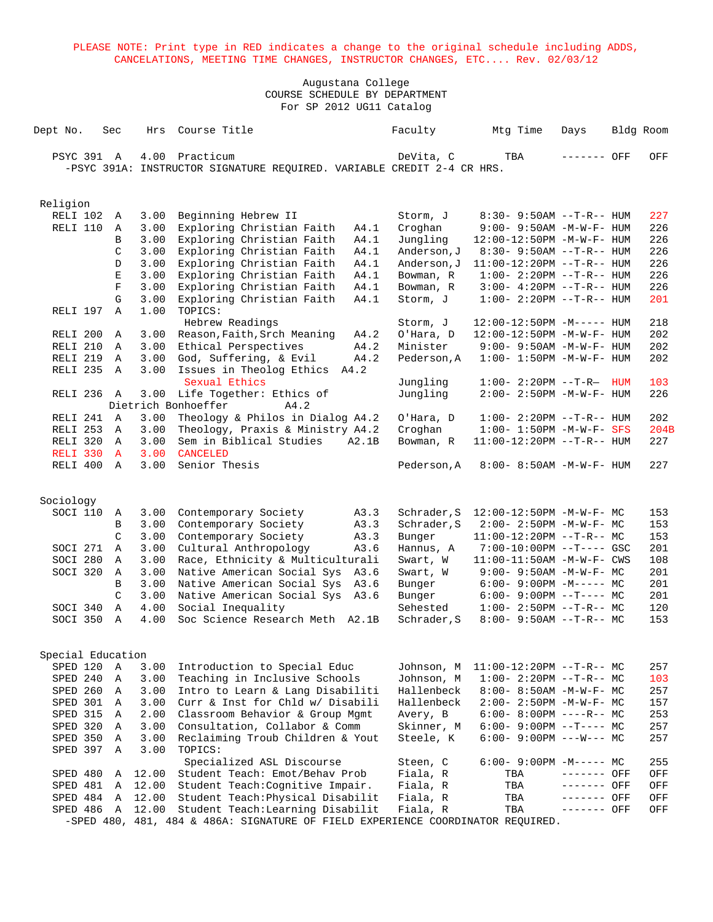| Dept No. |           |            | Sec               | Hrs   | Course Title                                                                    | Faculty     | Mtg Time | Days                              |     | Bldg Room |
|----------|-----------|------------|-------------------|-------|---------------------------------------------------------------------------------|-------------|----------|-----------------------------------|-----|-----------|
|          |           | PSYC 391 A |                   | 4.00  | Practicum                                                                       | DeVita, C   | TBA      | ------- OFF                       |     | OFF       |
|          |           |            |                   |       | -PSYC 391A: INSTRUCTOR SIGNATURE REQUIRED. VARIABLE CREDIT 2-4 CR HRS.          |             |          |                                   |     |           |
|          |           |            |                   |       |                                                                                 |             |          |                                   |     |           |
|          |           |            |                   |       |                                                                                 |             |          |                                   |     |           |
|          | Religion  |            |                   |       |                                                                                 |             |          |                                   |     |           |
|          |           | RELI 102   | A                 | 3.00  | Beginning Hebrew II                                                             | Storm, J    |          | $8:30 - 9:50AM -T-R-- HUM$        |     | 227       |
|          |           | RELI 110   | Α                 | 3.00  | Exploring Christian Faith<br>A4.1                                               | Croghan     |          | $9:00 - 9:50AM - M - W - F - HUM$ |     | 226       |
|          |           |            | B                 | 3.00  | Exploring Christian Faith<br>A4.1                                               | Jungling    |          | 12:00-12:50PM -M-W-F- HUM         |     | 226       |
|          |           |            | C                 | 3.00  | Exploring Christian Faith<br>A4.1                                               | Anderson, J |          | $8:30 - 9:50AM -T-R-- HUM$        |     | 226       |
|          |           |            | D                 | 3.00  | Exploring Christian Faith<br>A4.1                                               | Anderson, J |          | $11:00-12:20PM$ --T-R-- HUM       |     | 226       |
|          |           |            | E                 | 3.00  | Exploring Christian Faith<br>A4.1                                               | Bowman, R   |          | $1:00 - 2:20PM -T-R--HUM$         |     | 226       |
|          |           |            | F                 | 3.00  | Exploring Christian Faith<br>A4.1                                               | Bowman, R   |          | $3:00-4:20PM -T-R--HUM$           |     | 226       |
|          |           |            | G                 | 3.00  | Exploring Christian Faith<br>A4.1                                               | Storm, J    |          | $1:00 - 2:20PM -T-R--HUM$         |     | 201       |
|          |           | RELI 197   | $\mathbb{A}$      | 1.00  | TOPICS:                                                                         |             |          |                                   |     |           |
|          |           |            |                   |       | Hebrew Readings                                                                 | Storm, J    |          | $12:00-12:50PM -M---$ HUM         |     | 218       |
|          |           | RELI 200   | A                 | 3.00  | Reason, Faith, Srch Meaning<br>A4.2                                             | O'Hara, D   |          | 12:00-12:50PM -M-W-F- HUM         |     | 202       |
|          |           | RELI 210   | A                 | 3.00  | Ethical Perspectives<br>A4.2                                                    | Minister    |          | $9:00-9:50AM -M-W-F-HUM$          |     | 202       |
|          |           | RELI 219   | Α                 | 3.00  | God, Suffering, & Evil<br>A4.2                                                  | Pederson, A |          | $1:00 - 1:50PM -M-W-F - HUM$      |     | 202       |
|          |           | RELI 235   | $\mathbb{A}$      | 3.00  | Issues in Theolog Ethics A4.2                                                   |             |          |                                   |     |           |
|          |           |            |                   |       | Sexual Ethics                                                                   | Jungling    |          | $1:00 - 2:20PM -T-R-$             | HUM | 103       |
|          |           | RELI 236   | A                 | 3.00  | Life Together: Ethics of                                                        | Jungling    |          | 2:00- 2:50PM -M-W-F- HUM          |     | 226       |
|          |           |            |                   |       | Dietrich Bonhoeffer<br>A4.2                                                     |             |          |                                   |     |           |
|          |           | RELI 241 A |                   | 3.00  | Theology & Philos in Dialog A4.2                                                | O'Hara, D   |          | $1:00 - 2:20PM -T-R--HUM$         |     | 202       |
|          |           | RELI 253   | A                 | 3.00  | Theology, Praxis & Ministry A4.2                                                | Croghan     |          | $1:00 - 1:50PM - M - W - F - SFS$ |     | 204B      |
|          |           | RELI 320 A |                   | 3.00  | Sem in Biblical Studies<br>A2.1B                                                | Bowman, R   |          | $11:00-12:20PM$ --T-R-- HUM       |     | 227       |
|          |           | RELI 330   | $\overline{A}$    | 3.00  | <b>CANCELED</b>                                                                 |             |          |                                   |     |           |
|          |           | RELI 400 A |                   | 3.00  | Senior Thesis                                                                   | Pederson, A |          | 8:00- 8:50AM -M-W-F- HUM          |     | 227       |
|          |           |            |                   |       |                                                                                 |             |          |                                   |     |           |
|          | Sociology |            |                   |       |                                                                                 |             |          |                                   |     |           |
|          |           | SOCI 110   | Α                 | 3.00  | Contemporary Society<br>A3.3                                                    | Schrader, S |          | 12:00-12:50PM -M-W-F- MC          |     | 153       |
|          |           |            | B                 | 3.00  | Contemporary Society<br>A3.3                                                    | Schrader, S |          | $2:00-2:50PM -M-W-F-MC$           |     | 153       |
|          |           |            | C                 | 3.00  | Contemporary Society<br>A3.3                                                    | Bunger      |          | $11:00-12:20PM$ --T-R-- MC        |     | 153       |
|          |           | SOCI 271   | Α                 | 3.00  | Cultural Anthropology<br>A3.6                                                   | Hannus, A   |          | 7:00-10:00PM --T---- GSC          |     | 201       |
|          |           | SOCI 280   | Α                 | 3.00  | Race, Ethnicity & Multiculturali                                                | Swart, W    |          | $11:00-11:50AM$ -M-W-F- CWS       |     | 108       |
|          |           | SOCI 320   | $\mathbb A$       | 3.00  | Native American Social Sys A3.6                                                 | Swart, W    |          | 9:00- 9:50AM -M-W-F- MC           |     | 201       |
|          |           |            | B                 | 3.00  | Native American Social Sys A3.6                                                 | Bunger      |          | $6:00-9:00PM -M--- MC$            |     | 201       |
|          |           |            | C                 | 3.00  | Native American Social Sys<br>A3.6                                              | Bunger      |          | $6:00-9:00PM --T---MC$            |     | 201       |
|          |           | SOCI 340   | $\mathbb A$       | 4.00  | Social Inequality                                                               | Sehested    |          | $1:00-2:50PM -T-R--MC$            |     | 120       |
|          |           | SOCI 350   | A                 | 4.00  | Soc Science Research Meth A2.1B                                                 | Schrader, S |          | $8:00 - 9:50AM -T-R-- MC$         |     | 153       |
|          |           |            |                   |       |                                                                                 |             |          |                                   |     |           |
|          |           |            | Special Education |       |                                                                                 |             |          |                                   |     |           |
|          |           | SPED 120 A |                   | 3.00  | Introduction to Special Educ                                                    | Johnson, M  |          | $11:00-12:20PM$ --T-R-- MC        |     | 257       |
|          |           | SPED 240   | A                 | 3.00  | Teaching in Inclusive Schools                                                   | Johnson, M  |          | $1:00-2:20PM -T-R--MC$            |     | 103       |
|          |           | SPED 260 A |                   | 3.00  | Intro to Learn & Lang Disabiliti                                                | Hallenbeck  |          | $8:00-8:50AM$ -M-W-F- MC          |     | 257       |
|          |           | SPED 301 A |                   | 3.00  | Curr & Inst for Chld w/ Disabili                                                | Hallenbeck  |          | $2:00-2:50PM -M-W-F-MC$           |     | 157       |
|          |           | SPED 315   | A                 | 2.00  | Classroom Behavior & Group Mgmt                                                 | Avery, B    |          | $6:00-8:00PM$ ----R-- MC          |     | 253       |
|          |           | SPED 320 A |                   | 3.00  | Consultation, Collabor & Comm                                                   | Skinner, M  |          | $6:00-9:00PM --T---MC$            |     | 257       |
|          |           | SPED 350   | A                 | 3.00  | Reclaiming Troub Children & Yout                                                | Steele, K   |          | $6:00-9:00PM$ ---W--- MC          |     | 257       |
|          |           | SPED 397 A |                   | 3.00  | TOPICS:                                                                         |             |          |                                   |     |           |
|          |           |            |                   |       | Specialized ASL Discourse                                                       | Steen, C    |          | $6:00-9:00PM -M----- MC$          |     | 255       |
|          |           | SPED 480   | Α                 | 12.00 | Student Teach: Emot/Behav Prob                                                  | Fiala, R    | TBA      | ------- OFF                       |     | OFF       |
|          |           | SPED 481   | Α                 | 12.00 | Student Teach: Cognitive Impair.                                                | Fiala, R    | TBA      | ------- OFF                       |     | OFF       |
|          |           | SPED 484   | A                 | 12.00 | Student Teach: Physical Disabilit                                               | Fiala, R    | TBA      | ------- OFF                       |     | OFF       |
|          |           | SPED 486   | $\mathbb{A}$      | 12.00 | Student Teach: Learning Disabilit                                               | Fiala, R    | TBA      | ------- OFF                       |     | OFF       |
|          |           |            |                   |       | -SPED 480, 481, 484 & 486A: SIGNATURE OF FIELD EXPERIENCE COORDINATOR REQUIRED. |             |          |                                   |     |           |